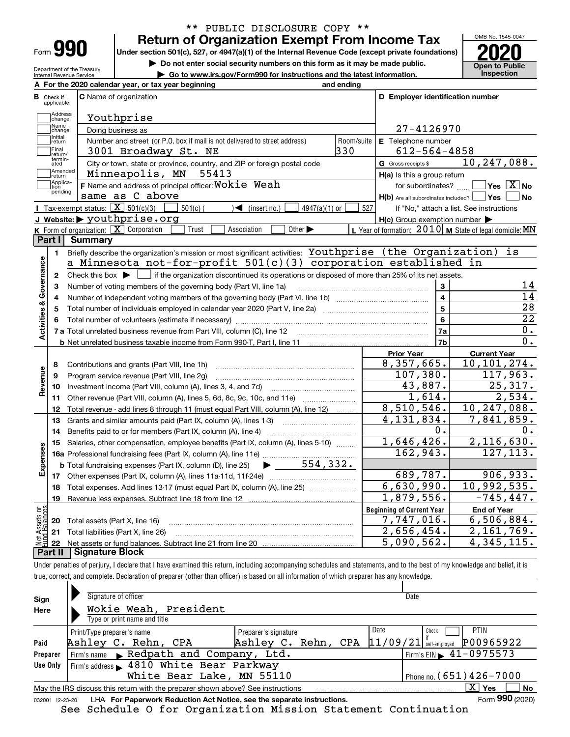| Form |  |
|------|--|

Department of the Treasury Internal Revenue Service

# **Return of Organization Exempt From Income Tax** \*\* PUBLIC DISCLOSURE COPY \*\*

**Under section 501(c), 527, or 4947(a)(1) of the Internal Revenue Code (except private foundations) 2020**

**| Do not enter social security numbers on this form as it may be made public.**

**| Go to www.irs.gov/Form990 for instructions and the latest information. Inspection**



|                         |                               | A For the 2020 calendar year, or tax year beginning                                                                                         | and ending |                                                     |                                                           |
|-------------------------|-------------------------------|---------------------------------------------------------------------------------------------------------------------------------------------|------------|-----------------------------------------------------|-----------------------------------------------------------|
|                         | <b>B</b> Check if applicable: | <b>C</b> Name of organization                                                                                                               |            | D Employer identification number                    |                                                           |
|                         | Address<br>Change             | Youthprise                                                                                                                                  |            |                                                     |                                                           |
|                         | Name<br>change                | Doing business as                                                                                                                           |            | 27-4126970                                          |                                                           |
|                         | Initial<br>return             | Number and street (or P.O. box if mail is not delivered to street address)                                                                  | Room/suite | E Telephone number                                  |                                                           |
|                         | Final<br>return/              | 3001 Broadway St. NE                                                                                                                        | 330        | $612 - 564 - 4858$                                  |                                                           |
|                         | termin-<br>ated               | City or town, state or province, country, and ZIP or foreign postal code                                                                    |            | G Gross receipts \$                                 | 10, 247, 088.                                             |
|                         | Amended<br> return            | Minneapolis, MN<br>55413                                                                                                                    |            | H(a) Is this a group return                         |                                                           |
|                         | Applica-<br>tion              | F Name and address of principal officer: Wokie Weah                                                                                         |            | for subordinates?                                   | $\blacksquare$ Yes $\overline{X}$ No                      |
|                         | pending                       | same as C above                                                                                                                             |            | H(b) Are all subordinates included?   Yes           | No                                                        |
|                         |                               | Tax-exempt status: $\boxed{\mathbf{X}}$ 501(c)(3)<br>$501(c)$ (<br>$\sqrt{\bullet}$ (insert no.)<br>4947(a)(1) or                           | 527        |                                                     | If "No," attach a list. See instructions                  |
|                         |                               | J Website: > youthprise.org                                                                                                                 |            | $H(c)$ Group exemption number $\blacktriangleright$ |                                                           |
|                         |                               | K Form of organization: $\boxed{\mathbf{X}}$ Corporation<br>Other $\blacktriangleright$<br>Trust<br>Association                             |            |                                                     | L Year of formation: $2010$ M State of legal domicile: MN |
|                         | <b>Part I</b>                 | <b>Summary</b>                                                                                                                              |            |                                                     |                                                           |
|                         | 1.                            | Briefly describe the organization's mission or most significant activities: Youthprise (the Organization)                                   |            |                                                     | is                                                        |
|                         |                               | a Minnesota not-for-profit $501(c)(3)$ corporation established in                                                                           |            |                                                     |                                                           |
| Activities & Governance | 2                             | Check this box $\blacktriangleright$ $\Box$ if the organization discontinued its operations or disposed of more than 25% of its net assets. |            |                                                     |                                                           |
|                         | 3                             | Number of voting members of the governing body (Part VI, line 1a)                                                                           |            | 3                                                   | 14                                                        |
|                         | 4                             |                                                                                                                                             |            | $\overline{4}$                                      | $\overline{14}$                                           |
|                         | 5                             | Total number of individuals employed in calendar year 2020 (Part V, line 2a) manufacture controller to intervent                            |            | $\overline{5}$                                      | $\overline{28}$                                           |
|                         |                               |                                                                                                                                             |            | 6                                                   | $\overline{22}$                                           |
|                         |                               | 7 a Total unrelated business revenue from Part VIII, column (C), line 12                                                                    |            | 7a                                                  | 0.                                                        |
|                         |                               |                                                                                                                                             |            | 7 <sub>b</sub>                                      | 0.                                                        |
|                         |                               |                                                                                                                                             |            | <b>Prior Year</b>                                   | <b>Current Year</b><br>10,101,274.                        |
|                         | 8                             | Contributions and grants (Part VIII, line 1h)                                                                                               |            | 8,357,665.<br>107,380.                              |                                                           |
|                         | 9                             | Program service revenue (Part VIII, line 2g)                                                                                                |            | 43,887.                                             | 117,963.<br>25,317.                                       |
| Revenue                 | 10                            |                                                                                                                                             |            | 1,614.                                              | 2,534.                                                    |
|                         | 11                            | Other revenue (Part VIII, column (A), lines 5, 6d, 8c, 9c, 10c, and 11e)                                                                    |            | 8,510,546.                                          | $\overline{10}$ , 247, 088.                               |
|                         | 12                            | Total revenue - add lines 8 through 11 (must equal Part VIII, column (A), line 12)                                                          |            | $\overline{4}$ , 131, 834.                          | 7,841,859.                                                |
|                         | 13                            | Grants and similar amounts paid (Part IX, column (A), lines 1-3)                                                                            |            | 0.                                                  | 0.                                                        |
|                         | 14                            | Benefits paid to or for members (Part IX, column (A), line 4)                                                                               |            | 1,646,426.                                          | 2,116,630.                                                |
|                         | 15                            | Salaries, other compensation, employee benefits (Part IX, column (A), lines 5-10)                                                           |            | 162,943.                                            | 127, 113.                                                 |
|                         |                               | 16a Professional fundraising fees (Part IX, column (A), line 11e)<br>554, 332.                                                              |            |                                                     |                                                           |
| Expenses                |                               | <b>b</b> Total fundraising expenses (Part IX, column (D), line 25)                                                                          |            | 689,787.                                            | 906,933.                                                  |
|                         | 18                            | Total expenses. Add lines 13-17 (must equal Part IX, column (A), line 25)                                                                   |            | 6,630,990.                                          | 10,992,535.                                               |
|                         | 19                            |                                                                                                                                             |            | 1,879,556.                                          | $-745, 447.$                                              |
| äš                      |                               |                                                                                                                                             |            | <b>Beginning of Current Year</b>                    | <b>End of Year</b>                                        |
|                         |                               | 20 Total assets (Part X, line 16)                                                                                                           |            | $\overline{7}$ , 747, 016.                          | 6,506,884.                                                |
| Assets                  |                               | 21 Total liabilities (Part X, line 26)                                                                                                      |            | 2,656,454.                                          | 2,161,769.                                                |
| Net                     |                               |                                                                                                                                             |            | 5,090,562.                                          | 4, 345, 115.                                              |
|                         | + 11 -                        | <u> T Cianaturo Plook</u>                                                                                                                   |            |                                                     |                                                           |

**Part II Signature Block**

Under penalties of perjury, I declare that I have examined this return, including accompanying schedules and statements, and to the best of my knowledge and belief, it is true, correct, and complete. Declaration of preparer (other than officer) is based on all information of which preparer has any knowledge.

| Sign     | Signature of officer                                                                                          |                      |          | Date                                        |             |  |  |  |
|----------|---------------------------------------------------------------------------------------------------------------|----------------------|----------|---------------------------------------------|-------------|--|--|--|
| Here     | Wokie Weah, President                                                                                         |                      |          |                                             |             |  |  |  |
|          | Type or print name and title                                                                                  |                      |          |                                             |             |  |  |  |
|          | Print/Type preparer's name                                                                                    | Preparer's signature | Date     | Check                                       | <b>PTIN</b> |  |  |  |
| Paid     | Ashley C. Rehn, CPA                                                                                           | Ashley C. Rehn, CPA  | 11/09/21 | self-emploved                               | P00965922   |  |  |  |
| Preparer | Firm's name Redpath and Company, Ltd.                                                                         |                      |          | Firm's EIN $\blacktriangleright$ 41-0975573 |             |  |  |  |
| Use Only | Firm's address 1810 White Bear Parkway                                                                        |                      |          |                                             |             |  |  |  |
|          | White Bear Lake, MN 55110                                                                                     |                      |          | Phone no. (651) $426 - 7000$                |             |  |  |  |
|          | $X \mid Y$ es<br><b>No</b><br>May the IRS discuss this return with the preparer shown above? See instructions |                      |          |                                             |             |  |  |  |
|          | Form 990 (2020)<br>LHA For Paperwork Reduction Act Notice, see the separate instructions.<br>032001 12-23-20  |                      |          |                                             |             |  |  |  |

See Schedule O for Organization Mission Statement Continuation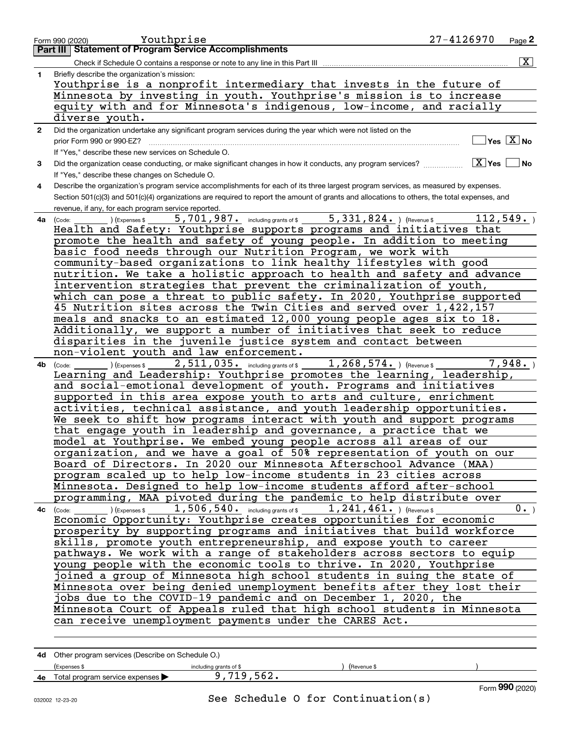|              | 27-4126970<br>Youthprise<br>Page 2<br>Form 990 (2020)                                                                                                          |
|--------------|----------------------------------------------------------------------------------------------------------------------------------------------------------------|
|              | <b>Part III Statement of Program Service Accomplishments</b>                                                                                                   |
|              | $\boxed{\text{X}}$<br>Check if Schedule O contains a response or note to any line in this Part III                                                             |
| 1            | Briefly describe the organization's mission:                                                                                                                   |
|              | Youthprise is a nonprofit intermediary that invests in the future of                                                                                           |
|              | Minnesota by investing in youth. Youthprise's mission is to increase                                                                                           |
|              | equity with and for Minnesota's indigenous, low-income, and racially                                                                                           |
|              | diverse youth.                                                                                                                                                 |
| $\mathbf{2}$ | Did the organization undertake any significant program services during the year which were not listed on the                                                   |
|              | $\Box$ Yes $[\overline{\mathrm{X}}]$ No<br>prior Form 990 or 990-EZ?                                                                                           |
|              | If "Yes," describe these new services on Schedule O.                                                                                                           |
| 3            | $\boxed{\text{X}}$ Yes $\boxed{\ }$<br>∣No                                                                                                                     |
|              | If "Yes," describe these changes on Schedule O.                                                                                                                |
| 4            | Describe the organization's program service accomplishments for each of its three largest program services, as measured by expenses.                           |
|              | Section 501(c)(3) and 501(c)(4) organizations are required to report the amount of grants and allocations to others, the total expenses, and                   |
|              | revenue, if any, for each program service reported.<br>112, 549.                                                                                               |
| 4a           | 5,701,987. including grants of \$ 5,331,824. ) (Revenue \$<br>) (Expenses \$<br>(Code:<br>Health and Safety: Youthprise supports programs and initiatives that |
|              | promote the health and safety of young people. In addition to meeting                                                                                          |
|              | basic food needs through our Nutrition Program, we work with                                                                                                   |
|              | community-based organizations to link healthy lifestyles with good                                                                                             |
|              | nutrition. We take a holistic approach to health and safety and advance                                                                                        |
|              | intervention strategies that prevent the criminalization of youth,                                                                                             |
|              | which can pose a threat to public safety. In 2020, Youthprise supported                                                                                        |
|              | 45 Nutrition sites across the Twin Cities and served over 1,422,157                                                                                            |
|              | meals and snacks to an estimated 12,000 young people ages six to 18.                                                                                           |
|              | Additionally, we support a number of initiatives that seek to reduce                                                                                           |
|              | disparities in the juvenile justice system and contact between                                                                                                 |
|              | non-violent youth and law enforcement.                                                                                                                         |
| 4b           | (Code: ) (Expenses \$2,511,035. including grants of \$1,268,574. ) (Revenue \$<br>7,948.                                                                       |
|              | Learning and Leadership: Youthprise promotes the learning, leadership,                                                                                         |
|              | and social-emotional development of youth. Programs and initiatives                                                                                            |
|              | supported in this area expose youth to arts and culture, enrichment                                                                                            |
|              | activities, technical assistance, and youth leadership opportunities.                                                                                          |
|              | We seek to shift how programs interact with youth and support programs                                                                                         |
|              | that engage youth in leadership and governance, a practice that we                                                                                             |
|              | model at Youthprise. We embed young people across all areas of our                                                                                             |
|              | organization, and we have a goal of 50% representation of youth on our<br>Board of Directors. In 2020 our Minnesota Afterschool Advance (MAA)                  |
|              | program scaled up to help low-income students in 23 cities across                                                                                              |
|              | Minnesota. Designed to help low-income students afford after-school                                                                                            |
|              | programming, MAA pivoted during the pandemic to help distribute over                                                                                           |
|              | 1,506,540. including grants of \$1,241,461. ) (Revenue \$<br>0.<br>$\overline{4c}$ (Code: ) (Expenses \$                                                       |
|              | Economic Opportunity: Youthprise creates opportunities for economic                                                                                            |
|              | prosperity by supporting programs and initiatives that build workforce                                                                                         |
|              | skills, promote youth entrepreneurship, and expose youth to career                                                                                             |
|              | pathways. We work with a range of stakeholders across sectors to equip                                                                                         |
|              | young people with the economic tools to thrive. In 2020, Youthprise                                                                                            |
|              | joined a group of Minnesota high school students in suing the state of                                                                                         |
|              | Minnesota over being denied unemployment benefits after they lost their                                                                                        |
|              | jobs due to the COVID-19 pandemic and on December 1, 2020, the                                                                                                 |
|              | Minnesota Court of Appeals ruled that high school students in Minnesota                                                                                        |
|              | can receive unemployment payments under the CARES Act.                                                                                                         |
|              |                                                                                                                                                                |
|              |                                                                                                                                                                |
|              | 4d Other program services (Describe on Schedule O.)                                                                                                            |

|    |                                                           |                        |            |  | ∩∩י<br>$1.1 - 1.1$ |  |
|----|-----------------------------------------------------------|------------------------|------------|--|--------------------|--|
| 4е | Total program service expenses $\blacktriangleright$      |                        |            |  |                    |  |
|    | Expenses                                                  | including grants of \$ | Revenue \$ |  |                    |  |
|    | <b>Tu</b> Stron program och noce (Desembe om ceneaale O.) |                        |            |  |                    |  |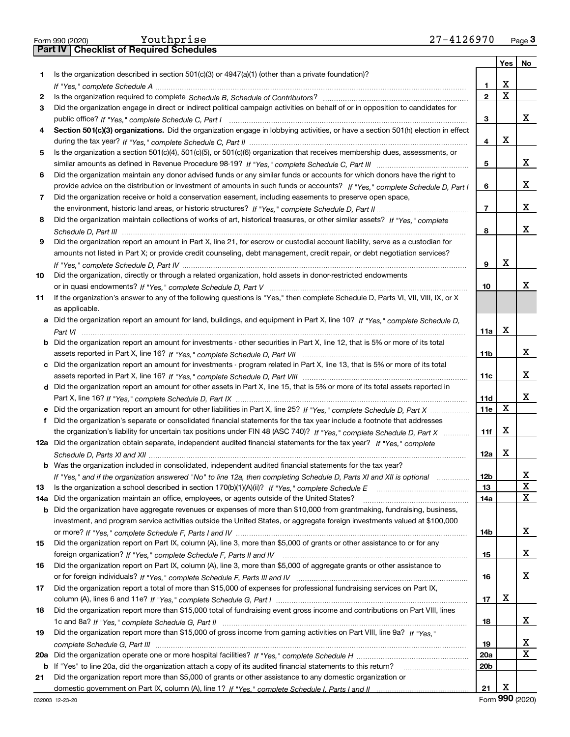|     | Youthprise<br>27-4126970<br>Form 990 (2020)                                                                                           |                         |                       | Page $3$    |
|-----|---------------------------------------------------------------------------------------------------------------------------------------|-------------------------|-----------------------|-------------|
|     | <b>Checklist of Required Schedules</b><br><b>Part IV</b>                                                                              |                         |                       |             |
|     |                                                                                                                                       |                         |                       | Yes   No    |
| 1.  | Is the organization described in section $501(c)(3)$ or $4947(a)(1)$ (other than a private foundation)?                               |                         |                       |             |
|     |                                                                                                                                       | 1.                      | X                     |             |
| 2   |                                                                                                                                       | $\overline{\mathbf{c}}$ | $\overline{\text{x}}$ |             |
| 3   | Did the organization engage in direct or indirect political campaign activities on behalf of or in opposition to candidates for       |                         |                       |             |
|     |                                                                                                                                       | 3                       |                       | x           |
| 4   | Section 501(c)(3) organizations. Did the organization engage in lobbying activities, or have a section 501(h) election in effect      |                         |                       |             |
|     |                                                                                                                                       | 4                       | X                     |             |
| 5   | Is the organization a section 501(c)(4), 501(c)(5), or 501(c)(6) organization that receives membership dues, assessments, or          |                         |                       |             |
|     |                                                                                                                                       | 5                       |                       | x           |
| 6   | Did the organization maintain any donor advised funds or any similar funds or accounts for which donors have the right to             |                         |                       |             |
|     | provide advice on the distribution or investment of amounts in such funds or accounts? If "Yes," complete Schedule D, Part I          | 6                       |                       | X.          |
| 7   | Did the organization receive or hold a conservation easement, including easements to preserve open space,                             |                         |                       |             |
|     |                                                                                                                                       | $\overline{7}$          |                       | X.          |
| 8   | Did the organization maintain collections of works of art, historical treasures, or other similar assets? If "Yes," complete          |                         |                       |             |
|     |                                                                                                                                       | 8                       |                       | X.          |
| 9   | Did the organization report an amount in Part X, line 21, for escrow or custodial account liability, serve as a custodian for         |                         |                       |             |
|     | amounts not listed in Part X; or provide credit counseling, debt management, credit repair, or debt negotiation services?             |                         |                       |             |
|     |                                                                                                                                       | 9                       | X                     |             |
| 10  | Did the organization, directly or through a related organization, hold assets in donor-restricted endowments                          |                         |                       |             |
|     |                                                                                                                                       | 10                      |                       | x.          |
| 11  | If the organization's answer to any of the following questions is "Yes," then complete Schedule D, Parts VI, VII, VIII, IX, or X      |                         |                       |             |
|     | as applicable.                                                                                                                        |                         |                       |             |
|     | a Did the organization report an amount for land, buildings, and equipment in Part X, line 10? If "Yes," complete Schedule D,         |                         |                       |             |
|     |                                                                                                                                       | 11a                     | X                     |             |
|     | <b>b</b> Did the organization report an amount for investments - other securities in Part X, line 12, that is 5% or more of its total |                         |                       |             |
|     |                                                                                                                                       | 11 <sub>b</sub>         |                       | x           |
| c   | Did the organization report an amount for investments - program related in Part X, line 13, that is 5% or more of its total           |                         |                       |             |
|     |                                                                                                                                       | 11c                     |                       | x           |
|     | d Did the organization report an amount for other assets in Part X, line 15, that is 5% or more of its total assets reported in       |                         |                       |             |
|     |                                                                                                                                       | 11d                     |                       | x           |
|     | e Did the organization report an amount for other liabilities in Part X, line 25? If "Yes," complete Schedule D, Part X               | 11e                     | $\mathbf X$           |             |
| f   | Did the organization's separate or consolidated financial statements for the tax year include a footnote that addresses               |                         |                       |             |
|     | the organization's liability for uncertain tax positions under FIN 48 (ASC 740)? If "Yes," complete Schedule D, Part X                | 11f                     | Х                     |             |
|     | 12a Did the organization obtain separate, independent audited financial statements for the tax year? If "Yes," complete               |                         |                       |             |
|     |                                                                                                                                       | 12a                     | X                     |             |
|     | <b>b</b> Was the organization included in consolidated, independent audited financial statements for the tax year?                    |                         |                       |             |
|     | If "Yes," and if the organization answered "No" to line 12a, then completing Schedule D, Parts XI and XII is optional                 | 12b                     |                       | X           |
| 13  |                                                                                                                                       | 13                      |                       | $\mathbf X$ |
| 14a | Did the organization maintain an office, employees, or agents outside of the United States?                                           | 14a                     |                       | $\mathbf X$ |
| b   | Did the organization have aggregate revenues or expenses of more than \$10,000 from grantmaking, fundraising, business,               |                         |                       |             |
|     | investment, and program service activities outside the United States, or aggregate foreign investments valued at \$100,000            |                         |                       |             |
|     |                                                                                                                                       | 14b                     |                       | X.          |
| 15  | Did the organization report on Part IX, column (A), line 3, more than \$5,000 of grants or other assistance to or for any             |                         |                       |             |
|     |                                                                                                                                       | 15                      |                       | x           |
| 16  | Did the organization report on Part IX, column (A), line 3, more than \$5,000 of aggregate grants or other assistance to              |                         |                       |             |
|     |                                                                                                                                       | 16                      |                       | x           |
| 17  | Did the organization report a total of more than \$15,000 of expenses for professional fundraising services on Part IX,               |                         |                       |             |
|     |                                                                                                                                       | 17                      | х                     |             |
| 18  | Did the organization report more than \$15,000 total of fundraising event gross income and contributions on Part VIII, lines          |                         |                       |             |
|     |                                                                                                                                       | 18                      |                       | X.          |
| 19  | Did the organization report more than \$15,000 of gross income from gaming activities on Part VIII, line 9a? If "Yes."                |                         |                       |             |
|     |                                                                                                                                       | 19                      |                       | x           |
| 20a |                                                                                                                                       | <b>20a</b>              |                       | X           |
| b   | If "Yes" to line 20a, did the organization attach a copy of its audited financial statements to this return?                          | 20 <sub>b</sub>         |                       |             |
| 21  | Did the organization report more than \$5,000 of grants or other assistance to any domestic organization or                           |                         |                       |             |
|     |                                                                                                                                       | 21                      | x                     |             |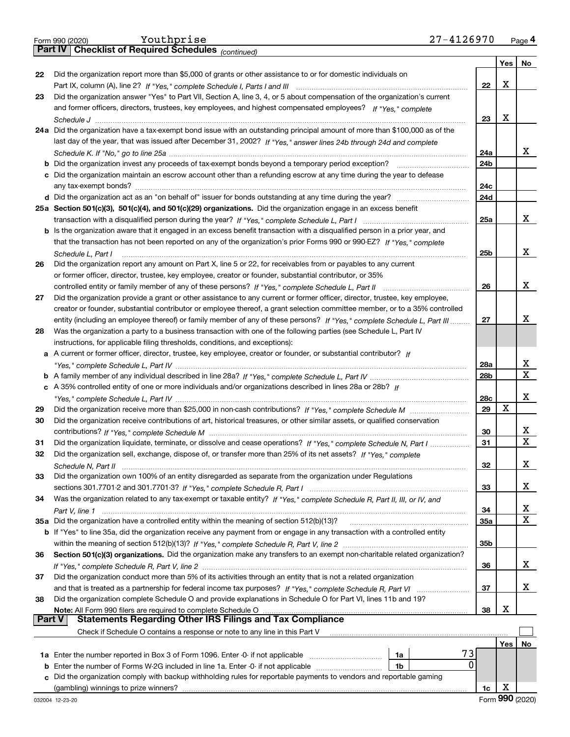|    |                                                                                                                                                                                 |                 | Yes   No |             |
|----|---------------------------------------------------------------------------------------------------------------------------------------------------------------------------------|-----------------|----------|-------------|
| 22 | Did the organization report more than \$5,000 of grants or other assistance to or for domestic individuals on                                                                   |                 |          |             |
|    |                                                                                                                                                                                 | 22              | х        |             |
| 23 | Did the organization answer "Yes" to Part VII, Section A, line 3, 4, or 5 about compensation of the organization's current                                                      |                 |          |             |
|    | and former officers, directors, trustees, key employees, and highest compensated employees? If "Yes," complete                                                                  |                 |          |             |
|    |                                                                                                                                                                                 | 23              | х        |             |
|    | 24a Did the organization have a tax-exempt bond issue with an outstanding principal amount of more than \$100,000 as of the                                                     |                 |          |             |
|    | last day of the year, that was issued after December 31, 2002? If "Yes," answer lines 24b through 24d and complete                                                              |                 |          |             |
|    |                                                                                                                                                                                 | 24a             |          | х           |
|    | <b>b</b> Did the organization invest any proceeds of tax-exempt bonds beyond a temporary period exception?                                                                      | 24b             |          |             |
|    | c Did the organization maintain an escrow account other than a refunding escrow at any time during the year to defease                                                          |                 |          |             |
|    | any tax-exempt bonds?                                                                                                                                                           | 24c             |          |             |
|    | d Did the organization act as an "on behalf of" issuer for bonds outstanding at any time during the year?                                                                       | 24d             |          |             |
|    | 25a Section 501(c)(3), 501(c)(4), and 501(c)(29) organizations. Did the organization engage in an excess benefit                                                                |                 |          | х           |
|    |                                                                                                                                                                                 | 25a             |          |             |
|    | b Is the organization aware that it engaged in an excess benefit transaction with a disqualified person in a prior year, and                                                    |                 |          |             |
|    | that the transaction has not been reported on any of the organization's prior Forms 990 or 990-EZ? If "Yes." complete                                                           |                 |          | х           |
|    | Schedule L, Part I<br>Did the organization report any amount on Part X, line 5 or 22, for receivables from or payables to any current                                           | 25 <sub>b</sub> |          |             |
| 26 | or former officer, director, trustee, key employee, creator or founder, substantial contributor, or 35%                                                                         |                 |          |             |
|    |                                                                                                                                                                                 | 26              |          | х           |
| 27 | Did the organization provide a grant or other assistance to any current or former officer, director, trustee, key employee,                                                     |                 |          |             |
|    | creator or founder, substantial contributor or employee thereof, a grant selection committee member, or to a 35% controlled                                                     |                 |          |             |
|    | entity (including an employee thereof) or family member of any of these persons? If "Yes," complete Schedule L, Part III                                                        | 27              |          | х           |
| 28 | Was the organization a party to a business transaction with one of the following parties (see Schedule L, Part IV                                                               |                 |          |             |
|    | instructions, for applicable filing thresholds, conditions, and exceptions):                                                                                                    |                 |          |             |
|    | a A current or former officer, director, trustee, key employee, creator or founder, or substantial contributor? If                                                              |                 |          |             |
|    |                                                                                                                                                                                 | 28a             |          | х           |
|    |                                                                                                                                                                                 | 28b             |          | $\mathbf X$ |
|    | c A 35% controlled entity of one or more individuals and/or organizations described in lines 28a or 28b? If                                                                     |                 |          |             |
|    |                                                                                                                                                                                 | 28c             |          | X           |
| 29 |                                                                                                                                                                                 | 29              | X        |             |
| 30 | Did the organization receive contributions of art, historical treasures, or other similar assets, or qualified conservation                                                     |                 |          |             |
|    |                                                                                                                                                                                 | 30              |          | x           |
| 31 | Did the organization liquidate, terminate, or dissolve and cease operations? If "Yes," complete Schedule N, Part I                                                              | 31              |          | $\mathbf X$ |
| 32 | Did the organization sell, exchange, dispose of, or transfer more than 25% of its net assets? If "Yes," complete                                                                |                 |          |             |
|    | Schedule N, Part II                                                                                                                                                             | 32              |          | х           |
| 33 | Did the organization own 100% of an entity disregarded as separate from the organization under Regulations                                                                      |                 |          |             |
|    |                                                                                                                                                                                 | 33              |          | х           |
| 34 | Was the organization related to any tax-exempt or taxable entity? If "Yes," complete Schedule R, Part II, III, or IV, and                                                       |                 |          |             |
|    |                                                                                                                                                                                 | 34              |          | х           |
|    | 35a Did the organization have a controlled entity within the meaning of section 512(b)(13)? <b>Controller and the organization</b> have                                         | 35a             |          | X           |
|    | b If "Yes" to line 35a, did the organization receive any payment from or engage in any transaction with a controlled entity                                                     |                 |          |             |
|    |                                                                                                                                                                                 | 35b             |          |             |
| 36 | Section 501(c)(3) organizations. Did the organization make any transfers to an exempt non-charitable related organization?                                                      |                 |          |             |
|    |                                                                                                                                                                                 | 36              |          | X           |
| 37 | Did the organization conduct more than 5% of its activities through an entity that is not a related organization                                                                |                 |          | х           |
| 38 | and that is treated as a partnership for federal income tax purposes? If "Yes," complete Schedule R, Part VI                                                                    | 37              |          |             |
|    | Did the organization complete Schedule O and provide explanations in Schedule O for Part VI, lines 11b and 19?<br>Note: All Form 990 filers are required to complete Schedule O | 38              | х        |             |
|    | <b>Part V</b><br><b>Statements Regarding Other IRS Filings and Tax Compliance</b>                                                                                               |                 |          |             |
|    | Check if Schedule O contains a response or note to any line in this Part V                                                                                                      |                 |          |             |
|    |                                                                                                                                                                                 |                 |          |             |

| Check if Schedule O contains a response or note to any line in this Part V |                                                                                                                      |    |  |                      |     |         |
|----------------------------------------------------------------------------|----------------------------------------------------------------------------------------------------------------------|----|--|----------------------|-----|---------|
|                                                                            |                                                                                                                      |    |  |                      | Yes | Νo      |
|                                                                            | <b>1a</b> Enter the number reported in Box 3 of Form 1096. Enter -0- if not applicable                               | 1a |  |                      |     |         |
|                                                                            | <b>b</b> Enter the number of Forms W-2G included in line 1a. Enter -0- if not applicable                             | 1b |  |                      |     |         |
|                                                                            | c Did the organization comply with backup withholding rules for reportable payments to vendors and reportable gaming |    |  |                      |     |         |
|                                                                            | (gambling) winnings to prize winners?                                                                                |    |  | 1c                   |     |         |
|                                                                            | $0.00001 - 10.0000$                                                                                                  |    |  | $E_{\alpha\mu}$ qong |     | (0.000) |

X  $\overline{X}$ 

X

 $\underline{\mathbf{X}}$ 

 $\underline{x}$ 

 $\underline{\mathbf{X}}$ 

X

X

X  $\overline{\mathbf{X}}$ 

 $\underline{\mathbf{X}}$ 

X

X  $\overline{\mathbf{x}}$ 

 $X_{-}$ 

 $\underline{\mathbf{X}}$ 

| Form 990 (2020) | Youthprise                                            | $7 - 4126970$ | Page 4 |
|-----------------|-------------------------------------------------------|---------------|--------|
|                 | Part IV   Checklist of Required Schedules (continued) |               |        |

*(continued)*

**27**

**29 30**

**34**

**36**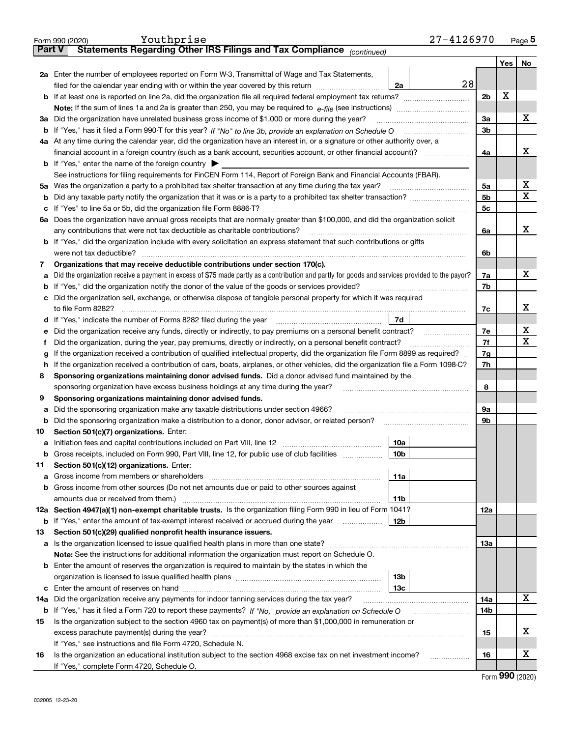|     | Youthprise<br>Form 990 (2020)                                                                                                                   |  | 27-4126970      |                |     | <u>Page</u> 5 |
|-----|-------------------------------------------------------------------------------------------------------------------------------------------------|--|-----------------|----------------|-----|---------------|
|     | Statements Regarding Other IRS Filings and Tax Compliance (continued)<br><b>Part V</b>                                                          |  |                 |                |     |               |
|     |                                                                                                                                                 |  |                 |                | Yes | No            |
|     | 2a Enter the number of employees reported on Form W-3, Transmittal of Wage and Tax Statements,                                                  |  |                 |                |     |               |
|     | filed for the calendar year ending with or within the year covered by this return                                                               |  | 28<br>2a        |                |     |               |
|     |                                                                                                                                                 |  |                 | 2 <sub>b</sub> | X   |               |
|     |                                                                                                                                                 |  |                 |                |     |               |
|     | 3a Did the organization have unrelated business gross income of \$1,000 or more during the year?                                                |  |                 | 3a             |     | х             |
|     |                                                                                                                                                 |  |                 | 3b             |     |               |
|     | 4a At any time during the calendar year, did the organization have an interest in, or a signature or other authority over, a                    |  |                 |                |     |               |
|     |                                                                                                                                                 |  |                 | 4a             |     | х             |
|     | <b>b</b> If "Yes," enter the name of the foreign country $\blacktriangleright$                                                                  |  |                 |                |     |               |
|     | See instructions for filing requirements for FinCEN Form 114, Report of Foreign Bank and Financial Accounts (FBAR).                             |  |                 |                |     |               |
| 5a  |                                                                                                                                                 |  |                 | 5a             |     | х             |
| b   |                                                                                                                                                 |  |                 | 5b             |     | x             |
| с   |                                                                                                                                                 |  |                 | 5c             |     |               |
|     | 6a Does the organization have annual gross receipts that are normally greater than \$100,000, and did the organization solicit                  |  |                 |                |     |               |
|     |                                                                                                                                                 |  |                 | 6a             |     | х             |
|     | <b>b</b> If "Yes," did the organization include with every solicitation an express statement that such contributions or gifts                   |  |                 |                |     |               |
|     | were not tax deductible?                                                                                                                        |  |                 |                |     |               |
| 7   | Organizations that may receive deductible contributions under section 170(c).                                                                   |  |                 |                |     |               |
| а   | Did the organization receive a payment in excess of \$75 made partly as a contribution and partly for goods and services provided to the payor? |  |                 | 7a             |     | х             |
| b   | If "Yes," did the organization notify the donor of the value of the goods or services provided?                                                 |  |                 | 7b             |     |               |
| c   | Did the organization sell, exchange, or otherwise dispose of tangible personal property for which it was required                               |  |                 |                |     |               |
|     |                                                                                                                                                 |  |                 | 7c             |     | х             |
|     | If "Yes," indicate the number of Forms 8282 filed during the year [11] [11] Wes," indicate the number of Forms 8282 filed during the year<br>d  |  | 7d              |                |     |               |
| е   | Did the organization receive any funds, directly or indirectly, to pay premiums on a personal benefit contract?                                 |  |                 | 7e             |     | х             |
| f   | Did the organization, during the year, pay premiums, directly or indirectly, on a personal benefit contract?                                    |  |                 |                |     | х             |
| a   | If the organization received a contribution of qualified intellectual property, did the organization file Form 8899 as required?                |  |                 |                |     |               |
| h.  | If the organization received a contribution of cars, boats, airplanes, or other vehicles, did the organization file a Form 1098-C?              |  |                 |                |     |               |
| 8   | Sponsoring organizations maintaining donor advised funds. Did a donor advised fund maintained by the                                            |  |                 | 7h             |     |               |
|     | sponsoring organization have excess business holdings at any time during the year?                                                              |  |                 | 8              |     |               |
| 9   | Sponsoring organizations maintaining donor advised funds.                                                                                       |  |                 |                |     |               |
| а   | Did the sponsoring organization make any taxable distributions under section 4966?                                                              |  |                 | 9а             |     |               |
| b   | Did the sponsoring organization make a distribution to a donor, donor advisor, or related person? [[[[[[[[[[[                                   |  |                 | 9b             |     |               |
| 10  | Section 501(c)(7) organizations. Enter:                                                                                                         |  |                 |                |     |               |
|     |                                                                                                                                                 |  | 10a             |                |     |               |
|     | Gross receipts, included on Form 990, Part VIII, line 12, for public use of club facilities                                                     |  | 10b             |                |     |               |
| 11  | Section 501(c)(12) organizations. Enter:                                                                                                        |  |                 |                |     |               |
| а   |                                                                                                                                                 |  | 11a             |                |     |               |
| b   | Gross income from other sources (Do not net amounts due or paid to other sources against                                                        |  |                 |                |     |               |
|     |                                                                                                                                                 |  | 11b             |                |     |               |
|     | 12a Section 4947(a)(1) non-exempt charitable trusts. Is the organization filing Form 990 in lieu of Form 1041?                                  |  |                 | 12a            |     |               |
|     | <b>b</b> If "Yes," enter the amount of tax-exempt interest received or accrued during the year                                                  |  | 12b             |                |     |               |
| 13  | Section 501(c)(29) qualified nonprofit health insurance issuers.                                                                                |  |                 |                |     |               |
| а   | Is the organization licensed to issue qualified health plans in more than one state?                                                            |  |                 | 13а            |     |               |
|     | Note: See the instructions for additional information the organization must report on Schedule O.                                               |  |                 |                |     |               |
| b   | Enter the amount of reserves the organization is required to maintain by the states in which the                                                |  |                 |                |     |               |
|     |                                                                                                                                                 |  | 13b             |                |     |               |
|     |                                                                                                                                                 |  | 13 <sub>c</sub> |                |     |               |
| 14a | Did the organization receive any payments for indoor tanning services during the tax year?                                                      |  |                 | 14a            |     | х             |
|     | <b>b</b> If "Yes," has it filed a Form 720 to report these payments? If "No," provide an explanation on Schedule O                              |  |                 | 14b            |     |               |
| 15  | Is the organization subject to the section 4960 tax on payment(s) of more than \$1,000,000 in remuneration or                                   |  |                 |                |     |               |
|     |                                                                                                                                                 |  |                 | 15             |     | х             |
|     | If "Yes," see instructions and file Form 4720, Schedule N.                                                                                      |  |                 |                |     |               |
| 16  | Is the organization an educational institution subject to the section 4968 excise tax on net investment income?                                 |  |                 | 16             |     | X             |
|     | If "Yes," complete Form 4720, Schedule O.                                                                                                       |  |                 |                |     |               |
|     |                                                                                                                                                 |  |                 |                |     |               |

Form (2020) **990**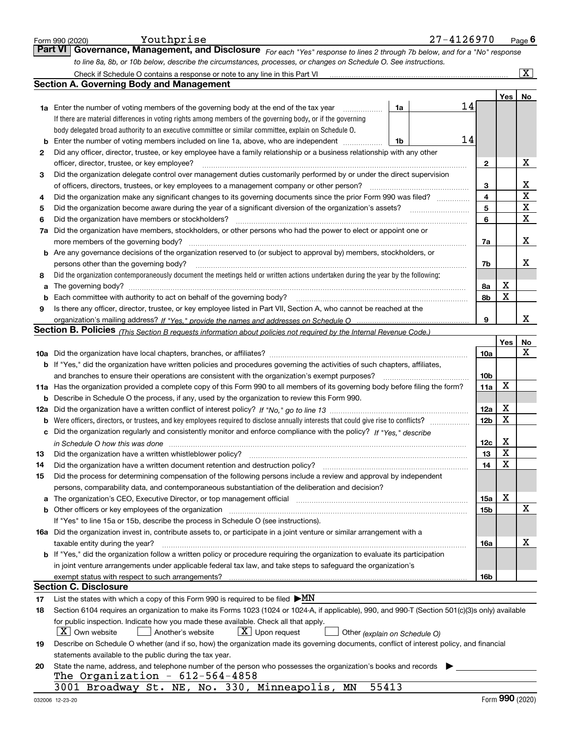|        | Youthprise<br>27-4126970<br>Form 990 (2020)                                                                                                                                                                                   |                 |                  | Page $6$              |
|--------|-------------------------------------------------------------------------------------------------------------------------------------------------------------------------------------------------------------------------------|-----------------|------------------|-----------------------|
|        | <b>Part VI</b><br>Governance, Management, and Disclosure For each "Yes" response to lines 2 through 7b below, and for a "No" response                                                                                         |                 |                  |                       |
|        | to line 8a, 8b, or 10b below, describe the circumstances, processes, or changes on Schedule O. See instructions.                                                                                                              |                 |                  |                       |
|        |                                                                                                                                                                                                                               |                 |                  | $\overline{\text{X}}$ |
|        | <b>Section A. Governing Body and Management</b>                                                                                                                                                                               |                 |                  |                       |
|        |                                                                                                                                                                                                                               |                 | Yes              | No                    |
|        | 14<br><b>1a</b> Enter the number of voting members of the governing body at the end of the tax year<br>1a<br>.                                                                                                                |                 |                  |                       |
|        | If there are material differences in voting rights among members of the governing body, or if the governing                                                                                                                   |                 |                  |                       |
|        | body delegated broad authority to an executive committee or similar committee, explain on Schedule O.                                                                                                                         |                 |                  |                       |
| b      | 14<br>Enter the number of voting members included on line 1a, above, who are independent<br>1b                                                                                                                                |                 |                  |                       |
| 2      | Did any officer, director, trustee, or key employee have a family relationship or a business relationship with any other                                                                                                      |                 |                  |                       |
|        | officer, director, trustee, or key employee?                                                                                                                                                                                  | $\mathbf{2}$    |                  | Х                     |
| З      | Did the organization delegate control over management duties customarily performed by or under the direct supervision                                                                                                         |                 |                  |                       |
|        | of officers, directors, trustees, or key employees to a management company or other person?                                                                                                                                   | 3               |                  | х                     |
| 4      | Did the organization make any significant changes to its governing documents since the prior Form 990 was filed?                                                                                                              | 4               |                  | $\rm X$               |
| 5      | Did the organization become aware during the year of a significant diversion of the organization's assets?                                                                                                                    | 5               |                  | X                     |
| 6      | Did the organization have members or stockholders?                                                                                                                                                                            | 6               |                  | $\mathbf X$           |
| 7a     | Did the organization have members, stockholders, or other persons who had the power to elect or appoint one or                                                                                                                |                 |                  |                       |
|        | more members of the governing body?                                                                                                                                                                                           | 7a              |                  | х                     |
|        | <b>b</b> Are any governance decisions of the organization reserved to (or subject to approval by) members, stockholders, or                                                                                                   |                 |                  | х                     |
|        | persons other than the governing body?<br>Did the organization contemporaneously document the meetings held or written actions undertaken during the year by the following:                                                   | 7b              |                  |                       |
| 8<br>a | The governing body?                                                                                                                                                                                                           | 8а              | X                |                       |
| b      | Each committee with authority to act on behalf of the governing body?                                                                                                                                                         | 8b              | X                |                       |
| 9      | Is there any officer, director, trustee, or key employee listed in Part VII, Section A, who cannot be reached at the                                                                                                          |                 |                  |                       |
|        |                                                                                                                                                                                                                               | 9               |                  | x                     |
|        | Section B. Policies <sub>(This Section B requests information about policies not required by the Internal Revenue Code.)</sub>                                                                                                |                 |                  |                       |
|        |                                                                                                                                                                                                                               |                 | <b>Yes</b>       | No                    |
|        |                                                                                                                                                                                                                               | 10a             |                  | х                     |
|        | <b>b</b> If "Yes," did the organization have written policies and procedures governing the activities of such chapters, affiliates,                                                                                           |                 |                  |                       |
|        | and branches to ensure their operations are consistent with the organization's exempt purposes?                                                                                                                               | 10b             |                  |                       |
|        | 11a Has the organization provided a complete copy of this Form 990 to all members of its governing body before filing the form?                                                                                               | 11a             | X                |                       |
|        | <b>b</b> Describe in Schedule O the process, if any, used by the organization to review this Form 990.                                                                                                                        |                 |                  |                       |
|        |                                                                                                                                                                                                                               | 12a             | X                |                       |
|        |                                                                                                                                                                                                                               | 12 <sub>b</sub> | X                |                       |
|        | c Did the organization regularly and consistently monitor and enforce compliance with the policy? If "Yes," describe                                                                                                          |                 |                  |                       |
|        |                                                                                                                                                                                                                               | 12c             | X                |                       |
| 13     | Did the organization have a written whistleblower policy?                                                                                                                                                                     | 13              | Y                |                       |
| 14     | Did the organization have a written document retention and destruction policy?                                                                                                                                                | 14              | X                |                       |
| 15     | Did the process for determining compensation of the following persons include a review and approval by independent                                                                                                            |                 |                  |                       |
|        | persons, comparability data, and contemporaneous substantiation of the deliberation and decision?                                                                                                                             |                 | X                |                       |
| а      | The organization's CEO, Executive Director, or top management official manufactured content content of the organization's CEO, Executive Director, or top management official manufactured content of the organization's CEO, | 15a             |                  | х                     |
|        | If "Yes" to line 15a or 15b, describe the process in Schedule O (see instructions).                                                                                                                                           | 15b             |                  |                       |
|        | 16a Did the organization invest in, contribute assets to, or participate in a joint venture or similar arrangement with a                                                                                                     |                 |                  |                       |
|        | taxable entity during the year?                                                                                                                                                                                               | 16a             |                  | х                     |
|        | <b>b</b> If "Yes," did the organization follow a written policy or procedure requiring the organization to evaluate its participation                                                                                         |                 |                  |                       |
|        | in joint venture arrangements under applicable federal tax law, and take steps to safeguard the organization's                                                                                                                |                 |                  |                       |
|        |                                                                                                                                                                                                                               | 16b             |                  |                       |
|        | <b>Section C. Disclosure</b>                                                                                                                                                                                                  |                 |                  |                       |
| 17     | List the states with which a copy of this Form 990 is required to be filed $\blacktriangleright MN$                                                                                                                           |                 |                  |                       |
| 18     | Section 6104 requires an organization to make its Forms 1023 (1024 or 1024-A, if applicable), 990, and 990-T (Section 501(c)(3)s only) available                                                                              |                 |                  |                       |
|        | for public inspection. Indicate how you made these available. Check all that apply.                                                                                                                                           |                 |                  |                       |
|        | X   Own website<br>$X$ Upon request<br>Another's website<br>Other (explain on Schedule O)                                                                                                                                     |                 |                  |                       |
| 19     | Describe on Schedule O whether (and if so, how) the organization made its governing documents, conflict of interest policy, and financial                                                                                     |                 |                  |                       |
|        | statements available to the public during the tax year.                                                                                                                                                                       |                 |                  |                       |
| 20     | State the name, address, and telephone number of the person who possesses the organization's books and records                                                                                                                |                 |                  |                       |
|        | The Organization - $612-564-4858$                                                                                                                                                                                             |                 |                  |                       |
|        | 55413<br>3001 Broadway St. NE, No. 330, Minneapolis,<br>ΜN                                                                                                                                                                    |                 | $000 \text{ cm}$ |                       |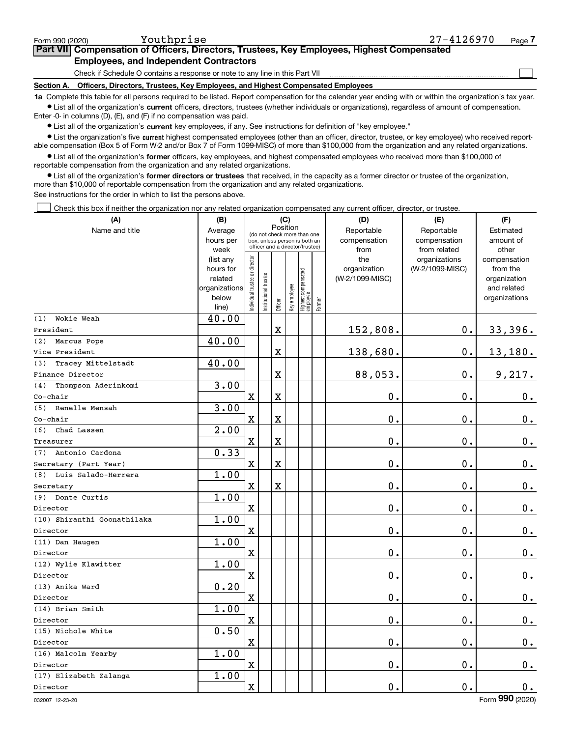$\mathcal{L}^{\text{max}}$ 

| orm 990 (2020) <sup>.</sup> | Youthprise                                                                                 | 27-4126970 | Page <i>I</i> |
|-----------------------------|--------------------------------------------------------------------------------------------|------------|---------------|
|                             | Part VII Compensation of Officers, Directors, Trustees, Key Employees, Highest Compensated |            |               |
|                             | <b>Employees, and Independent Contractors</b>                                              |            |               |

Check if Schedule O contains a response or note to any line in this Part VII

**Section A. Officers, Directors, Trustees, Key Employees, and Highest Compensated Employees**

**1a**  Complete this table for all persons required to be listed. Report compensation for the calendar year ending with or within the organization's tax year. **•** List all of the organization's current officers, directors, trustees (whether individuals or organizations), regardless of amount of compensation.

Enter -0- in columns (D), (E), and (F) if no compensation was paid.

 $\bullet$  List all of the organization's  $\,$ current key employees, if any. See instructions for definition of "key employee."

**•** List the organization's five current highest compensated employees (other than an officer, director, trustee, or key employee) who received reportable compensation (Box 5 of Form W-2 and/or Box 7 of Form 1099-MISC) of more than \$100,000 from the organization and any related organizations.

**•** List all of the organization's former officers, key employees, and highest compensated employees who received more than \$100,000 of reportable compensation from the organization and any related organizations.

**former directors or trustees**  ¥ List all of the organization's that received, in the capacity as a former director or trustee of the organization, more than \$10,000 of reportable compensation from the organization and any related organizations.

See instructions for the order in which to list the persons above.

Check this box if neither the organization nor any related organization compensated any current officer, director, or trustee.  $\mathcal{L}^{\text{max}}$ 

| (A)                         | (B)                  | (C)<br>Position               |                                                                  |                         |              |                                   |        | (D)                        | (E)                        | (F)                    |
|-----------------------------|----------------------|-------------------------------|------------------------------------------------------------------|-------------------------|--------------|-----------------------------------|--------|----------------------------|----------------------------|------------------------|
| Name and title              | Average<br>hours per |                               | (do not check more than one                                      |                         |              |                                   |        | Reportable<br>compensation | Reportable<br>compensation | Estimated<br>amount of |
|                             | week                 |                               | box, unless person is both an<br>officer and a director/trustee) |                         |              |                                   |        | from                       | from related               | other                  |
|                             | (list any            |                               |                                                                  |                         |              |                                   |        | the                        | organizations              | compensation           |
|                             | hours for            |                               |                                                                  |                         |              |                                   |        | organization               | (W-2/1099-MISC)            | from the               |
|                             | related              |                               |                                                                  |                         |              |                                   |        | (W-2/1099-MISC)            |                            | organization           |
|                             | organizations        |                               |                                                                  |                         |              |                                   |        |                            |                            | and related            |
|                             | below                | ndividual trustee or director | nstitutional trustee                                             | Officer                 | Key employee | Highest compensated<br>  employee | Former |                            |                            | organizations          |
| (1)<br>Wokie Weah           | line)<br>40.00       |                               |                                                                  |                         |              |                                   |        |                            |                            |                        |
| President                   |                      |                               |                                                                  | $\overline{\textbf{X}}$ |              |                                   |        | 152,808.                   | 0.                         | 33,396.                |
| (2)<br>Marcus Pope          | 40.00                |                               |                                                                  |                         |              |                                   |        |                            |                            |                        |
| Vice President              |                      |                               |                                                                  | $\overline{\text{X}}$   |              |                                   |        | 138,680.                   | 0.                         | 13,180.                |
| Tracey Mittelstadt<br>(3)   | 40.00                |                               |                                                                  |                         |              |                                   |        |                            |                            |                        |
| Finance Director            |                      |                               |                                                                  | $\overline{\textbf{X}}$ |              |                                   |        | 88,053.                    | $\mathbf 0$ .              | 9,217.                 |
| Thompson Aderinkomi<br>(4)  | 3.00                 |                               |                                                                  |                         |              |                                   |        |                            |                            |                        |
| $Co$ -chair                 |                      | $\mathbf X$                   |                                                                  | $\overline{\textbf{X}}$ |              |                                   |        | 0.                         | $\mathbf 0$ .              | 0.                     |
| (5) Renelle Mensah          | 3.00                 |                               |                                                                  |                         |              |                                   |        |                            |                            |                        |
| $Co$ -chair                 |                      | $\mathbf x$                   |                                                                  | $\overline{\textbf{X}}$ |              |                                   |        | 0.                         | $\mathbf 0$ .              | $0_{.}$                |
| (6)<br>Chad Lassen          | 2.00                 |                               |                                                                  |                         |              |                                   |        |                            |                            |                        |
| Treasurer                   |                      | $\mathbf X$                   |                                                                  | $\mathbf X$             |              |                                   |        | 0.                         | $\mathbf 0$ .              | $\mathbf 0$ .          |
| Antonio Cardona<br>(7)      | 0.33                 |                               |                                                                  |                         |              |                                   |        |                            |                            |                        |
| Secretary (Part Year)       |                      | $\mathbf X$                   |                                                                  | $\overline{\textbf{X}}$ |              |                                   |        | 0.                         | $\mathbf 0$ .              | $0_{.}$                |
| (8) Luis Salado-Herrera     | 1.00                 |                               |                                                                  |                         |              |                                   |        |                            |                            |                        |
| Secretary                   |                      | $\mathbf X$                   |                                                                  | $\overline{\textbf{X}}$ |              |                                   |        | 0.                         | 0.                         | $\mathbf 0$ .          |
| (9) Donte Curtis            | 1.00                 |                               |                                                                  |                         |              |                                   |        |                            |                            |                        |
| Director                    |                      | $\mathbf X$                   |                                                                  |                         |              |                                   |        | $0$ .                      | $\mathbf 0$ .              | $0_{.}$                |
| (10) Shiranthi Goonathilaka | 1.00                 |                               |                                                                  |                         |              |                                   |        |                            |                            |                        |
| Director                    |                      | $\mathbf X$                   |                                                                  |                         |              |                                   |        | 0.                         | $\mathbf 0$ .              | $0_{.}$                |
| (11) Dan Haugen             | 1.00                 |                               |                                                                  |                         |              |                                   |        |                            |                            |                        |
| Director                    |                      | $\mathbf X$                   |                                                                  |                         |              |                                   |        | 0.                         | 0.                         | $0_{.}$                |
| (12) Wylie Klawitter        | 1.00                 |                               |                                                                  |                         |              |                                   |        |                            |                            |                        |
| Director                    |                      | $\mathbf X$                   |                                                                  |                         |              |                                   |        | $0$ .                      | $\mathbf 0$ .              | $\mathbf 0$ .          |
| (13) Anika Ward             | 0.20                 |                               |                                                                  |                         |              |                                   |        |                            |                            |                        |
| Director                    |                      | $\mathbf x$                   |                                                                  |                         |              |                                   |        | 0.                         | $\mathbf 0$ .              | $0_{.}$                |
| (14) Brian Smith            | 1.00                 |                               |                                                                  |                         |              |                                   |        |                            |                            |                        |
| Director                    |                      | $\mathbf X$                   |                                                                  |                         |              |                                   |        | 0.                         | $\mathbf 0$ .              | $\mathbf 0$ .          |
| (15) Nichole White          | 0.50                 |                               |                                                                  |                         |              |                                   |        |                            |                            |                        |
| Director                    |                      | $\mathbf X$                   |                                                                  |                         |              |                                   |        | 0.                         | $\mathbf 0$ .              | $\mathbf 0$ .          |
| (16) Malcolm Yearby         | 1.00                 |                               |                                                                  |                         |              |                                   |        |                            |                            |                        |
| Director                    |                      | $\mathbf X$                   |                                                                  |                         |              |                                   |        | 0.                         | $\mathbf 0$ .              | $\mathbf 0$ .          |
| (17) Elizabeth Zalanga      | 1.00                 |                               |                                                                  |                         |              |                                   |        |                            |                            |                        |
| Director                    |                      | $\mathbf x$                   |                                                                  |                         |              |                                   |        | $0$ .                      | 0.                         | $0_{.}$                |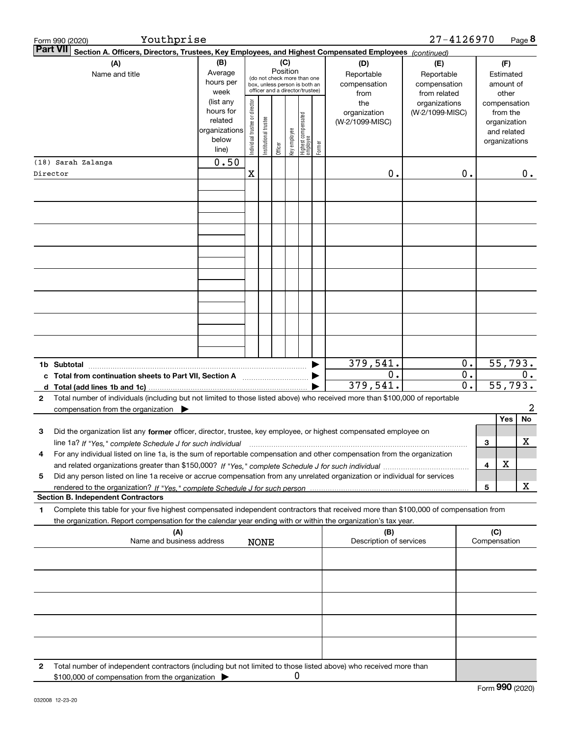| Form 990 (2020)                           | Youthprise                                                                                                                                                                                                                                                                    |                                                                      |                                |                       |                 |   |                                                                                                 |        |                                           | 27-4126970                                        |                                      |     |                                                                          | Page 8           |
|-------------------------------------------|-------------------------------------------------------------------------------------------------------------------------------------------------------------------------------------------------------------------------------------------------------------------------------|----------------------------------------------------------------------|--------------------------------|-----------------------|-----------------|---|-------------------------------------------------------------------------------------------------|--------|-------------------------------------------|---------------------------------------------------|--------------------------------------|-----|--------------------------------------------------------------------------|------------------|
| <b>Part VII</b>                           | Section A. Officers, Directors, Trustees, Key Employees, and Highest Compensated Employees (continued)                                                                                                                                                                        |                                                                      |                                |                       |                 |   |                                                                                                 |        |                                           |                                                   |                                      |     |                                                                          |                  |
|                                           | (A)<br>Name and title                                                                                                                                                                                                                                                         | (B)<br>Average<br>hours per<br>week                                  |                                |                       | (C)<br>Position |   | (do not check more than one<br>box, unless person is both an<br>officer and a director/trustee) |        | (D)<br>Reportable<br>compensation<br>from | (E)<br>Reportable<br>compensation<br>from related |                                      |     | (F)<br>Estimated<br>amount of<br>other                                   |                  |
|                                           |                                                                                                                                                                                                                                                                               | (list any<br>hours for<br>related<br>organizations<br>below<br>line) | Individual trustee or director | Institutional trustee | Officer         |   | key employee<br>Highest compensated<br>employee                                                 | Former | the<br>organization<br>(W-2/1099-MISC)    | organizations<br>(W-2/1099-MISC)                  |                                      |     | compensation<br>from the<br>organization<br>and related<br>organizations |                  |
| (18) Sarah Zalanga                        |                                                                                                                                                                                                                                                                               | 0.50                                                                 |                                |                       |                 |   |                                                                                                 |        |                                           |                                                   |                                      |     |                                                                          |                  |
| Director                                  |                                                                                                                                                                                                                                                                               |                                                                      | X                              |                       |                 |   |                                                                                                 |        | $0$ .                                     |                                                   | 0.                                   |     |                                                                          | 0.               |
|                                           |                                                                                                                                                                                                                                                                               |                                                                      |                                |                       |                 |   |                                                                                                 |        |                                           |                                                   |                                      |     |                                                                          |                  |
|                                           |                                                                                                                                                                                                                                                                               |                                                                      |                                |                       |                 |   |                                                                                                 |        |                                           |                                                   |                                      |     |                                                                          |                  |
|                                           |                                                                                                                                                                                                                                                                               |                                                                      |                                |                       |                 |   |                                                                                                 |        |                                           |                                                   |                                      |     |                                                                          |                  |
|                                           |                                                                                                                                                                                                                                                                               |                                                                      |                                |                       |                 |   |                                                                                                 |        | 379,541.                                  |                                                   | $\overline{0}$ .                     |     |                                                                          | 55,793.          |
|                                           | c Total from continuation sheets to Part VII, Section A <b>manufarity</b>                                                                                                                                                                                                     |                                                                      |                                |                       |                 |   |                                                                                                 |        | 0.<br>379, 541.                           |                                                   | $\overline{0}$ .<br>$\overline{0}$ . |     |                                                                          | $0$ .<br>55,793. |
| 2                                         | Total number of individuals (including but not limited to those listed above) who received more than \$100,000 of reportable<br>compensation from the organization $\blacktriangleright$                                                                                      |                                                                      |                                |                       |                 |   |                                                                                                 |        |                                           |                                                   |                                      |     |                                                                          | 2                |
| 3                                         | Did the organization list any former officer, director, trustee, key employee, or highest compensated employee on                                                                                                                                                             |                                                                      |                                |                       |                 |   |                                                                                                 |        |                                           |                                                   |                                      | З   | Yes                                                                      | No<br>х          |
|                                           | line 1a? If "Yes," complete Schedule J for such individual material content content to the content of the complete Schedule J for such individual<br>For any individual listed on line 1a, is the sum of reportable compensation and other compensation from the organization |                                                                      |                                |                       |                 |   |                                                                                                 |        |                                           |                                                   |                                      | 4   | х                                                                        |                  |
| 5                                         | Did any person listed on line 1a receive or accrue compensation from any unrelated organization or individual for services                                                                                                                                                    |                                                                      |                                |                       |                 |   |                                                                                                 |        |                                           |                                                   |                                      | 5   |                                                                          | x                |
| <b>Section B. Independent Contractors</b> |                                                                                                                                                                                                                                                                               |                                                                      |                                |                       |                 |   |                                                                                                 |        |                                           |                                                   |                                      |     |                                                                          |                  |
| 1                                         | Complete this table for your five highest compensated independent contractors that received more than \$100,000 of compensation from<br>the organization. Report compensation for the calendar year ending with or within the organization's tax year.                        |                                                                      |                                |                       |                 |   |                                                                                                 |        |                                           |                                                   |                                      |     |                                                                          |                  |
|                                           | (A)<br>Name and business address                                                                                                                                                                                                                                              |                                                                      |                                | <b>NONE</b>           |                 |   |                                                                                                 |        | (B)<br>Description of services            |                                                   |                                      | (C) | Compensation                                                             |                  |
|                                           |                                                                                                                                                                                                                                                                               |                                                                      |                                |                       |                 |   |                                                                                                 |        |                                           |                                                   |                                      |     |                                                                          |                  |
|                                           |                                                                                                                                                                                                                                                                               |                                                                      |                                |                       |                 |   |                                                                                                 |        |                                           |                                                   |                                      |     |                                                                          |                  |
|                                           |                                                                                                                                                                                                                                                                               |                                                                      |                                |                       |                 |   |                                                                                                 |        |                                           |                                                   |                                      |     |                                                                          |                  |
|                                           |                                                                                                                                                                                                                                                                               |                                                                      |                                |                       |                 |   |                                                                                                 |        |                                           |                                                   |                                      |     |                                                                          |                  |
| 2                                         | Total number of independent contractors (including but not limited to those listed above) who received more than<br>\$100,000 of compensation from the organization                                                                                                           |                                                                      |                                |                       |                 | 0 |                                                                                                 |        |                                           |                                                   |                                      |     |                                                                          |                  |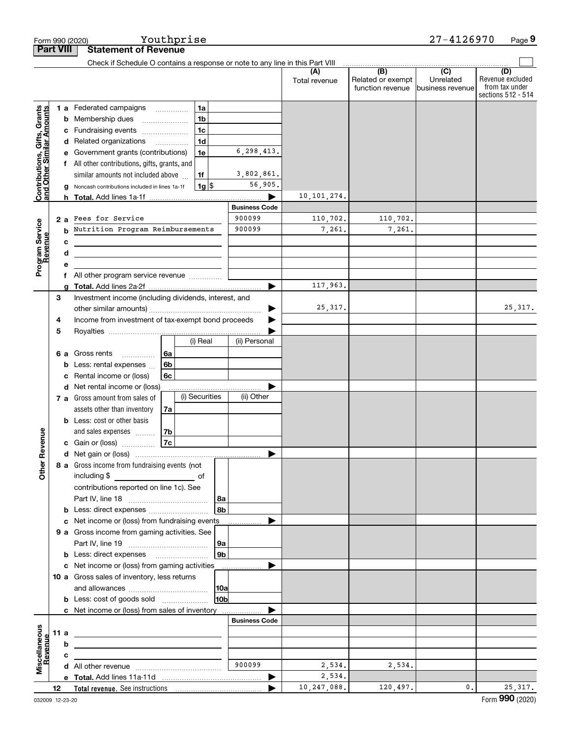|                                                           |                  | Form 990 (2020)                                                               |    | Youthprise     |             |                                |                      |                                                           | 27-4126970                                      | Page 9                                                          |
|-----------------------------------------------------------|------------------|-------------------------------------------------------------------------------|----|----------------|-------------|--------------------------------|----------------------|-----------------------------------------------------------|-------------------------------------------------|-----------------------------------------------------------------|
|                                                           | <b>Part VIII</b> | <b>Statement of Revenue</b>                                                   |    |                |             |                                |                      |                                                           |                                                 |                                                                 |
|                                                           |                  | Check if Schedule O contains a response or note to any line in this Part VIII |    |                |             |                                |                      |                                                           |                                                 |                                                                 |
|                                                           |                  |                                                                               |    |                |             |                                | (A)<br>Total revenue | $\overline{(B)}$<br>Related or exempt<br>function revenue | $\overline{C}$<br>Unrelated<br>business revenue | (D)<br>Revenue excluded<br>from tax under<br>sections 512 - 514 |
|                                                           |                  | 1 a Federated campaigns                                                       |    | 1a             |             |                                |                      |                                                           |                                                 |                                                                 |
| Contributions, Gifts, Grants<br>and Other Similar Amounts |                  | <b>b</b> Membership dues                                                      |    | 1 <sub>b</sub> |             |                                |                      |                                                           |                                                 |                                                                 |
|                                                           |                  | c Fundraising events                                                          |    | 1 <sub>c</sub> |             |                                |                      |                                                           |                                                 |                                                                 |
|                                                           |                  | d Related organizations                                                       |    | 1 <sub>d</sub> |             |                                |                      |                                                           |                                                 |                                                                 |
|                                                           |                  | e Government grants (contributions)                                           |    | 1e             |             | 6, 298, 413.                   |                      |                                                           |                                                 |                                                                 |
|                                                           |                  | f All other contributions, gifts, grants, and                                 |    |                |             |                                |                      |                                                           |                                                 |                                                                 |
|                                                           |                  | similar amounts not included above                                            |    | 1f             |             | 3,802,861.                     |                      |                                                           |                                                 |                                                                 |
|                                                           |                  | g Noncash contributions included in lines 1a-1f                               |    | $1g$ \$        |             | 56,905.                        |                      |                                                           |                                                 |                                                                 |
|                                                           |                  |                                                                               |    |                |             |                                | 10, 101, 274.        |                                                           |                                                 |                                                                 |
|                                                           |                  | Fees for Service                                                              |    |                |             | <b>Business Code</b><br>900099 |                      |                                                           |                                                 |                                                                 |
|                                                           | 2a               | Nutrition Program Reimbursements                                              |    |                |             | 900099                         | 110,702.<br>7,261.   | 110,702.<br>7,261.                                        |                                                 |                                                                 |
|                                                           | b                |                                                                               |    |                |             |                                |                      |                                                           |                                                 |                                                                 |
|                                                           | c                |                                                                               |    |                |             |                                |                      |                                                           |                                                 |                                                                 |
| Program Service<br>Revenue                                | d<br>е           |                                                                               |    |                |             |                                |                      |                                                           |                                                 |                                                                 |
|                                                           | f.               | All other program service revenue                                             |    |                |             |                                |                      |                                                           |                                                 |                                                                 |
|                                                           | a                |                                                                               |    |                |             |                                | 117,963.             |                                                           |                                                 |                                                                 |
|                                                           | 3                | Investment income (including dividends, interest, and                         |    |                |             |                                |                      |                                                           |                                                 |                                                                 |
|                                                           |                  |                                                                               |    |                |             |                                | 25,317.              |                                                           |                                                 | 25, 317.                                                        |
|                                                           | 4                | Income from investment of tax-exempt bond proceeds                            |    |                |             |                                |                      |                                                           |                                                 |                                                                 |
|                                                           | 5                |                                                                               |    |                |             |                                |                      |                                                           |                                                 |                                                                 |
|                                                           |                  |                                                                               |    | (i) Real       |             | (ii) Personal                  |                      |                                                           |                                                 |                                                                 |
|                                                           |                  | 6 a Gross rents<br>.                                                          | 6a |                |             |                                |                      |                                                           |                                                 |                                                                 |
|                                                           | b                | Less: rental expenses                                                         | 6b |                |             |                                |                      |                                                           |                                                 |                                                                 |
|                                                           | c                | Rental income or (loss)                                                       | 6c |                |             |                                |                      |                                                           |                                                 |                                                                 |
|                                                           |                  | d Net rental income or (loss)                                                 |    |                |             |                                |                      |                                                           |                                                 |                                                                 |
|                                                           |                  | 7 a Gross amount from sales of                                                |    | (i) Securities |             | (ii) Other                     |                      |                                                           |                                                 |                                                                 |
|                                                           |                  | assets other than inventory<br><b>b</b> Less: cost or other basis             | 7a |                |             |                                |                      |                                                           |                                                 |                                                                 |
|                                                           |                  | and sales expenses                                                            | 7b |                |             |                                |                      |                                                           |                                                 |                                                                 |
| venue                                                     |                  | <b>c</b> Gain or (loss) $\ldots$                                              | 7c |                |             |                                |                      |                                                           |                                                 |                                                                 |
|                                                           |                  |                                                                               |    |                |             |                                |                      |                                                           |                                                 |                                                                 |
| Other Re                                                  |                  | 8 a Gross income from fundraising events (not                                 |    |                |             |                                |                      |                                                           |                                                 |                                                                 |
|                                                           |                  | including \$                                                                  |    |                |             |                                |                      |                                                           |                                                 |                                                                 |
|                                                           |                  | contributions reported on line 1c). See                                       |    |                |             |                                |                      |                                                           |                                                 |                                                                 |
|                                                           |                  |                                                                               |    |                | 8a          |                                |                      |                                                           |                                                 |                                                                 |
|                                                           |                  |                                                                               |    |                | l 8b l      |                                |                      |                                                           |                                                 |                                                                 |
|                                                           |                  | c Net income or (loss) from fundraising events                                |    |                |             |                                |                      |                                                           |                                                 |                                                                 |
|                                                           |                  | 9 a Gross income from gaming activities. See                                  |    |                |             |                                |                      |                                                           |                                                 |                                                                 |
|                                                           |                  |                                                                               |    |                | 9a          |                                |                      |                                                           |                                                 |                                                                 |
|                                                           |                  | <b>b</b> Less: direct expenses <b>manually</b>                                |    |                | 9b          |                                |                      |                                                           |                                                 |                                                                 |
|                                                           |                  | c Net income or (loss) from gaming activities                                 |    |                |             |                                |                      |                                                           |                                                 |                                                                 |
|                                                           |                  | 10 a Gross sales of inventory, less returns                                   |    |                |             |                                |                      |                                                           |                                                 |                                                                 |
|                                                           |                  |                                                                               |    |                | 10a<br>10bl |                                |                      |                                                           |                                                 |                                                                 |
|                                                           |                  |                                                                               |    |                |             |                                |                      |                                                           |                                                 |                                                                 |
|                                                           |                  | c Net income or (loss) from sales of inventory                                |    |                |             | <b>Business Code</b>           |                      |                                                           |                                                 |                                                                 |
|                                                           | 11 $a$           |                                                                               |    |                |             |                                |                      |                                                           |                                                 |                                                                 |
|                                                           | b                |                                                                               |    |                |             |                                |                      |                                                           |                                                 |                                                                 |
| Miscellaneous<br>Revenue                                  | c                |                                                                               |    |                |             |                                |                      |                                                           |                                                 |                                                                 |
|                                                           |                  |                                                                               |    |                |             | 900099                         | 2,534.               | 2,534.                                                    |                                                 |                                                                 |
|                                                           |                  |                                                                               |    |                |             | ▶                              | 2,534.               |                                                           |                                                 |                                                                 |
|                                                           | 12               |                                                                               |    |                |             |                                | 10,247,088.          | 120,497.                                                  | 0.                                              | 25, 317.                                                        |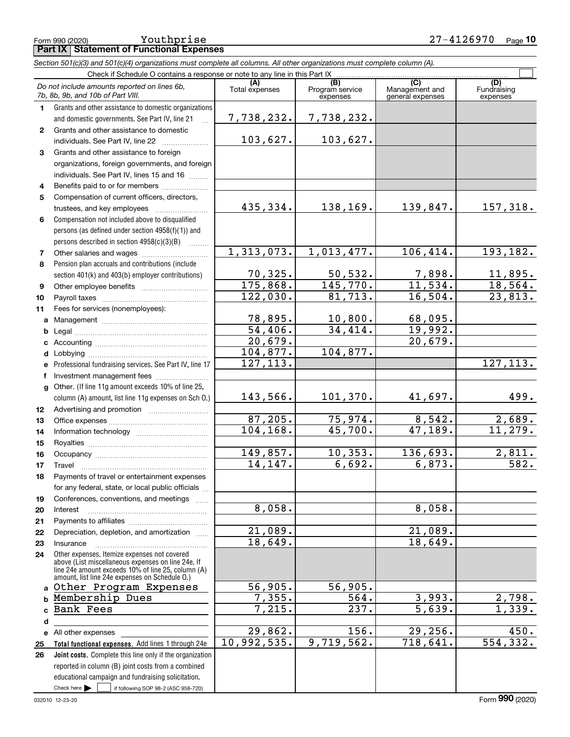|              | Section 501(c)(3) and 501(c)(4) organizations must complete all columns. All other organizations must complete column (A).                               |                       |                                    |                                                        |                                |
|--------------|----------------------------------------------------------------------------------------------------------------------------------------------------------|-----------------------|------------------------------------|--------------------------------------------------------|--------------------------------|
|              | Check if Schedule O contains a response or note to any line in this Part IX.                                                                             |                       |                                    |                                                        |                                |
|              | Do not include amounts reported on lines 6b,<br>7b, 8b, 9b, and 10b of Part VIII.                                                                        | (A)<br>Total expenses | (B)<br>Program service<br>expenses | $\overline{(C)}$<br>Management and<br>general expenses | (D)<br>Fundraising<br>expenses |
| $\mathbf{1}$ | Grants and other assistance to domestic organizations<br>and domestic governments. See Part IV, line 21                                                  | 7,738,232.            | 7,738,232.                         |                                                        |                                |
| $\mathbf{2}$ | Grants and other assistance to domestic<br>individuals. See Part IV, line 22                                                                             | 103,627.              | 103,627.                           |                                                        |                                |
| 3            | Grants and other assistance to foreign                                                                                                                   |                       |                                    |                                                        |                                |
|              | organizations, foreign governments, and foreign<br>individuals. See Part IV, lines 15 and 16                                                             |                       |                                    |                                                        |                                |
| 4            | Benefits paid to or for members                                                                                                                          |                       |                                    |                                                        |                                |
| 5            | Compensation of current officers, directors,<br>trustees, and key employees                                                                              | 435,334.              | 138,169.                           | 139,847.                                               | 157,318.                       |
| 6            | Compensation not included above to disqualified<br>persons (as defined under section 4958(f)(1)) and<br>persons described in section 4958(c)(3)(B)<br>.  |                       |                                    |                                                        |                                |
| 7            |                                                                                                                                                          | 1,313,073.            | 1,013,477.                         | 106, 414.                                              | 193, 182.                      |
| 8            | Pension plan accruals and contributions (include                                                                                                         |                       |                                    |                                                        |                                |
|              | section 401(k) and 403(b) employer contributions)                                                                                                        | 70,325.               | 50, 532.                           | $\frac{7,898.}{11,534.}$                               | 11,895.                        |
| 9            |                                                                                                                                                          | 175,868.              | 145,770.                           |                                                        | 18,564.                        |
| 10           |                                                                                                                                                          | 122,030.              | 81,713.                            | 16,504.                                                | 23,813.                        |
| 11           | Fees for services (nonemployees):                                                                                                                        |                       |                                    |                                                        |                                |
| a            |                                                                                                                                                          | 78,895.               | 10,800.                            | 68,095.                                                |                                |
| b            |                                                                                                                                                          | 54,406.               | 34,414.                            | 19,992.                                                |                                |
|              |                                                                                                                                                          | 20,679.               |                                    | 20,679.                                                |                                |
| d            |                                                                                                                                                          | 104,877.<br>127, 113. | 104,877.                           |                                                        | 127, 113.                      |
|              | Professional fundraising services. See Part IV, line 17                                                                                                  |                       |                                    |                                                        |                                |
| f            | Investment management fees<br>Other. (If line 11g amount exceeds 10% of line 25,                                                                         |                       |                                    |                                                        |                                |
| g            | column (A) amount, list line 11g expenses on Sch O.)                                                                                                     | 143,566.              | 101,370.                           | 41,697.                                                | 499.                           |
| 12           |                                                                                                                                                          |                       |                                    |                                                        |                                |
| 13           |                                                                                                                                                          | 87,205.               | 75,974.                            | 8,542.                                                 | 2,689.                         |
| 14           |                                                                                                                                                          | 104, 168.             | 45,700.                            | 47, 189.                                               | 11,279.                        |
| 15           |                                                                                                                                                          |                       |                                    |                                                        |                                |
| 16           |                                                                                                                                                          | 149,857.              | 10, 353.                           | 136,693.                                               | 2,811.                         |
| 17           | Travel                                                                                                                                                   | 14,147.               | 6,692.                             | 6,873.                                                 | 582.                           |
| 18           | Payments of travel or entertainment expenses                                                                                                             |                       |                                    |                                                        |                                |
|              | for any federal, state, or local public officials                                                                                                        |                       |                                    |                                                        |                                |
| 19           | Conferences, conventions, and meetings                                                                                                                   | 8,058.                |                                    | 8,058.                                                 |                                |
| 20<br>21     | Interest                                                                                                                                                 |                       |                                    |                                                        |                                |
| 22           | Depreciation, depletion, and amortization                                                                                                                | 21,089.               |                                    | 21,089.                                                |                                |
| 23           | Insurance                                                                                                                                                | 18,649.               |                                    | 18,649.                                                |                                |
| 24           | Other expenses. Itemize expenses not covered<br>above (List miscellaneous expenses on line 24e. If<br>line 24e amount exceeds 10% of line 25, column (A) |                       |                                    |                                                        |                                |
|              | amount, list line 24e expenses on Schedule O.)<br>Other Program Expenses                                                                                 | 56,905.               | 56,905.                            |                                                        |                                |
|              | Membership Dues                                                                                                                                          | 7,355.                | 564.                               | 3,993.                                                 | 2,798.                         |
|              | <b>Bank Fees</b>                                                                                                                                         | 7,215.                | 237.                               | $\overline{5,639}$ .                                   | 1,339.                         |
| d            |                                                                                                                                                          |                       |                                    |                                                        |                                |
|              | e All other expenses                                                                                                                                     | 29,862.               | 156.                               | 29, 256.                                               | 450.                           |
| 25           | Total functional expenses. Add lines 1 through 24e                                                                                                       | 10,992,535.           | 9,719,562.                         | 718,641.                                               | 554, 332.                      |
| 26           | Joint costs. Complete this line only if the organization                                                                                                 |                       |                                    |                                                        |                                |
|              | reported in column (B) joint costs from a combined                                                                                                       |                       |                                    |                                                        |                                |
|              | educational campaign and fundraising solicitation.                                                                                                       |                       |                                    |                                                        |                                |

 $Check here$ 

Check here  $\bullet$  if following SOP 98-2 (ASC 958-720)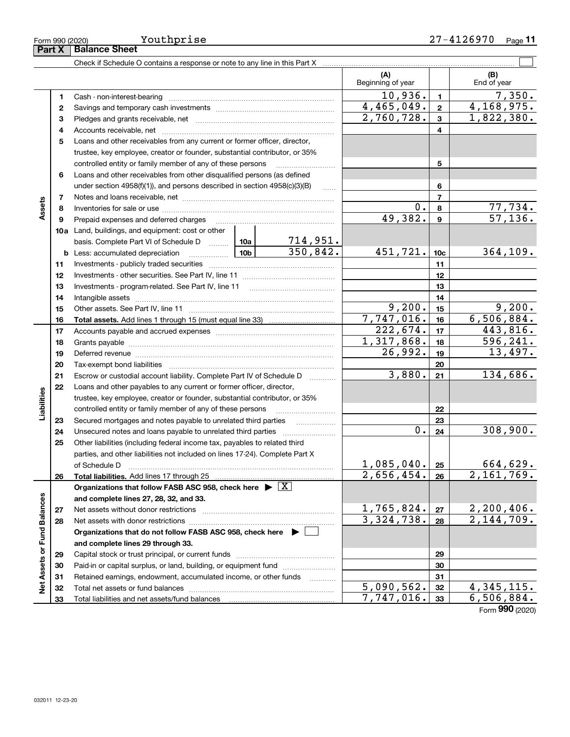| Form 990 (2020) | Youthprise                                                                 |                         |   | 27-4126970         | Page 11 |
|-----------------|----------------------------------------------------------------------------|-------------------------|---|--------------------|---------|
| Part X          | <b>Balance Sheet</b>                                                       |                         |   |                    |         |
|                 | Check if Schedule O contains a response or note to any line in this Part X |                         |   |                    |         |
|                 |                                                                            | (A<br>Beginning of year |   | (B)<br>End of year |         |
|                 | Cash - non-interest-bearing                                                | 10,936.                 |   |                    | 7,350.  |
|                 | Savings and temporary cash investments                                     | 4,465,049.              | 2 | 4,168,975.         |         |
|                 |                                                                            | 0.750.700               |   |                    | noo poo |

Form (2020) **990**

|                           | 1  | Cash - non-interest-bearing                                                                                                                                                                                                    |         |                             | 10,936.                 | $\mathbf{1}$    | 7,350.                      |
|---------------------------|----|--------------------------------------------------------------------------------------------------------------------------------------------------------------------------------------------------------------------------------|---------|-----------------------------|-------------------------|-----------------|-----------------------------|
|                           | 2  |                                                                                                                                                                                                                                |         |                             | 4,465,049.              | $\mathbf{2}$    | 4,168,975.                  |
|                           | 3  |                                                                                                                                                                                                                                |         |                             | 2,760,728.              | 3               | 1,822,380.                  |
|                           | 4  |                                                                                                                                                                                                                                |         |                             |                         | 4               |                             |
|                           | 5  | Loans and other receivables from any current or former officer, director,                                                                                                                                                      |         |                             |                         |                 |                             |
|                           |    | trustee, key employee, creator or founder, substantial contributor, or 35%                                                                                                                                                     |         |                             |                         |                 |                             |
|                           |    | controlled entity or family member of any of these persons                                                                                                                                                                     |         |                             |                         | 5               |                             |
|                           | 6  | Loans and other receivables from other disqualified persons (as defined                                                                                                                                                        |         |                             |                         |                 |                             |
|                           |    | under section 4958(f)(1)), and persons described in section 4958(c)(3)(B)                                                                                                                                                      |         | <b>Carlos</b>               |                         | 6               |                             |
|                           | 7  |                                                                                                                                                                                                                                |         |                             |                         | $\overline{7}$  |                             |
| Assets                    | 8  |                                                                                                                                                                                                                                |         |                             | 0.                      | 8               |                             |
|                           | 9  |                                                                                                                                                                                                                                |         |                             | 49,382.                 | $\mathbf{9}$    | $\frac{77,734}{57,136}$     |
|                           |    | 10a Land, buildings, and equipment: cost or other                                                                                                                                                                              |         |                             |                         |                 |                             |
|                           |    | basis. Complete Part VI of Schedule D  10a                                                                                                                                                                                     |         |                             |                         |                 |                             |
|                           |    | <u>  10b</u>  <br><b>b</b> Less: accumulated depreciation                                                                                                                                                                      |         | $\frac{714,951.}{350,842.}$ | 451,721.                | 10 <sub>c</sub> | 364, 109.                   |
|                           | 11 |                                                                                                                                                                                                                                |         |                             |                         | 11              |                             |
|                           | 12 |                                                                                                                                                                                                                                |         |                             |                         | 12              |                             |
|                           | 13 |                                                                                                                                                                                                                                |         |                             |                         | 13              |                             |
|                           | 14 |                                                                                                                                                                                                                                |         |                             | 14                      |                 |                             |
|                           | 15 |                                                                                                                                                                                                                                | 9,200.  | 15                          | 9,200.                  |                 |                             |
|                           | 16 |                                                                                                                                                                                                                                |         | $7,747,016$ .               | 16                      | 6,506,884.      |                             |
|                           | 17 |                                                                                                                                                                                                                                |         |                             | 222,674.                | 17              | 443,816.                    |
|                           | 18 |                                                                                                                                                                                                                                |         |                             | $\overline{1,317},868.$ | 18              | 596, 241.                   |
|                           | 19 | Deferred revenue information and contact the contract of the contract of the contract of the contract of the contract of the contract of the contract of the contract of the contract of the contract of the contract of the c | 26,992. | 19                          | 13,497.                 |                 |                             |
|                           | 20 |                                                                                                                                                                                                                                |         | 20                          |                         |                 |                             |
|                           | 21 | Escrow or custodial account liability. Complete Part IV of Schedule D                                                                                                                                                          | 3,880.  | 21                          | 134,686.                |                 |                             |
|                           | 22 | Loans and other payables to any current or former officer, director,                                                                                                                                                           |         |                             |                         |                 |                             |
|                           |    | trustee, key employee, creator or founder, substantial contributor, or 35%                                                                                                                                                     |         |                             |                         |                 |                             |
| Liabilities               |    | controlled entity or family member of any of these persons                                                                                                                                                                     |         |                             |                         | 22              |                             |
|                           | 23 | Secured mortgages and notes payable to unrelated third parties                                                                                                                                                                 |         |                             |                         | 23              |                             |
|                           | 24 |                                                                                                                                                                                                                                |         |                             | 0.                      | 24              | 308,900.                    |
|                           | 25 | Other liabilities (including federal income tax, payables to related third                                                                                                                                                     |         |                             |                         |                 |                             |
|                           |    | parties, and other liabilities not included on lines 17-24). Complete Part X                                                                                                                                                   |         |                             |                         |                 |                             |
|                           |    | of Schedule D                                                                                                                                                                                                                  |         |                             | 1,085,040.              | 25              | 664,629.                    |
|                           | 26 | Total liabilities. Add lines 17 through 25                                                                                                                                                                                     |         |                             | 2,656,454.              | 26              | 2,161,769.                  |
|                           |    | Organizations that follow FASB ASC 958, check here $\blacktriangleright \boxed{X}$                                                                                                                                             |         |                             |                         |                 |                             |
| 8ĝ                        |    | and complete lines 27, 28, 32, and 33.                                                                                                                                                                                         |         |                             |                         |                 |                             |
|                           | 27 |                                                                                                                                                                                                                                |         |                             | 1,765,824.              | 27              | 2,200,406.                  |
|                           | 28 | Net assets with donor restrictions                                                                                                                                                                                             |         |                             | 3,324,738.              | 28              | 2,144,709.                  |
|                           |    | Organizations that do not follow FASB ASC 958, check here $\blacktriangleright$                                                                                                                                                |         |                             |                         |                 |                             |
|                           |    | and complete lines 29 through 33.                                                                                                                                                                                              |         |                             |                         |                 |                             |
|                           | 29 |                                                                                                                                                                                                                                |         |                             |                         | 29              |                             |
|                           | 30 | Paid-in or capital surplus, or land, building, or equipment fund                                                                                                                                                               |         |                             |                         | 30              |                             |
|                           | 31 | Retained earnings, endowment, accumulated income, or other funds                                                                                                                                                               |         |                             |                         | 31              |                             |
| Net Assets or Fund Baland | 32 |                                                                                                                                                                                                                                |         |                             | 5,090,562.              | 32              | <u>4,345,115.</u>           |
|                           | 33 |                                                                                                                                                                                                                                |         | 7,747,016.                  | 33                      | 6,506,884.      |                             |
|                           |    |                                                                                                                                                                                                                                |         |                             |                         |                 | $F_{\text{Orm}}$ 990 (2020) |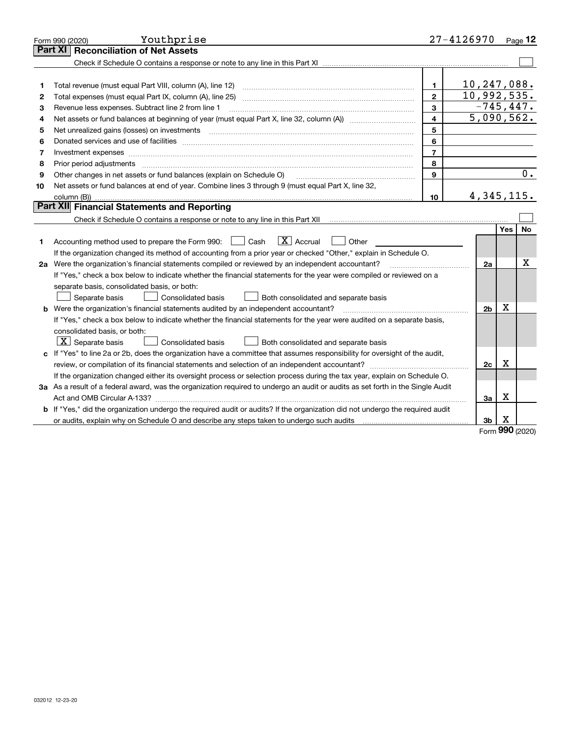|    | Youthprise<br>Form 990 (2020)                                                                                                   |                | 27-4126970                  |     | Page 12   |  |  |  |
|----|---------------------------------------------------------------------------------------------------------------------------------|----------------|-----------------------------|-----|-----------|--|--|--|
|    | <b>Reconciliation of Net Assets</b><br>Part XI                                                                                  |                |                             |     |           |  |  |  |
|    |                                                                                                                                 |                |                             |     |           |  |  |  |
|    |                                                                                                                                 |                |                             |     |           |  |  |  |
| 1  | Total revenue (must equal Part VIII, column (A), line 12)                                                                       | $\mathbf{1}$   | 10, 247, 088.               |     |           |  |  |  |
| 2  | Total expenses (must equal Part IX, column (A), line 25)                                                                        | $\overline{2}$ | 10,992,535.<br>$-745, 447.$ |     |           |  |  |  |
| з  | 3<br>Revenue less expenses. Subtract line 2 from line 1                                                                         |                |                             |     |           |  |  |  |
| 4  |                                                                                                                                 | 4              | 5,090,562.                  |     |           |  |  |  |
| 5  |                                                                                                                                 | 5              |                             |     |           |  |  |  |
| 6  |                                                                                                                                 | 6              |                             |     |           |  |  |  |
| 7  | Investment expenses                                                                                                             | $\overline{7}$ |                             |     |           |  |  |  |
| 8  | Prior period adjustments                                                                                                        | 8              |                             |     |           |  |  |  |
| 9  | Other changes in net assets or fund balances (explain on Schedule O)                                                            | 9              |                             |     | 0.        |  |  |  |
| 10 | Net assets or fund balances at end of year. Combine lines 3 through 9 (must equal Part X, line 32,                              |                |                             |     |           |  |  |  |
|    | column (B)).                                                                                                                    | 10             | 4, 345, 115.                |     |           |  |  |  |
|    | Part XII Financial Statements and Reporting                                                                                     |                |                             |     |           |  |  |  |
|    |                                                                                                                                 |                |                             |     |           |  |  |  |
|    |                                                                                                                                 |                |                             | Yes | <b>No</b> |  |  |  |
| 1  | $\boxed{\text{X}}$ Accrual<br>Accounting method used to prepare the Form 990: <u>I</u> Cash<br>Other                            |                |                             |     |           |  |  |  |
|    | If the organization changed its method of accounting from a prior year or checked "Other," explain in Schedule O.               |                |                             |     |           |  |  |  |
|    | 2a Were the organization's financial statements compiled or reviewed by an independent accountant?                              |                | 2a                          |     | x         |  |  |  |
|    | If "Yes," check a box below to indicate whether the financial statements for the year were compiled or reviewed on a            |                |                             |     |           |  |  |  |
|    | separate basis, consolidated basis, or both:                                                                                    |                |                             |     |           |  |  |  |
|    | Separate basis<br><b>Consolidated basis</b><br>Both consolidated and separate basis                                             |                |                             |     |           |  |  |  |
|    | <b>b</b> Were the organization's financial statements audited by an independent accountant?                                     |                | 2 <sub>b</sub>              | х   |           |  |  |  |
|    | If "Yes," check a box below to indicate whether the financial statements for the year were audited on a separate basis,         |                |                             |     |           |  |  |  |
|    | consolidated basis, or both:                                                                                                    |                |                             |     |           |  |  |  |
|    | $X$ Separate basis<br>Consolidated basis<br>Both consolidated and separate basis                                                |                |                             |     |           |  |  |  |
| c  | If "Yes" to line 2a or 2b, does the organization have a committee that assumes responsibility for oversight of the audit,       |                |                             | х   |           |  |  |  |
|    |                                                                                                                                 |                |                             |     |           |  |  |  |
|    | If the organization changed either its oversight process or selection process during the tax year, explain on Schedule O.       |                |                             |     |           |  |  |  |
|    | 3a As a result of a federal award, was the organization required to undergo an audit or audits as set forth in the Single Audit |                |                             |     |           |  |  |  |
|    |                                                                                                                                 |                | За                          | х   |           |  |  |  |
|    | b If "Yes," did the organization undergo the required audit or audits? If the organization did not undergo the required audit   |                |                             |     |           |  |  |  |
|    | or audits, explain why on Schedule O and describe any steps taken to undergo such audits                                        |                | 3b                          | х   |           |  |  |  |

Form (2020) **990**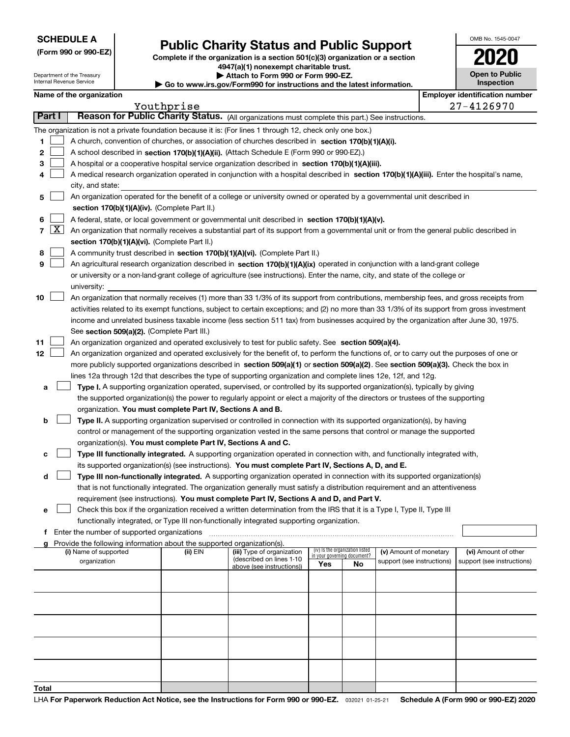**(Form 990 or 990-EZ)**

# **Public Charity Status and Public Support**

**Complete if the organization is a section 501(c)(3) organization or a section 4947(a)(1) nonexempt charitable trust. | Attach to Form 990 or Form 990-EZ.** 

| OMB No. 1545-0047 |  |
|-------------------|--|
|                   |  |

|    |            | Department of the Treasury<br>Internal Revenue Service                                                                                    |  | Attach to Form 990 or Form 990-EZ.<br>$\blacktriangleright$ Go to www.irs.gov/Form990 for instructions and the latest information. | <b>Open to Public</b><br>Inspection                                                                                                          |     |                                   |                            |  |                                       |  |  |  |
|----|------------|-------------------------------------------------------------------------------------------------------------------------------------------|--|------------------------------------------------------------------------------------------------------------------------------------|----------------------------------------------------------------------------------------------------------------------------------------------|-----|-----------------------------------|----------------------------|--|---------------------------------------|--|--|--|
|    |            | Name of the organization                                                                                                                  |  |                                                                                                                                    |                                                                                                                                              |     |                                   |                            |  | <b>Employer identification number</b> |  |  |  |
|    |            |                                                                                                                                           |  | Youthprise                                                                                                                         |                                                                                                                                              |     |                                   |                            |  | 27-4126970                            |  |  |  |
|    | Part I     |                                                                                                                                           |  |                                                                                                                                    | Reason for Public Charity Status. (All organizations must complete this part.) See instructions.                                             |     |                                   |                            |  |                                       |  |  |  |
|    |            |                                                                                                                                           |  |                                                                                                                                    | The organization is not a private foundation because it is: (For lines 1 through 12, check only one box.)                                    |     |                                   |                            |  |                                       |  |  |  |
| 1  |            |                                                                                                                                           |  |                                                                                                                                    | A church, convention of churches, or association of churches described in section 170(b)(1)(A)(i).                                           |     |                                   |                            |  |                                       |  |  |  |
| 2  |            |                                                                                                                                           |  |                                                                                                                                    | A school described in section 170(b)(1)(A)(ii). (Attach Schedule E (Form 990 or 990-EZ).)                                                    |     |                                   |                            |  |                                       |  |  |  |
| з  |            |                                                                                                                                           |  |                                                                                                                                    | A hospital or a cooperative hospital service organization described in section $170(b)(1)(A)(iii)$ .                                         |     |                                   |                            |  |                                       |  |  |  |
| 4  |            |                                                                                                                                           |  |                                                                                                                                    | A medical research organization operated in conjunction with a hospital described in section 170(b)(1)(A)(iii). Enter the hospital's name,   |     |                                   |                            |  |                                       |  |  |  |
|    |            | city, and state:                                                                                                                          |  |                                                                                                                                    |                                                                                                                                              |     |                                   |                            |  |                                       |  |  |  |
| 5  |            |                                                                                                                                           |  |                                                                                                                                    | An organization operated for the benefit of a college or university owned or operated by a governmental unit described in                    |     |                                   |                            |  |                                       |  |  |  |
|    |            |                                                                                                                                           |  | section 170(b)(1)(A)(iv). (Complete Part II.)                                                                                      |                                                                                                                                              |     |                                   |                            |  |                                       |  |  |  |
| 6  |            | A federal, state, or local government or governmental unit described in section 170(b)(1)(A)(v).                                          |  |                                                                                                                                    |                                                                                                                                              |     |                                   |                            |  |                                       |  |  |  |
|    | $7 \times$ | An organization that normally receives a substantial part of its support from a governmental unit or from the general public described in |  |                                                                                                                                    |                                                                                                                                              |     |                                   |                            |  |                                       |  |  |  |
|    |            |                                                                                                                                           |  | section 170(b)(1)(A)(vi). (Complete Part II.)                                                                                      |                                                                                                                                              |     |                                   |                            |  |                                       |  |  |  |
| 8  |            |                                                                                                                                           |  |                                                                                                                                    | A community trust described in section 170(b)(1)(A)(vi). (Complete Part II.)                                                                 |     |                                   |                            |  |                                       |  |  |  |
| 9  |            |                                                                                                                                           |  |                                                                                                                                    | An agricultural research organization described in section 170(b)(1)(A)(ix) operated in conjunction with a land-grant college                |     |                                   |                            |  |                                       |  |  |  |
|    |            |                                                                                                                                           |  |                                                                                                                                    | or university or a non-land-grant college of agriculture (see instructions). Enter the name, city, and state of the college or               |     |                                   |                            |  |                                       |  |  |  |
|    |            | university:                                                                                                                               |  |                                                                                                                                    |                                                                                                                                              |     |                                   |                            |  |                                       |  |  |  |
| 10 |            |                                                                                                                                           |  |                                                                                                                                    | An organization that normally receives (1) more than 33 1/3% of its support from contributions, membership fees, and gross receipts from     |     |                                   |                            |  |                                       |  |  |  |
|    |            |                                                                                                                                           |  |                                                                                                                                    | activities related to its exempt functions, subject to certain exceptions; and (2) no more than 33 1/3% of its support from gross investment |     |                                   |                            |  |                                       |  |  |  |
|    |            |                                                                                                                                           |  |                                                                                                                                    | income and unrelated business taxable income (less section 511 tax) from businesses acquired by the organization after June 30, 1975.        |     |                                   |                            |  |                                       |  |  |  |
|    |            |                                                                                                                                           |  | See section 509(a)(2). (Complete Part III.)                                                                                        |                                                                                                                                              |     |                                   |                            |  |                                       |  |  |  |
| 11 |            |                                                                                                                                           |  |                                                                                                                                    | An organization organized and operated exclusively to test for public safety. See section 509(a)(4).                                         |     |                                   |                            |  |                                       |  |  |  |
| 12 |            |                                                                                                                                           |  |                                                                                                                                    | An organization organized and operated exclusively for the benefit of, to perform the functions of, or to carry out the purposes of one or   |     |                                   |                            |  |                                       |  |  |  |
|    |            |                                                                                                                                           |  |                                                                                                                                    | more publicly supported organizations described in section 509(a)(1) or section 509(a)(2). See section 509(a)(3). Check the box in           |     |                                   |                            |  |                                       |  |  |  |
|    |            |                                                                                                                                           |  |                                                                                                                                    | lines 12a through 12d that describes the type of supporting organization and complete lines 12e, 12f, and 12g.                               |     |                                   |                            |  |                                       |  |  |  |
| а  |            |                                                                                                                                           |  |                                                                                                                                    | Type I. A supporting organization operated, supervised, or controlled by its supported organization(s), typically by giving                  |     |                                   |                            |  |                                       |  |  |  |
|    |            |                                                                                                                                           |  |                                                                                                                                    | the supported organization(s) the power to regularly appoint or elect a majority of the directors or trustees of the supporting              |     |                                   |                            |  |                                       |  |  |  |
|    |            |                                                                                                                                           |  | organization. You must complete Part IV, Sections A and B.                                                                         |                                                                                                                                              |     |                                   |                            |  |                                       |  |  |  |
| b  |            |                                                                                                                                           |  |                                                                                                                                    | Type II. A supporting organization supervised or controlled in connection with its supported organization(s), by having                      |     |                                   |                            |  |                                       |  |  |  |
|    |            |                                                                                                                                           |  |                                                                                                                                    | control or management of the supporting organization vested in the same persons that control or manage the supported                         |     |                                   |                            |  |                                       |  |  |  |
|    |            |                                                                                                                                           |  | organization(s). You must complete Part IV, Sections A and C.                                                                      |                                                                                                                                              |     |                                   |                            |  |                                       |  |  |  |
| с  |            |                                                                                                                                           |  |                                                                                                                                    | Type III functionally integrated. A supporting organization operated in connection with, and functionally integrated with,                   |     |                                   |                            |  |                                       |  |  |  |
|    |            |                                                                                                                                           |  |                                                                                                                                    | its supported organization(s) (see instructions). You must complete Part IV, Sections A, D, and E.                                           |     |                                   |                            |  |                                       |  |  |  |
| d  |            |                                                                                                                                           |  |                                                                                                                                    | Type III non-functionally integrated. A supporting organization operated in connection with its supported organization(s)                    |     |                                   |                            |  |                                       |  |  |  |
|    |            |                                                                                                                                           |  |                                                                                                                                    | that is not functionally integrated. The organization generally must satisfy a distribution requirement and an attentiveness                 |     |                                   |                            |  |                                       |  |  |  |
|    |            |                                                                                                                                           |  |                                                                                                                                    | requirement (see instructions). You must complete Part IV, Sections A and D, and Part V.                                                     |     |                                   |                            |  |                                       |  |  |  |
| е  |            |                                                                                                                                           |  |                                                                                                                                    | Check this box if the organization received a written determination from the IRS that it is a Type I, Type II, Type III                      |     |                                   |                            |  |                                       |  |  |  |
|    |            |                                                                                                                                           |  |                                                                                                                                    | functionally integrated, or Type III non-functionally integrated supporting organization.                                                    |     |                                   |                            |  |                                       |  |  |  |
|    |            | <b>f</b> Enter the number of supported organizations                                                                                      |  | Provide the following information about the supported organization(s).                                                             |                                                                                                                                              |     |                                   |                            |  |                                       |  |  |  |
|    |            | (i) Name of supported                                                                                                                     |  | (ii) EIN                                                                                                                           | (iii) Type of organization                                                                                                                   |     | (iv) Is the organization listed   | (v) Amount of monetary     |  | (vi) Amount of other                  |  |  |  |
|    |            | organization                                                                                                                              |  |                                                                                                                                    | (described on lines 1-10                                                                                                                     | Yes | in your governing document?<br>No | support (see instructions) |  | support (see instructions)            |  |  |  |
|    |            |                                                                                                                                           |  |                                                                                                                                    | above (see instructions))                                                                                                                    |     |                                   |                            |  |                                       |  |  |  |
|    |            |                                                                                                                                           |  |                                                                                                                                    |                                                                                                                                              |     |                                   |                            |  |                                       |  |  |  |
|    |            |                                                                                                                                           |  |                                                                                                                                    |                                                                                                                                              |     |                                   |                            |  |                                       |  |  |  |
|    |            |                                                                                                                                           |  |                                                                                                                                    |                                                                                                                                              |     |                                   |                            |  |                                       |  |  |  |
|    |            |                                                                                                                                           |  |                                                                                                                                    |                                                                                                                                              |     |                                   |                            |  |                                       |  |  |  |
|    |            |                                                                                                                                           |  |                                                                                                                                    |                                                                                                                                              |     |                                   |                            |  |                                       |  |  |  |
|    |            |                                                                                                                                           |  |                                                                                                                                    |                                                                                                                                              |     |                                   |                            |  |                                       |  |  |  |
|    |            |                                                                                                                                           |  |                                                                                                                                    |                                                                                                                                              |     |                                   |                            |  |                                       |  |  |  |
|    |            |                                                                                                                                           |  |                                                                                                                                    |                                                                                                                                              |     |                                   |                            |  |                                       |  |  |  |
|    |            |                                                                                                                                           |  |                                                                                                                                    |                                                                                                                                              |     |                                   |                            |  |                                       |  |  |  |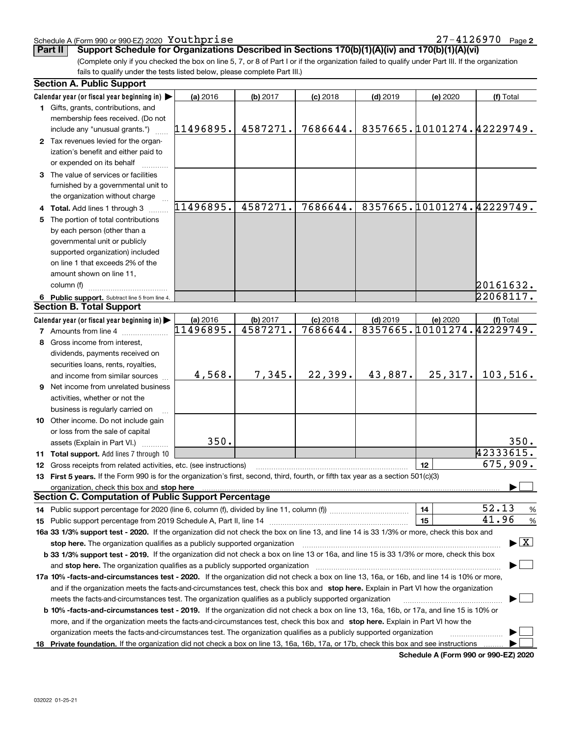## Schedule A (Form 990 or 990-EZ) 2020 Page Youthprise 27-4126970

(Complete only if you checked the box on line 5, 7, or 8 of Part I or if the organization failed to qualify under Part III. If the organization fails to qualify under the tests listed below, please complete Part III.) **Part II** Support Schedule for Organizations Described in Sections 170(b)(1)(A)(iv) and 170(b)(1)(A)(vi)

|    | <b>Section A. Public Support</b>                                                                                                               |           |          |            |            |                            |                                         |
|----|------------------------------------------------------------------------------------------------------------------------------------------------|-----------|----------|------------|------------|----------------------------|-----------------------------------------|
|    | Calendar year (or fiscal year beginning in)                                                                                                    | (a) 2016  | (b) 2017 | $(c)$ 2018 | $(d)$ 2019 | (e) 2020                   | (f) Total                               |
|    | 1 Gifts, grants, contributions, and                                                                                                            |           |          |            |            |                            |                                         |
|    | membership fees received. (Do not                                                                                                              |           |          |            |            |                            |                                         |
|    | include any "unusual grants.")                                                                                                                 | 11496895. | 4587271. | 7686644.   |            | 8357665.10101274.42229749. |                                         |
|    | 2 Tax revenues levied for the organ-                                                                                                           |           |          |            |            |                            |                                         |
|    | ization's benefit and either paid to                                                                                                           |           |          |            |            |                            |                                         |
|    | or expended on its behalf                                                                                                                      |           |          |            |            |                            |                                         |
|    | 3 The value of services or facilities                                                                                                          |           |          |            |            |                            |                                         |
|    | furnished by a governmental unit to                                                                                                            |           |          |            |            |                            |                                         |
|    | the organization without charge                                                                                                                |           |          |            |            |                            |                                         |
|    | 4 Total. Add lines 1 through 3                                                                                                                 | 11496895. | 4587271. | 7686644.   |            | 8357665.10101274.42229749. |                                         |
|    | 5 The portion of total contributions                                                                                                           |           |          |            |            |                            |                                         |
|    | by each person (other than a                                                                                                                   |           |          |            |            |                            |                                         |
|    | governmental unit or publicly                                                                                                                  |           |          |            |            |                            |                                         |
|    | supported organization) included                                                                                                               |           |          |            |            |                            |                                         |
|    | on line 1 that exceeds 2% of the                                                                                                               |           |          |            |            |                            |                                         |
|    | amount shown on line 11,                                                                                                                       |           |          |            |            |                            |                                         |
|    | column (f)                                                                                                                                     |           |          |            |            |                            | 20161632.                               |
|    | 6 Public support. Subtract line 5 from line 4.                                                                                                 |           |          |            |            |                            | $\overline{22068117}$ .                 |
|    | <b>Section B. Total Support</b>                                                                                                                |           |          |            |            |                            |                                         |
|    | Calendar year (or fiscal year beginning in)                                                                                                    | (a) 2016  | (b) 2017 | $(c)$ 2018 | $(d)$ 2019 | (e) 2020                   | (f) Total                               |
|    | 7 Amounts from line 4                                                                                                                          | 11496895. | 4587271. | 7686644.   |            | 8357665.10101274.42229749. |                                         |
|    | 8 Gross income from interest,                                                                                                                  |           |          |            |            |                            |                                         |
|    | dividends, payments received on                                                                                                                |           |          |            |            |                            |                                         |
|    | securities loans, rents, royalties,                                                                                                            |           |          |            |            |                            |                                         |
|    | and income from similar sources                                                                                                                | 4,568.    | 7,345.   | 22,399.    | 43,887.    | 25, 317.                   | 103,516.                                |
|    | <b>9</b> Net income from unrelated business                                                                                                    |           |          |            |            |                            |                                         |
|    | activities, whether or not the                                                                                                                 |           |          |            |            |                            |                                         |
|    | business is regularly carried on                                                                                                               |           |          |            |            |                            |                                         |
|    | 10 Other income. Do not include gain                                                                                                           |           |          |            |            |                            |                                         |
|    | or loss from the sale of capital                                                                                                               |           |          |            |            |                            |                                         |
|    | assets (Explain in Part VI.)                                                                                                                   | 350.      |          |            |            |                            | 350.                                    |
|    | 11 Total support. Add lines 7 through 10                                                                                                       |           |          |            |            |                            | 42333615.                               |
|    | 12 Gross receipts from related activities, etc. (see instructions)                                                                             |           |          |            |            | 12                         | 675,909.                                |
|    | 13 First 5 years. If the Form 990 is for the organization's first, second, third, fourth, or fifth tax year as a section 501(c)(3)             |           |          |            |            |                            |                                         |
|    | organization, check this box and stop here                                                                                                     |           |          |            |            |                            |                                         |
|    | <b>Section C. Computation of Public Support Percentage</b>                                                                                     |           |          |            |            |                            |                                         |
|    |                                                                                                                                                |           |          |            |            | 14                         | 52.13<br>%                              |
|    | 15 Public support percentage from 2019 Schedule A, Part II, line 14                                                                            |           |          |            |            | 15                         | 41.96<br>%                              |
|    | 16a 33 1/3% support test - 2020. If the organization did not check the box on line 13, and line 14 is 33 1/3% or more, check this box and      |           |          |            |            |                            |                                         |
|    | stop here. The organization qualifies as a publicly supported organization                                                                     |           |          |            |            |                            | $\blacktriangleright$ $\vert$ X $\vert$ |
|    | b 33 1/3% support test - 2019. If the organization did not check a box on line 13 or 16a, and line 15 is 33 1/3% or more, check this box       |           |          |            |            |                            |                                         |
|    | and stop here. The organization qualifies as a publicly supported organization                                                                 |           |          |            |            |                            |                                         |
|    | 17a 10% -facts-and-circumstances test - 2020. If the organization did not check a box on line 13, 16a, or 16b, and line 14 is 10% or more,     |           |          |            |            |                            |                                         |
|    | and if the organization meets the facts-and-circumstances test, check this box and stop here. Explain in Part VI how the organization          |           |          |            |            |                            |                                         |
|    | meets the facts-and-circumstances test. The organization qualifies as a publicly supported organization                                        |           |          |            |            |                            |                                         |
|    | <b>b 10% -facts-and-circumstances test - 2019.</b> If the organization did not check a box on line 13, 16a, 16b, or 17a, and line 15 is 10% or |           |          |            |            |                            |                                         |
|    | more, and if the organization meets the facts-and-circumstances test, check this box and stop here. Explain in Part VI how the                 |           |          |            |            |                            |                                         |
|    | organization meets the facts-and-circumstances test. The organization qualifies as a publicly supported organization                           |           |          |            |            |                            |                                         |
| 18 | Private foundation. If the organization did not check a box on line 13, 16a, 16b, 17a, or 17b, check this box and see instructions             |           |          |            |            |                            |                                         |

**Schedule A (Form 990 or 990-EZ) 2020**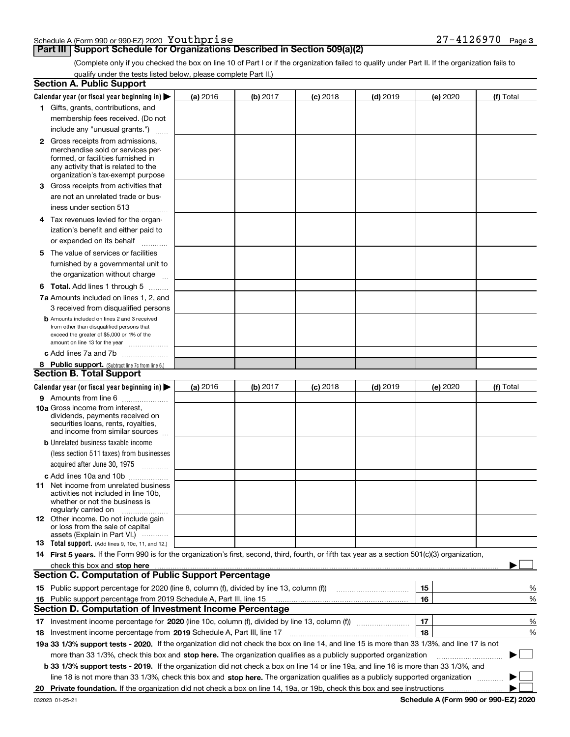|  |  | $-4126970$ | Page 3 |
|--|--|------------|--------|
|  |  |            |        |

# **Part III Support Schedule for Organizations Described in Section 509(a)(2)**

(Complete only if you checked the box on line 10 of Part I or if the organization failed to qualify under Part II. If the organization fails to qualify under the tests listed below, please complete Part II.)

|     | <b>Section A. Public Support</b>                                                                                                                                                                                               |          |          |            |            |          |           |
|-----|--------------------------------------------------------------------------------------------------------------------------------------------------------------------------------------------------------------------------------|----------|----------|------------|------------|----------|-----------|
|     | Calendar year (or fiscal year beginning in) $\blacktriangleright$                                                                                                                                                              | (a) 2016 | (b) 2017 | $(c)$ 2018 | $(d)$ 2019 | (e) 2020 | (f) Total |
|     | 1 Gifts, grants, contributions, and                                                                                                                                                                                            |          |          |            |            |          |           |
|     | membership fees received. (Do not                                                                                                                                                                                              |          |          |            |            |          |           |
|     | include any "unusual grants.")                                                                                                                                                                                                 |          |          |            |            |          |           |
|     | <b>2</b> Gross receipts from admissions,                                                                                                                                                                                       |          |          |            |            |          |           |
|     | merchandise sold or services per-                                                                                                                                                                                              |          |          |            |            |          |           |
|     | formed, or facilities furnished in                                                                                                                                                                                             |          |          |            |            |          |           |
|     | any activity that is related to the<br>organization's tax-exempt purpose                                                                                                                                                       |          |          |            |            |          |           |
|     | 3 Gross receipts from activities that                                                                                                                                                                                          |          |          |            |            |          |           |
|     | are not an unrelated trade or bus-                                                                                                                                                                                             |          |          |            |            |          |           |
|     | iness under section 513                                                                                                                                                                                                        |          |          |            |            |          |           |
|     | 4 Tax revenues levied for the organ-                                                                                                                                                                                           |          |          |            |            |          |           |
|     | ization's benefit and either paid to                                                                                                                                                                                           |          |          |            |            |          |           |
|     | or expended on its behalf                                                                                                                                                                                                      |          |          |            |            |          |           |
|     | .                                                                                                                                                                                                                              |          |          |            |            |          |           |
|     | 5 The value of services or facilities<br>furnished by a governmental unit to                                                                                                                                                   |          |          |            |            |          |           |
|     |                                                                                                                                                                                                                                |          |          |            |            |          |           |
|     | the organization without charge                                                                                                                                                                                                |          |          |            |            |          |           |
|     | <b>6 Total.</b> Add lines 1 through 5                                                                                                                                                                                          |          |          |            |            |          |           |
|     | 7a Amounts included on lines 1, 2, and                                                                                                                                                                                         |          |          |            |            |          |           |
|     | 3 received from disqualified persons                                                                                                                                                                                           |          |          |            |            |          |           |
|     | <b>b</b> Amounts included on lines 2 and 3 received<br>from other than disqualified persons that                                                                                                                               |          |          |            |            |          |           |
|     | exceed the greater of \$5,000 or 1% of the                                                                                                                                                                                     |          |          |            |            |          |           |
|     | amount on line 13 for the year                                                                                                                                                                                                 |          |          |            |            |          |           |
|     | c Add lines 7a and 7b                                                                                                                                                                                                          |          |          |            |            |          |           |
|     | 8 Public support. (Subtract line 7c from line 6.)                                                                                                                                                                              |          |          |            |            |          |           |
|     | <b>Section B. Total Support</b>                                                                                                                                                                                                |          |          |            |            |          |           |
|     | Calendar year (or fiscal year beginning in) $\blacktriangleright$                                                                                                                                                              | (a) 2016 | (b) 2017 | $(c)$ 2018 | $(d)$ 2019 | (e) 2020 | (f) Total |
|     | 9 Amounts from line 6                                                                                                                                                                                                          |          |          |            |            |          |           |
|     | <b>10a</b> Gross income from interest,<br>dividends, payments received on                                                                                                                                                      |          |          |            |            |          |           |
|     | securities loans, rents, royalties,                                                                                                                                                                                            |          |          |            |            |          |           |
|     | and income from similar sources                                                                                                                                                                                                |          |          |            |            |          |           |
|     | <b>b</b> Unrelated business taxable income                                                                                                                                                                                     |          |          |            |            |          |           |
|     | (less section 511 taxes) from businesses                                                                                                                                                                                       |          |          |            |            |          |           |
|     | acquired after June 30, 1975                                                                                                                                                                                                   |          |          |            |            |          |           |
|     | c Add lines 10a and 10b                                                                                                                                                                                                        |          |          |            |            |          |           |
|     | 11 Net income from unrelated business                                                                                                                                                                                          |          |          |            |            |          |           |
|     | activities not included in line 10b,<br>whether or not the business is                                                                                                                                                         |          |          |            |            |          |           |
|     | regularly carried on                                                                                                                                                                                                           |          |          |            |            |          |           |
|     | <b>12</b> Other income. Do not include gain                                                                                                                                                                                    |          |          |            |            |          |           |
|     | or loss from the sale of capital                                                                                                                                                                                               |          |          |            |            |          |           |
|     | assets (Explain in Part VI.)<br>13 Total support. (Add lines 9, 10c, 11, and 12.)                                                                                                                                              |          |          |            |            |          |           |
|     | 14 First 5 years. If the Form 990 is for the organization's first, second, third, fourth, or fifth tax year as a section 501(c)(3) organization,                                                                               |          |          |            |            |          |           |
|     | check this box and stop here measurements and contain the state of the state of the state of the state of the state of the state of the state of the state of the state of the state of the state of the state of the state of |          |          |            |            |          |           |
|     | <b>Section C. Computation of Public Support Percentage</b>                                                                                                                                                                     |          |          |            |            |          |           |
|     |                                                                                                                                                                                                                                |          |          |            |            | 15       | %         |
| 16. | Public support percentage from 2019 Schedule A, Part III, line 15                                                                                                                                                              |          |          |            |            | 16       | %         |
|     | <b>Section D. Computation of Investment Income Percentage</b>                                                                                                                                                                  |          |          |            |            |          |           |
|     | 17 Investment income percentage for 2020 (line 10c, column (f), divided by line 13, column (f))                                                                                                                                |          |          |            |            | 17       | %         |
|     | 18 Investment income percentage from 2019 Schedule A, Part III, line 17                                                                                                                                                        |          |          |            |            | 18       | %         |
|     | 19a 33 1/3% support tests - 2020. If the organization did not check the box on line 14, and line 15 is more than 33 1/3%, and line 17 is not                                                                                   |          |          |            |            |          |           |
|     |                                                                                                                                                                                                                                |          |          |            |            |          | $\sim$    |
|     | more than 33 1/3%, check this box and stop here. The organization qualifies as a publicly supported organization                                                                                                               |          |          |            |            |          | ▶         |
|     | b 33 1/3% support tests - 2019. If the organization did not check a box on line 14 or line 19a, and line 16 is more than 33 1/3%, and                                                                                          |          |          |            |            |          |           |
|     | line 18 is not more than 33 1/3%, check this box and stop here. The organization qualifies as a publicly supported organization                                                                                                |          |          |            |            |          |           |
| 20  |                                                                                                                                                                                                                                |          |          |            |            |          |           |

**Schedule A (Form 990 or 990-EZ) 2020**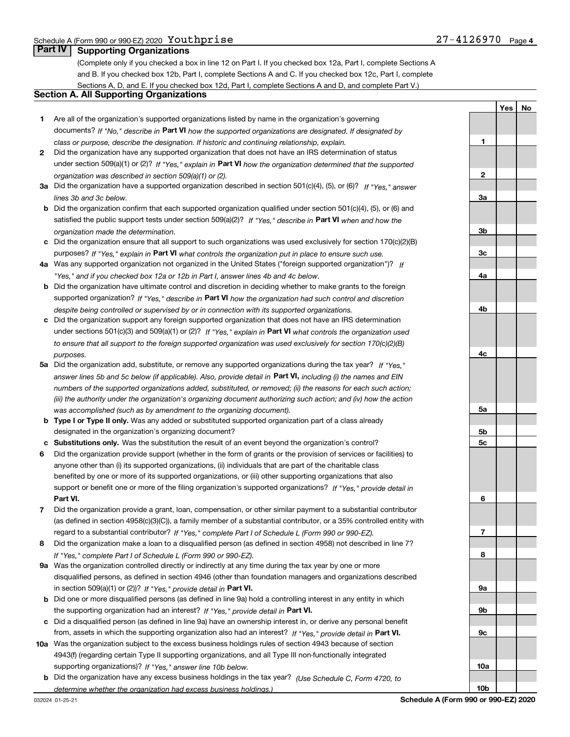**1**

**YesNo**

# **Part IV Supporting Organizations**

(Complete only if you checked a box in line 12 on Part I. If you checked box 12a, Part I, complete Sections A and B. If you checked box 12b, Part I, complete Sections A and C. If you checked box 12c, Part I, complete Sections A, D, and E. If you checked box 12d, Part I, complete Sections A and D, and complete Part V.)

# **Section A. All Supporting Organizations**

- **1** Are all of the organization's supported organizations listed by name in the organization's governing documents? If "No," describe in **Part VI** how the supported organizations are designated. If designated by *class or purpose, describe the designation. If historic and continuing relationship, explain.*
- **2** Did the organization have any supported organization that does not have an IRS determination of status under section 509(a)(1) or (2)? If "Yes," explain in Part VI how the organization determined that the supported *organization was described in section 509(a)(1) or (2).*
- **3a** Did the organization have a supported organization described in section 501(c)(4), (5), or (6)? If "Yes," answer *lines 3b and 3c below.*
- **b** Did the organization confirm that each supported organization qualified under section 501(c)(4), (5), or (6) and satisfied the public support tests under section 509(a)(2)? If "Yes," describe in **Part VI** when and how the *organization made the determination.*
- **c**Did the organization ensure that all support to such organizations was used exclusively for section 170(c)(2)(B) purposes? If "Yes," explain in **Part VI** what controls the organization put in place to ensure such use.
- **4a***If* Was any supported organization not organized in the United States ("foreign supported organization")? *"Yes," and if you checked box 12a or 12b in Part I, answer lines 4b and 4c below.*
- **b** Did the organization have ultimate control and discretion in deciding whether to make grants to the foreign supported organization? If "Yes," describe in **Part VI** how the organization had such control and discretion *despite being controlled or supervised by or in connection with its supported organizations.*
- **c** Did the organization support any foreign supported organization that does not have an IRS determination under sections 501(c)(3) and 509(a)(1) or (2)? If "Yes," explain in **Part VI** what controls the organization used *to ensure that all support to the foreign supported organization was used exclusively for section 170(c)(2)(B) purposes.*
- **5a***If "Yes,"* Did the organization add, substitute, or remove any supported organizations during the tax year? answer lines 5b and 5c below (if applicable). Also, provide detail in **Part VI,** including (i) the names and EIN *numbers of the supported organizations added, substituted, or removed; (ii) the reasons for each such action; (iii) the authority under the organization's organizing document authorizing such action; and (iv) how the action was accomplished (such as by amendment to the organizing document).*
- **b** Type I or Type II only. Was any added or substituted supported organization part of a class already designated in the organization's organizing document?
- **cSubstitutions only.**  Was the substitution the result of an event beyond the organization's control?
- **6** Did the organization provide support (whether in the form of grants or the provision of services or facilities) to **Part VI.** *If "Yes," provide detail in* support or benefit one or more of the filing organization's supported organizations? anyone other than (i) its supported organizations, (ii) individuals that are part of the charitable class benefited by one or more of its supported organizations, or (iii) other supporting organizations that also
- **7**Did the organization provide a grant, loan, compensation, or other similar payment to a substantial contributor *If "Yes," complete Part I of Schedule L (Form 990 or 990-EZ).* regard to a substantial contributor? (as defined in section 4958(c)(3)(C)), a family member of a substantial contributor, or a 35% controlled entity with
- **8** Did the organization make a loan to a disqualified person (as defined in section 4958) not described in line 7? *If "Yes," complete Part I of Schedule L (Form 990 or 990-EZ).*
- **9a** Was the organization controlled directly or indirectly at any time during the tax year by one or more in section 509(a)(1) or (2))? If "Yes," *provide detail in* <code>Part VI.</code> disqualified persons, as defined in section 4946 (other than foundation managers and organizations described
- **b** Did one or more disqualified persons (as defined in line 9a) hold a controlling interest in any entity in which the supporting organization had an interest? If "Yes," provide detail in P**art VI**.
- **c**Did a disqualified person (as defined in line 9a) have an ownership interest in, or derive any personal benefit from, assets in which the supporting organization also had an interest? If "Yes," provide detail in P**art VI.**
- **10a** Was the organization subject to the excess business holdings rules of section 4943 because of section supporting organizations)? If "Yes," answer line 10b below. 4943(f) (regarding certain Type II supporting organizations, and all Type III non-functionally integrated
- **b** Did the organization have any excess business holdings in the tax year? (Use Schedule C, Form 4720, to *determine whether the organization had excess business holdings.)*

**23a3b3c4a4b4c5a5b5c6789a 9b9c10a**

**10b**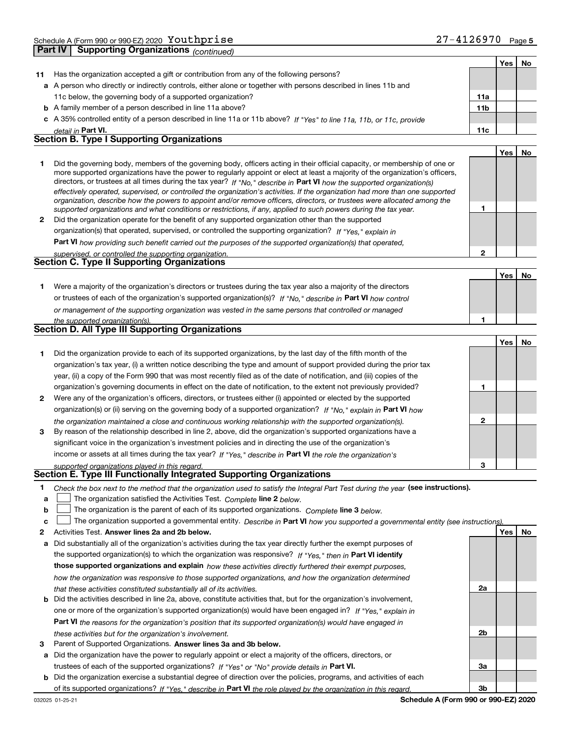|    | - - - - - ອ<br>------------ <sub>I</sub> uunnutu                                                                                                                                                                                                            |                 |     |    |
|----|-------------------------------------------------------------------------------------------------------------------------------------------------------------------------------------------------------------------------------------------------------------|-----------------|-----|----|
|    |                                                                                                                                                                                                                                                             |                 | Yes | No |
| 11 | Has the organization accepted a gift or contribution from any of the following persons?                                                                                                                                                                     |                 |     |    |
|    | a A person who directly or indirectly controls, either alone or together with persons described in lines 11b and                                                                                                                                            |                 |     |    |
|    | 11c below, the governing body of a supported organization?                                                                                                                                                                                                  | 11a             |     |    |
|    | <b>b</b> A family member of a person described in line 11a above?                                                                                                                                                                                           | 11 <sub>b</sub> |     |    |
|    | c A 35% controlled entity of a person described in line 11a or 11b above? If "Yes" to line 11a, 11b, or 11c, provide                                                                                                                                        |                 |     |    |
|    | detail in Part VI.<br><b>Section B. Type I Supporting Organizations</b>                                                                                                                                                                                     | 11c             |     |    |
|    |                                                                                                                                                                                                                                                             |                 |     |    |
|    |                                                                                                                                                                                                                                                             |                 | Yes | No |
| 1  | Did the governing body, members of the governing body, officers acting in their official capacity, or membership of one or<br>more supported organizations have the power to regularly appoint or elect at least a majority of the organization's officers, |                 |     |    |
|    | directors, or trustees at all times during the tax year? If "No," describe in Part VI how the supported organization(s)                                                                                                                                     |                 |     |    |
|    | effectively operated, supervised, or controlled the organization's activities. If the organization had more than one supported                                                                                                                              |                 |     |    |
|    | organization, describe how the powers to appoint and/or remove officers, directors, or trustees were allocated among the                                                                                                                                    |                 |     |    |
|    | supported organizations and what conditions or restrictions, if any, applied to such powers during the tax year.                                                                                                                                            | 1               |     |    |
|    | 2 Did the organization operate for the benefit of any supported organization other than the supported                                                                                                                                                       |                 |     |    |
|    | organization(s) that operated, supervised, or controlled the supporting organization? If "Yes," explain in                                                                                                                                                  |                 |     |    |
|    | Part VI how providing such benefit carried out the purposes of the supported organization(s) that operated,                                                                                                                                                 |                 |     |    |
|    | supervised, or controlled the supporting organization.<br>Section C. Type II Supporting Organizations                                                                                                                                                       | $\mathbf{2}$    |     |    |
|    |                                                                                                                                                                                                                                                             |                 |     |    |
|    |                                                                                                                                                                                                                                                             |                 | Yes | No |
| 1. | Were a majority of the organization's directors or trustees during the tax year also a majority of the directors                                                                                                                                            |                 |     |    |
|    | or trustees of each of the organization's supported organization(s)? If "No," describe in Part VI how control                                                                                                                                               |                 |     |    |
|    | or management of the supporting organization was vested in the same persons that controlled or managed                                                                                                                                                      |                 |     |    |
|    | the supported organization(s).<br><b>Section D. All Type III Supporting Organizations</b>                                                                                                                                                                   | 1               |     |    |
|    |                                                                                                                                                                                                                                                             |                 |     |    |
|    |                                                                                                                                                                                                                                                             |                 | Yes | No |
| 1  | Did the organization provide to each of its supported organizations, by the last day of the fifth month of the                                                                                                                                              |                 |     |    |
|    | organization's tax year, (i) a written notice describing the type and amount of support provided during the prior tax                                                                                                                                       |                 |     |    |
|    | year, (ii) a copy of the Form 990 that was most recently filed as of the date of notification, and (iii) copies of the                                                                                                                                      |                 |     |    |
|    | organization's governing documents in effect on the date of notification, to the extent not previously provided?                                                                                                                                            | 1               |     |    |
| 2  | Were any of the organization's officers, directors, or trustees either (i) appointed or elected by the supported                                                                                                                                            |                 |     |    |
|    | organization(s) or (ii) serving on the governing body of a supported organization? If "No," explain in Part VI how                                                                                                                                          |                 |     |    |
|    | the organization maintained a close and continuous working relationship with the supported organization(s).                                                                                                                                                 | $\mathbf{2}$    |     |    |
| 3  | By reason of the relationship described in line 2, above, did the organization's supported organizations have a                                                                                                                                             |                 |     |    |
|    | significant voice in the organization's investment policies and in directing the use of the organization's                                                                                                                                                  |                 |     |    |
|    | income or assets at all times during the tax year? If "Yes," describe in Part VI the role the organization's                                                                                                                                                |                 |     |    |
|    | supported organizations played in this regard.<br><b>Section E. Type III Functionally Integrated Supporting Organizations</b>                                                                                                                               | 3               |     |    |
|    |                                                                                                                                                                                                                                                             |                 |     |    |
| 1  | Check the box next to the method that the organization used to satisfy the Integral Part Test during the year (see instructions).                                                                                                                           |                 |     |    |
| a  | The organization satisfied the Activities Test. Complete line 2 below.                                                                                                                                                                                      |                 |     |    |
| b  | The organization is the parent of each of its supported organizations. Complete line 3 below.                                                                                                                                                               |                 |     |    |
| c  | The organization supported a governmental entity. Describe in Part VI how you supported a governmental entity (see instructions).                                                                                                                           |                 |     |    |
| 2  | Activities Test. Answer lines 2a and 2b below.                                                                                                                                                                                                              |                 | Yes | No |
| а  | Did substantially all of the organization's activities during the tax year directly further the exempt purposes of                                                                                                                                          |                 |     |    |
|    | the supported organization(s) to which the organization was responsive? If "Yes," then in Part VI identify                                                                                                                                                  |                 |     |    |
|    | those supported organizations and explain how these activities directly furthered their exempt purposes,                                                                                                                                                    |                 |     |    |
|    | how the organization was responsive to those supported organizations, and how the organization determined                                                                                                                                                   |                 |     |    |
|    | that these activities constituted substantially all of its activities.                                                                                                                                                                                      | 2a              |     |    |

- **b** Did the activities described in line 2a, above, constitute activities that, but for the organization's involvement, **Part VI**  *the reasons for the organization's position that its supported organization(s) would have engaged in* one or more of the organization's supported organization(s) would have been engaged in? If "Yes," e*xplain in these activities but for the organization's involvement.*
- **3** Parent of Supported Organizations. Answer lines 3a and 3b below.

**a** Did the organization have the power to regularly appoint or elect a majority of the officers, directors, or trustees of each of the supported organizations? If "Yes" or "No" provide details in **Part VI.** 

**b** Did the organization exercise a substantial degree of direction over the policies, programs, and activities of each of its supported organizations? If "Yes," describe in Part VI the role played by the organization in this regard.

**2b**

**3a**

**3b**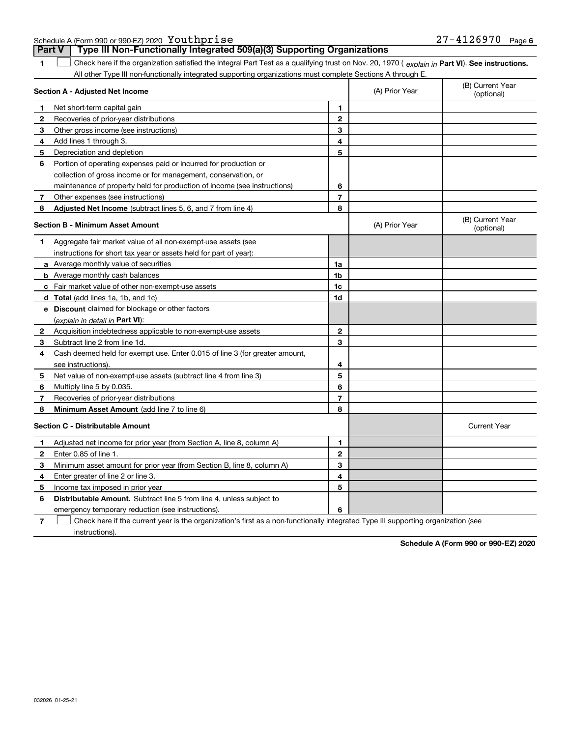Schedule A (Form 990 or 990-EZ) 2020  $\,$  <code>YOULD</code>  $\,$  <code>YOULD</code>  $\,$  <code>YOULD</code>  $\,$  <code>YOULD</code>  $\,$  <code>YOULD</code>  $\,$  <code>YOULD</code>  $\,$  <code>YOULD</code>  $\,$  <code>YOULD</code>  $\,$  <code>YOULD</code>  $\,$  <code>YOULD</code>  $\,$  <code>YOULD</code>  $\,$  <code>YOULD</code>  $\,$  <code>YOULD</code>  $\,$  <code>YOULD</code>  $\$ 

**Part V Type III Non-Functionally Integrated 509(a)(3) Supporting Organizations** 

| 1                                       | Check here if the organization satisfied the Integral Part Test as a qualifying trust on Nov. 20, 1970 (explain in Part VI). See instructions. |                |                |                                |
|-----------------------------------------|------------------------------------------------------------------------------------------------------------------------------------------------|----------------|----------------|--------------------------------|
|                                         | All other Type III non-functionally integrated supporting organizations must complete Sections A through E.                                    |                |                |                                |
|                                         | Section A - Adjusted Net Income                                                                                                                |                | (A) Prior Year | (B) Current Year<br>(optional) |
| $\mathbf 1$                             | Net short-term capital gain                                                                                                                    | 1              |                |                                |
| 2                                       | Recoveries of prior-year distributions                                                                                                         | $\mathbf{2}$   |                |                                |
| 3                                       | Other gross income (see instructions)                                                                                                          | 3              |                |                                |
| 4                                       | Add lines 1 through 3.                                                                                                                         | 4              |                |                                |
| 5                                       | Depreciation and depletion                                                                                                                     | 5              |                |                                |
| 6                                       | Portion of operating expenses paid or incurred for production or                                                                               |                |                |                                |
|                                         | collection of gross income or for management, conservation, or                                                                                 |                |                |                                |
|                                         | maintenance of property held for production of income (see instructions)                                                                       | 6              |                |                                |
| 7                                       | Other expenses (see instructions)                                                                                                              | $\overline{7}$ |                |                                |
| 8                                       | <b>Adjusted Net Income</b> (subtract lines 5, 6, and 7 from line 4)                                                                            | 8              |                |                                |
|                                         | Section B - Minimum Asset Amount                                                                                                               |                | (A) Prior Year | (B) Current Year<br>(optional) |
| 1                                       | Aggregate fair market value of all non-exempt-use assets (see                                                                                  |                |                |                                |
|                                         | instructions for short tax year or assets held for part of year):                                                                              |                |                |                                |
|                                         | <b>a</b> Average monthly value of securities                                                                                                   | 1a             |                |                                |
|                                         | <b>b</b> Average monthly cash balances                                                                                                         | 1 <sub>b</sub> |                |                                |
|                                         | c Fair market value of other non-exempt-use assets                                                                                             | 1c             |                |                                |
|                                         | <b>d</b> Total (add lines 1a, 1b, and 1c)                                                                                                      | 1d             |                |                                |
|                                         | e Discount claimed for blockage or other factors                                                                                               |                |                |                                |
|                                         | (explain in detail in Part VI):                                                                                                                |                |                |                                |
| 2                                       | Acquisition indebtedness applicable to non-exempt-use assets                                                                                   | $\mathbf{2}$   |                |                                |
| 3                                       | Subtract line 2 from line 1d.                                                                                                                  | 3              |                |                                |
| 4                                       | Cash deemed held for exempt use. Enter 0.015 of line 3 (for greater amount,                                                                    |                |                |                                |
|                                         | see instructions).                                                                                                                             | 4              |                |                                |
| 5                                       | Net value of non-exempt-use assets (subtract line 4 from line 3)                                                                               | 5              |                |                                |
| 6                                       | Multiply line 5 by 0.035.                                                                                                                      | 6              |                |                                |
| 7                                       | Recoveries of prior-year distributions                                                                                                         | $\overline{7}$ |                |                                |
| 8                                       | Minimum Asset Amount (add line 7 to line 6)                                                                                                    | 8              |                |                                |
| <b>Section C - Distributable Amount</b> |                                                                                                                                                |                |                | <b>Current Year</b>            |
| 1                                       | Adjusted net income for prior year (from Section A, line 8, column A)                                                                          | 1              |                |                                |
| $\mathbf{2}$                            | Enter 0.85 of line 1.                                                                                                                          | $\mathbf{2}$   |                |                                |
| 3                                       | Minimum asset amount for prior year (from Section B, line 8, column A)                                                                         | 3              |                |                                |
| 4                                       | Enter greater of line 2 or line 3.                                                                                                             | 4              |                |                                |
| 5                                       | Income tax imposed in prior year                                                                                                               | 5              |                |                                |
| 6                                       | <b>Distributable Amount.</b> Subtract line 5 from line 4, unless subject to                                                                    |                |                |                                |
|                                         | emergency temporary reduction (see instructions).                                                                                              | 6              |                |                                |

**7**Check here if the current year is the organization's first as a non-functionally integrated Type III supporting organization (see instructions).  $\overline{\phantom{a}}$ 

**Schedule A (Form 990 or 990-EZ) 2020**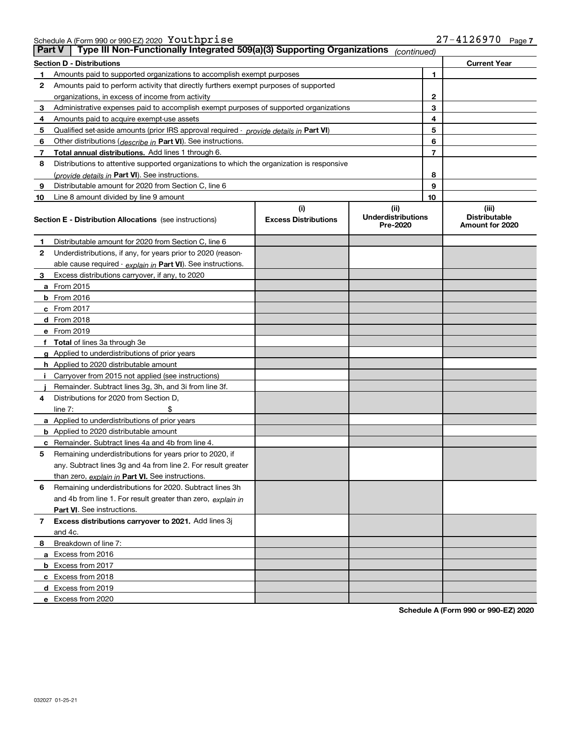Schedule A (Form 990 or 990-EZ) 2020  $\,$  <code>YOULD</code>  $\,$  <code>YOULD</code>  $\,$  <code>YOULD</code>  $\,$  <code>YOULD</code>  $\,$  <code>YOULD</code>  $\,$  <code>YOULD</code>  $\,$  <code>YOULD</code>  $\,$  <code>YOULD</code>  $\,$  <code>YOULD</code>  $\,$  <code>YOULD</code>  $\,$  <code>YOULD</code>  $\,$  <code>YOULD</code>  $\,$  <code>YOULD</code>  $\,$  <code>YOULD</code>  $\$ 

| <b>Part V</b> | Type III Non-Functionally Integrated 509(a)(3) Supporting Organizations                    |                             | (continued)                           |                                         |  |
|---------------|--------------------------------------------------------------------------------------------|-----------------------------|---------------------------------------|-----------------------------------------|--|
|               | <b>Section D - Distributions</b>                                                           |                             |                                       | <b>Current Year</b>                     |  |
| 1             | Amounts paid to supported organizations to accomplish exempt purposes                      |                             | 1                                     |                                         |  |
| 2             | Amounts paid to perform activity that directly furthers exempt purposes of supported       |                             |                                       |                                         |  |
|               | organizations, in excess of income from activity                                           |                             |                                       | 2                                       |  |
| 3             | Administrative expenses paid to accomplish exempt purposes of supported organizations      |                             |                                       | 3                                       |  |
| 4             | Amounts paid to acquire exempt-use assets                                                  |                             |                                       | 4                                       |  |
| 5             | Qualified set-aside amounts (prior IRS approval required - provide details in Part VI)     |                             |                                       | 5                                       |  |
| 6             | Other distributions (describe in Part VI). See instructions.                               |                             |                                       | 6                                       |  |
| 7             | Total annual distributions. Add lines 1 through 6.                                         |                             |                                       | 7                                       |  |
| 8             | Distributions to attentive supported organizations to which the organization is responsive |                             |                                       |                                         |  |
|               | (provide details in Part VI). See instructions.                                            |                             |                                       | 8                                       |  |
| 9             | Distributable amount for 2020 from Section C, line 6                                       |                             |                                       | 9                                       |  |
| 10            | Line 8 amount divided by line 9 amount                                                     |                             | 10                                    |                                         |  |
|               |                                                                                            | (i)                         | (ii)                                  | (iii)                                   |  |
|               | <b>Section E - Distribution Allocations</b> (see instructions)                             | <b>Excess Distributions</b> | <b>Underdistributions</b><br>Pre-2020 | <b>Distributable</b><br>Amount for 2020 |  |
| 1             | Distributable amount for 2020 from Section C, line 6                                       |                             |                                       |                                         |  |
| 2             | Underdistributions, if any, for years prior to 2020 (reason-                               |                             |                                       |                                         |  |
|               | able cause required - explain in Part VI). See instructions.                               |                             |                                       |                                         |  |
| 3             | Excess distributions carryover, if any, to 2020                                            |                             |                                       |                                         |  |
|               | <b>a</b> From 2015                                                                         |                             |                                       |                                         |  |
|               | <b>b</b> From 2016                                                                         |                             |                                       |                                         |  |
|               | c From 2017                                                                                |                             |                                       |                                         |  |
|               | <b>d</b> From 2018                                                                         |                             |                                       |                                         |  |
|               | e From 2019                                                                                |                             |                                       |                                         |  |
|               | f Total of lines 3a through 3e                                                             |                             |                                       |                                         |  |
|               | g Applied to underdistributions of prior years                                             |                             |                                       |                                         |  |
|               | <b>h</b> Applied to 2020 distributable amount                                              |                             |                                       |                                         |  |
|               | Carryover from 2015 not applied (see instructions)                                         |                             |                                       |                                         |  |
|               | Remainder. Subtract lines 3g, 3h, and 3i from line 3f.                                     |                             |                                       |                                         |  |
| 4             | Distributions for 2020 from Section D,                                                     |                             |                                       |                                         |  |
|               | line $7:$                                                                                  |                             |                                       |                                         |  |
|               | a Applied to underdistributions of prior years                                             |                             |                                       |                                         |  |
|               | <b>b</b> Applied to 2020 distributable amount                                              |                             |                                       |                                         |  |
|               | c Remainder. Subtract lines 4a and 4b from line 4.                                         |                             |                                       |                                         |  |
| 5             | Remaining underdistributions for years prior to 2020, if                                   |                             |                                       |                                         |  |
|               | any. Subtract lines 3g and 4a from line 2. For result greater                              |                             |                                       |                                         |  |
|               | than zero, explain in Part VI. See instructions.                                           |                             |                                       |                                         |  |
| 6             | Remaining underdistributions for 2020. Subtract lines 3h                                   |                             |                                       |                                         |  |
|               | and 4b from line 1. For result greater than zero, explain in                               |                             |                                       |                                         |  |
|               | Part VI. See instructions.                                                                 |                             |                                       |                                         |  |
| 7             | Excess distributions carryover to 2021. Add lines 3j                                       |                             |                                       |                                         |  |
|               | and 4c.                                                                                    |                             |                                       |                                         |  |
| 8             | Breakdown of line 7:                                                                       |                             |                                       |                                         |  |
|               | a Excess from 2016                                                                         |                             |                                       |                                         |  |
|               | <b>b</b> Excess from 2017                                                                  |                             |                                       |                                         |  |
|               | c Excess from 2018                                                                         |                             |                                       |                                         |  |
|               | d Excess from 2019                                                                         |                             |                                       |                                         |  |
|               | e Excess from 2020                                                                         |                             |                                       |                                         |  |

**Schedule A (Form 990 or 990-EZ) 2020**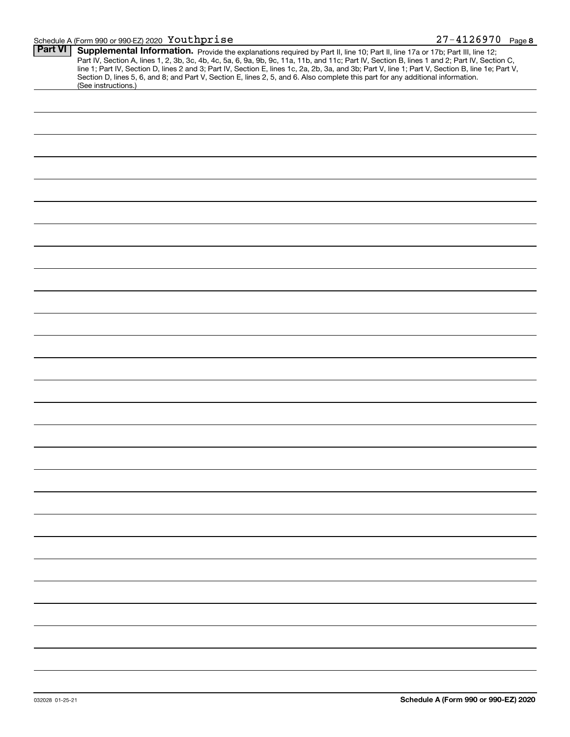## Schedule A (Form 990 or 990-EZ) 2020 Page Youthprise 27-4126970

| <b>Part VI</b> | Supplemental Information. Provide the explanations required by Part II, line 10; Part II, line 17a or 17b; Part III, line 12;                                                                                                                                                                    |  |  |  |  |  |
|----------------|--------------------------------------------------------------------------------------------------------------------------------------------------------------------------------------------------------------------------------------------------------------------------------------------------|--|--|--|--|--|
|                | Part IV, Section A, lines 1, 2, 3b, 3c, 4b, 4c, 5a, 6, 9a, 9b, 9c, 11a, 11b, and 11c; Part IV, Section B, lines 1 and 2; Part IV, Section C,<br>line 1; Part IV, Section D, lines 2 and 3; Part IV, Section E, lines 1c, 2a, 2b, 3a, and 3b; Part V, line 1; Part V, Section B, line 1e; Part V, |  |  |  |  |  |
|                | Section D, lines 5, 6, and 8; and Part V, Section E, lines 2, 5, and 6. Also complete this part for any additional information.<br>(See instructions.)                                                                                                                                           |  |  |  |  |  |
|                |                                                                                                                                                                                                                                                                                                  |  |  |  |  |  |
|                |                                                                                                                                                                                                                                                                                                  |  |  |  |  |  |
|                |                                                                                                                                                                                                                                                                                                  |  |  |  |  |  |
|                |                                                                                                                                                                                                                                                                                                  |  |  |  |  |  |
|                |                                                                                                                                                                                                                                                                                                  |  |  |  |  |  |
|                |                                                                                                                                                                                                                                                                                                  |  |  |  |  |  |
|                |                                                                                                                                                                                                                                                                                                  |  |  |  |  |  |
|                |                                                                                                                                                                                                                                                                                                  |  |  |  |  |  |
|                |                                                                                                                                                                                                                                                                                                  |  |  |  |  |  |
|                |                                                                                                                                                                                                                                                                                                  |  |  |  |  |  |
|                |                                                                                                                                                                                                                                                                                                  |  |  |  |  |  |
|                |                                                                                                                                                                                                                                                                                                  |  |  |  |  |  |
|                |                                                                                                                                                                                                                                                                                                  |  |  |  |  |  |
|                |                                                                                                                                                                                                                                                                                                  |  |  |  |  |  |
|                |                                                                                                                                                                                                                                                                                                  |  |  |  |  |  |
|                |                                                                                                                                                                                                                                                                                                  |  |  |  |  |  |
|                |                                                                                                                                                                                                                                                                                                  |  |  |  |  |  |
|                |                                                                                                                                                                                                                                                                                                  |  |  |  |  |  |
|                |                                                                                                                                                                                                                                                                                                  |  |  |  |  |  |
|                |                                                                                                                                                                                                                                                                                                  |  |  |  |  |  |
|                |                                                                                                                                                                                                                                                                                                  |  |  |  |  |  |
|                |                                                                                                                                                                                                                                                                                                  |  |  |  |  |  |
|                |                                                                                                                                                                                                                                                                                                  |  |  |  |  |  |
|                |                                                                                                                                                                                                                                                                                                  |  |  |  |  |  |
|                |                                                                                                                                                                                                                                                                                                  |  |  |  |  |  |
|                |                                                                                                                                                                                                                                                                                                  |  |  |  |  |  |
|                |                                                                                                                                                                                                                                                                                                  |  |  |  |  |  |
|                |                                                                                                                                                                                                                                                                                                  |  |  |  |  |  |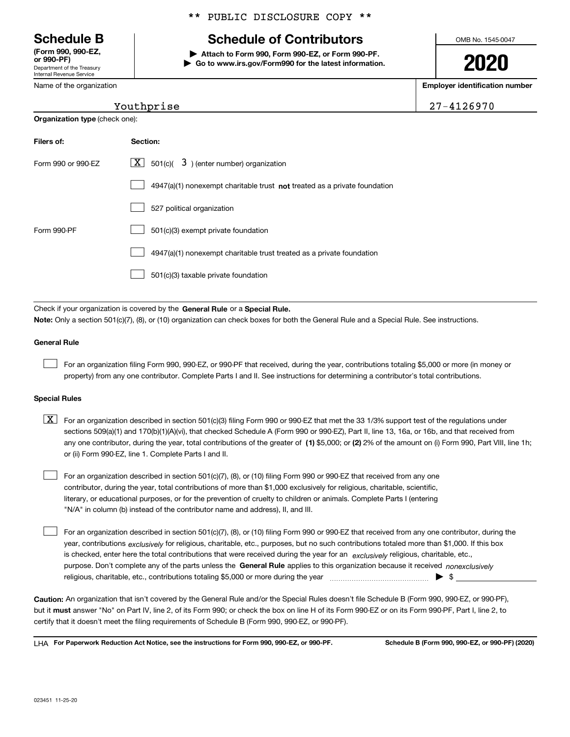Department of the Treasury Internal Revenue Service **(Form 990, 990-EZ, or 990-PF)**

Name of the organization

**Organization type** (check one):

# \*\* PUBLIC DISCLOSURE COPY \*\*

# **Schedule B Schedule of Contributors**

**| Attach to Form 990, Form 990-EZ, or Form 990-PF. | Go to www.irs.gov/Form990 for the latest information.** OMB No. 1545-0047

**2020**

**Employer identification number**

|  |  |  |  |  |  |  |  |  | 27-4126970 |  |
|--|--|--|--|--|--|--|--|--|------------|--|
|--|--|--|--|--|--|--|--|--|------------|--|

# Youthprise

| Filers of:         | Section:                                                                    |
|--------------------|-----------------------------------------------------------------------------|
| Form 990 or 990-FZ | $X$ 501(c)( 3) (enter number) organization                                  |
|                    | $4947(a)(1)$ nonexempt charitable trust not treated as a private foundation |
|                    | 527 political organization                                                  |
| Form 990-PF        | 501(c)(3) exempt private foundation                                         |
|                    | 4947(a)(1) nonexempt charitable trust treated as a private foundation       |
|                    | 501(c)(3) taxable private foundation                                        |

Check if your organization is covered by the **General Rule** or a **Special Rule. Note:**  Only a section 501(c)(7), (8), or (10) organization can check boxes for both the General Rule and a Special Rule. See instructions.

## **General Rule**

 $\mathcal{L}^{\text{max}}$ 

For an organization filing Form 990, 990-EZ, or 990-PF that received, during the year, contributions totaling \$5,000 or more (in money or property) from any one contributor. Complete Parts I and II. See instructions for determining a contributor's total contributions.

### **Special Rules**

any one contributor, during the year, total contributions of the greater of  $\,$  (1) \$5,000; or **(2)** 2% of the amount on (i) Form 990, Part VIII, line 1h;  $\boxed{\textbf{X}}$  For an organization described in section 501(c)(3) filing Form 990 or 990-EZ that met the 33 1/3% support test of the regulations under sections 509(a)(1) and 170(b)(1)(A)(vi), that checked Schedule A (Form 990 or 990-EZ), Part II, line 13, 16a, or 16b, and that received from or (ii) Form 990-EZ, line 1. Complete Parts I and II.

For an organization described in section 501(c)(7), (8), or (10) filing Form 990 or 990-EZ that received from any one contributor, during the year, total contributions of more than \$1,000 exclusively for religious, charitable, scientific, literary, or educational purposes, or for the prevention of cruelty to children or animals. Complete Parts I (entering "N/A" in column (b) instead of the contributor name and address), II, and III.  $\mathcal{L}^{\text{max}}$ 

purpose. Don't complete any of the parts unless the **General Rule** applies to this organization because it received *nonexclusively* year, contributions <sub>exclusively</sub> for religious, charitable, etc., purposes, but no such contributions totaled more than \$1,000. If this box is checked, enter here the total contributions that were received during the year for an  $\;$ exclusively religious, charitable, etc., For an organization described in section 501(c)(7), (8), or (10) filing Form 990 or 990-EZ that received from any one contributor, during the religious, charitable, etc., contributions totaling \$5,000 or more during the year  $\Box$ — $\Box$   $\Box$  $\mathcal{L}^{\text{max}}$ 

**Caution:**  An organization that isn't covered by the General Rule and/or the Special Rules doesn't file Schedule B (Form 990, 990-EZ, or 990-PF),  **must** but it answer "No" on Part IV, line 2, of its Form 990; or check the box on line H of its Form 990-EZ or on its Form 990-PF, Part I, line 2, to certify that it doesn't meet the filing requirements of Schedule B (Form 990, 990-EZ, or 990-PF).

**For Paperwork Reduction Act Notice, see the instructions for Form 990, 990-EZ, or 990-PF. Schedule B (Form 990, 990-EZ, or 990-PF) (2020)** LHA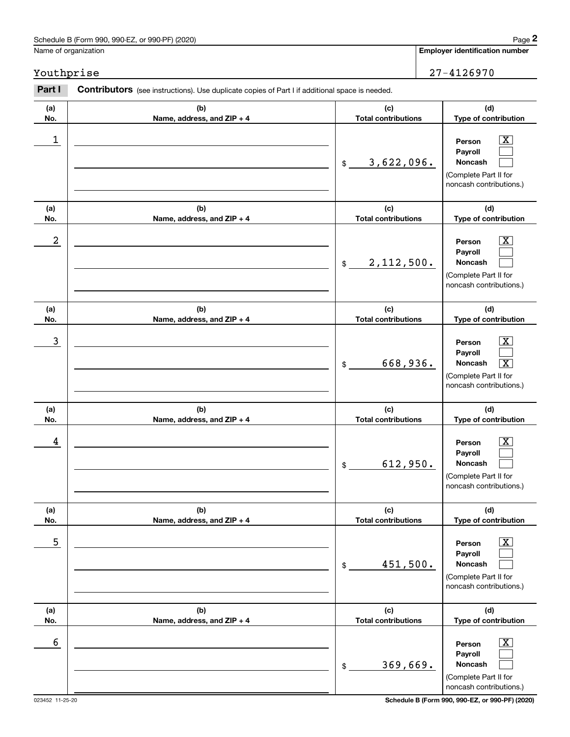# Schedule B (Form 990, 990-EZ, or 990-PF) (2020) **Page 2** Page 2 and the state of the state of the state of the state of the state of the state of the state of the state of the state of the state of the state of the state o

Name of organization

Youthprise 27-4126970

### **(a)No.(b)Name, address, and ZIP + 4 (c)Total contributions (d)Type of contribution PersonPayrollNoncash (a)No.(b)Name, address, and ZIP + 4 (c)Total contributions (d)Type of contribution PersonPayrollNoncash (a)No.(b)Name, address, and ZIP + 4 (c)Total contributions (d)Type of contribution PersonPayrollNoncash (a) No.(b) Name, address, and ZIP + 4 (c) Total contributions (d) Type of contribution Person Payroll Noncash (a) No.(b) Name, address, and ZIP + 4 (c) Total contributions (d) Type of contribution PersonPayrollNoncash (a) No.(b)Name, address, and ZIP + 4 (c) Total contributions (d) Type of contribution PersonPayrollNoncash Contributors** (see instructions). Use duplicate copies of Part I if additional space is needed. \$(Complete Part II for noncash contributions.) \$(Complete Part II for noncash contributions.) \$(Complete Part II for noncash contributions.) \$(Complete Part II for noncash contributions.) \$(Complete Part II for noncash contributions.) \$(Complete Part II for noncash contributions.) Employer identification<br> **2Page 2** Employer identification number<br> **2Part I Contributors** (see instructions). Use duplicate copies of Part I if additional space is needed.<br> **Part I Contributors** (see instructions). Use  $|X|$  $\mathcal{L}^{\text{max}}$  $\mathcal{L}^{\text{max}}$  $\boxed{\text{X}}$  $\mathcal{L}^{\text{max}}$  $\mathcal{L}^{\text{max}}$  $|X|$  $\mathcal{L}^{\text{max}}$  $\boxed{\text{X}}$  $\boxed{\text{X}}$  $\mathcal{L}^{\text{max}}$  $\mathcal{L}^{\text{max}}$  $\boxed{\text{X}}$  $\mathcal{L}^{\text{max}}$  $\mathcal{L}^{\text{max}}$  $\boxed{\text{X}}$  $\mathcal{L}^{\text{max}}$  $\mathcal{L}^{\text{max}}$  $\begin{array}{c|c|c|c|c|c} 1 & \hspace{1.5cm} & \hspace{1.5cm} & \hspace{1.5cm} & \hspace{1.5cm} & \hspace{1.5cm} & \hspace{1.5cm} & \hspace{1.5cm} & \hspace{1.5cm} & \hspace{1.5cm} & \hspace{1.5cm} & \hspace{1.5cm} & \hspace{1.5cm} & \hspace{1.5cm} & \hspace{1.5cm} & \hspace{1.5cm} & \hspace{1.5cm} & \hspace{1.5cm} & \hspace{1.5cm} & \hspace{1.5cm} & \hspace{1.5cm} &$ 3,622,096.  $2$  | Person  $\overline{\text{X}}$ 2,112,500.  $\overline{3}$  | Person  $\overline{X}$ 668,936. X  $4$  | Person  $\overline{\text{X}}$ 612,950.  $\sim$  5 | Person X 451,500.  $\sim$  6 | Person X 369,669.

023452 11-25-20 **Schedule B (Form 990, 990-EZ, or 990-PF) (2020)**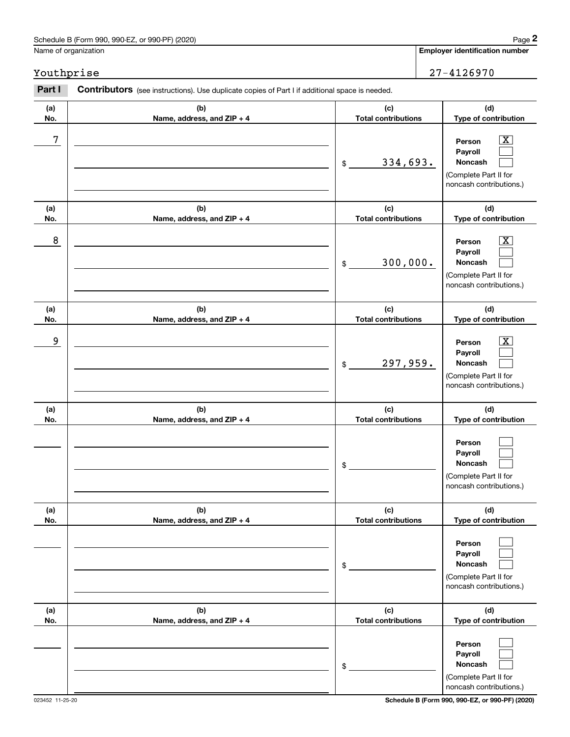# Schedule B (Form 990, 990-EZ, or 990-PF) (2020) Page 2

# Youthprise 27-4126970

|            | Schedule B (Form 990, 990-EZ, or 990-PF) (2020)                                                |                                   | Page 2                                                                                                    |
|------------|------------------------------------------------------------------------------------------------|-----------------------------------|-----------------------------------------------------------------------------------------------------------|
|            | Name of organization                                                                           |                                   | <b>Employer identification number</b>                                                                     |
| Youthprise |                                                                                                |                                   | 27-4126970                                                                                                |
| Part I     | Contributors (see instructions). Use duplicate copies of Part I if additional space is needed. |                                   |                                                                                                           |
| (a)<br>No. | (b)<br>Name, address, and ZIP + 4                                                              | (c)<br><b>Total contributions</b> | (d)<br>Type of contribution                                                                               |
| 7          |                                                                                                | 334,693.<br>\$                    | $\overline{\text{X}}$<br>Person<br>Payroll<br>Noncash<br>(Complete Part II for<br>noncash contributions.) |
| (a)<br>No. | (b)<br>Name, address, and ZIP + 4                                                              | (c)<br><b>Total contributions</b> | (d)<br>Type of contribution                                                                               |
| 8          |                                                                                                | 300,000.<br>\$                    | $\overline{\text{X}}$<br>Person<br>Payroll<br>Noncash<br>(Complete Part II for<br>noncash contributions.) |
| (a)<br>No. | (b)<br>Name, address, and ZIP + 4                                                              | (c)<br><b>Total contributions</b> | (d)<br>Type of contribution                                                                               |
| 9          |                                                                                                | 297,959.<br>\$                    | $\overline{\text{X}}$<br>Person<br>Payroll<br>Noncash<br>(Complete Part II for<br>noncash contributions.) |
| (a)<br>No. | (b)<br>Name, address, and ZIP + 4                                                              | (c)<br><b>Total contributions</b> | (d)<br>Type of contribution                                                                               |
|            |                                                                                                | \$                                | Person<br>Payroll<br>Noncash<br>(Complete Part II for<br>noncash contributions.)                          |
| (a)<br>No. | (b)<br>Name, address, and ZIP + 4                                                              | (c)<br><b>Total contributions</b> | (d)<br>Type of contribution                                                                               |
|            |                                                                                                | \$                                | Person<br>Payroll<br>Noncash<br>(Complete Part II for<br>noncash contributions.)                          |
| (a)<br>No. | (b)<br>Name, address, and ZIP + 4                                                              | (c)<br><b>Total contributions</b> | (d)<br>Type of contribution                                                                               |
|            |                                                                                                | \$                                | Person<br>Payroll<br>Noncash<br>(Complete Part II for<br>noncash contributions.)                          |

023452 11-25-20 **Schedule B (Form 990, 990-EZ, or 990-PF) (2020)**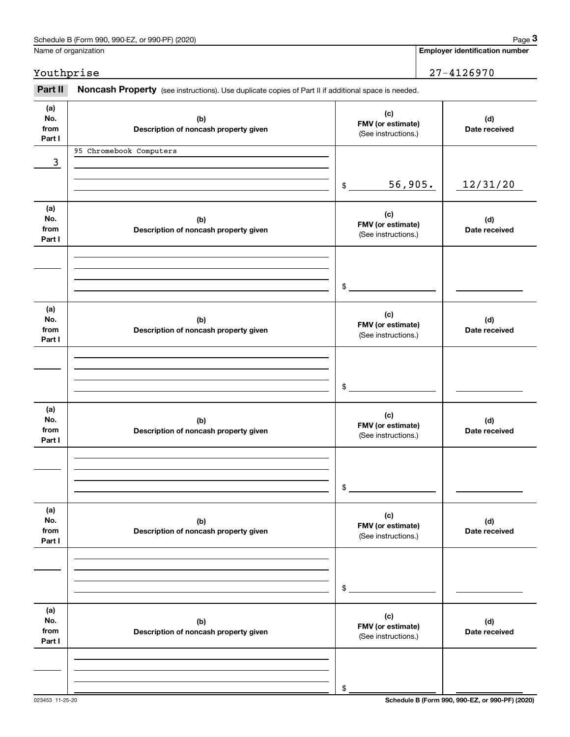|                              | Schedule B (Form 990, 990-EZ, or 990-PF) (2020)                                                     |                                                 | Page 3                                |
|------------------------------|-----------------------------------------------------------------------------------------------------|-------------------------------------------------|---------------------------------------|
|                              | Name of organization                                                                                |                                                 | <b>Employer identification number</b> |
| Youthprise                   |                                                                                                     |                                                 | 27-4126970                            |
| Part II                      | Noncash Property (see instructions). Use duplicate copies of Part II if additional space is needed. |                                                 |                                       |
| (a)<br>No.<br>from<br>Part I | (b)<br>Description of noncash property given                                                        | (c)<br>FMV (or estimate)<br>(See instructions.) | (d)<br>Date received                  |
|                              | 95 Chromebook Computers                                                                             |                                                 |                                       |
| 3                            |                                                                                                     |                                                 |                                       |
|                              |                                                                                                     | 56,905.<br>\$                                   | 12/31/20                              |
| (a)<br>No.<br>from<br>Part I | (b)<br>Description of noncash property given                                                        | (c)<br>FMV (or estimate)<br>(See instructions.) | (d)<br>Date received                  |
|                              |                                                                                                     |                                                 |                                       |
|                              |                                                                                                     | \$                                              |                                       |
| (a)<br>No.<br>from<br>Part I | (b)<br>Description of noncash property given                                                        | (c)<br>FMV (or estimate)<br>(See instructions.) | (d)<br>Date received                  |
|                              |                                                                                                     |                                                 |                                       |
|                              |                                                                                                     | \$                                              |                                       |
| (a)<br>No.<br>from<br>Part I | (b)<br>Description of noncash property given                                                        | (c)<br>FMV (or estimate)<br>(See instructions.) | (d)<br>Date received                  |
|                              |                                                                                                     |                                                 |                                       |
|                              |                                                                                                     | \$                                              |                                       |
| (a)<br>No.<br>from<br>Part I | (b)<br>Description of noncash property given                                                        | (c)<br>FMV (or estimate)<br>(See instructions.) | (d)<br>Date received                  |
|                              |                                                                                                     |                                                 |                                       |
|                              |                                                                                                     | \$                                              |                                       |
| (a)<br>No.<br>from<br>Part I | (b)<br>Description of noncash property given                                                        | (c)<br>FMV (or estimate)<br>(See instructions.) | (d)<br>Date received                  |
|                              |                                                                                                     |                                                 |                                       |
|                              |                                                                                                     | \$                                              |                                       |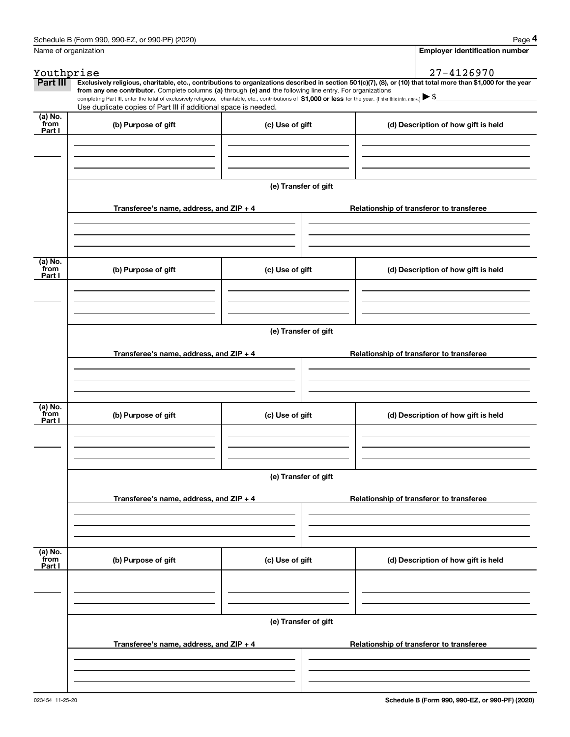|                 | Schedule B (Form 990, 990-EZ, or 990-PF) (2020)                                                                                                                                                                                                                                                 |                      | Page 4                                                                                                                                                         |  |  |  |  |  |
|-----------------|-------------------------------------------------------------------------------------------------------------------------------------------------------------------------------------------------------------------------------------------------------------------------------------------------|----------------------|----------------------------------------------------------------------------------------------------------------------------------------------------------------|--|--|--|--|--|
|                 | Name of organization                                                                                                                                                                                                                                                                            |                      | <b>Employer identification number</b>                                                                                                                          |  |  |  |  |  |
| Youthprise      |                                                                                                                                                                                                                                                                                                 |                      | 27-4126970                                                                                                                                                     |  |  |  |  |  |
| Part III        |                                                                                                                                                                                                                                                                                                 |                      | Exclusively religious, charitable, etc., contributions to organizations described in section 501(c)(7), (8), or (10) that total more than \$1,000 for the year |  |  |  |  |  |
|                 | from any one contributor. Complete columns (a) through (e) and the following line entry. For organizations<br>completing Part III, enter the total of exclusively religious, charitable, etc., contributions of \$1,000 or less for the year. (Enter this info. once.) $\blacktriangleright$ \$ |                      |                                                                                                                                                                |  |  |  |  |  |
|                 | Use duplicate copies of Part III if additional space is needed.                                                                                                                                                                                                                                 |                      |                                                                                                                                                                |  |  |  |  |  |
| (a) No.<br>from | (b) Purpose of gift                                                                                                                                                                                                                                                                             | (c) Use of gift      | (d) Description of how gift is held                                                                                                                            |  |  |  |  |  |
| Part I          |                                                                                                                                                                                                                                                                                                 |                      |                                                                                                                                                                |  |  |  |  |  |
|                 |                                                                                                                                                                                                                                                                                                 |                      |                                                                                                                                                                |  |  |  |  |  |
|                 |                                                                                                                                                                                                                                                                                                 |                      |                                                                                                                                                                |  |  |  |  |  |
|                 |                                                                                                                                                                                                                                                                                                 |                      |                                                                                                                                                                |  |  |  |  |  |
|                 |                                                                                                                                                                                                                                                                                                 | (e) Transfer of gift |                                                                                                                                                                |  |  |  |  |  |
|                 | Transferee's name, address, and ZIP + 4                                                                                                                                                                                                                                                         |                      | Relationship of transferor to transferee                                                                                                                       |  |  |  |  |  |
|                 |                                                                                                                                                                                                                                                                                                 |                      |                                                                                                                                                                |  |  |  |  |  |
|                 |                                                                                                                                                                                                                                                                                                 |                      |                                                                                                                                                                |  |  |  |  |  |
|                 |                                                                                                                                                                                                                                                                                                 |                      |                                                                                                                                                                |  |  |  |  |  |
| (a) No.<br>from |                                                                                                                                                                                                                                                                                                 |                      |                                                                                                                                                                |  |  |  |  |  |
| Part I          | (b) Purpose of gift                                                                                                                                                                                                                                                                             | (c) Use of gift      | (d) Description of how gift is held                                                                                                                            |  |  |  |  |  |
|                 |                                                                                                                                                                                                                                                                                                 |                      |                                                                                                                                                                |  |  |  |  |  |
|                 |                                                                                                                                                                                                                                                                                                 |                      |                                                                                                                                                                |  |  |  |  |  |
|                 |                                                                                                                                                                                                                                                                                                 |                      |                                                                                                                                                                |  |  |  |  |  |
|                 | (e) Transfer of gift                                                                                                                                                                                                                                                                            |                      |                                                                                                                                                                |  |  |  |  |  |
|                 | Transferee's name, address, and ZIP + 4<br>Relationship of transferor to transferee                                                                                                                                                                                                             |                      |                                                                                                                                                                |  |  |  |  |  |
|                 |                                                                                                                                                                                                                                                                                                 |                      |                                                                                                                                                                |  |  |  |  |  |
|                 |                                                                                                                                                                                                                                                                                                 |                      |                                                                                                                                                                |  |  |  |  |  |
|                 |                                                                                                                                                                                                                                                                                                 |                      |                                                                                                                                                                |  |  |  |  |  |
| (a) No.         |                                                                                                                                                                                                                                                                                                 |                      |                                                                                                                                                                |  |  |  |  |  |
| from<br>Part I  | (b) Purpose of gift                                                                                                                                                                                                                                                                             | (c) Use of gift      | (d) Description of how gift is held                                                                                                                            |  |  |  |  |  |
|                 |                                                                                                                                                                                                                                                                                                 |                      |                                                                                                                                                                |  |  |  |  |  |
|                 |                                                                                                                                                                                                                                                                                                 |                      |                                                                                                                                                                |  |  |  |  |  |
|                 |                                                                                                                                                                                                                                                                                                 |                      |                                                                                                                                                                |  |  |  |  |  |
|                 | (e) Transfer of gift                                                                                                                                                                                                                                                                            |                      |                                                                                                                                                                |  |  |  |  |  |
|                 | Transferee's name, address, and ZIP + 4                                                                                                                                                                                                                                                         |                      |                                                                                                                                                                |  |  |  |  |  |
|                 |                                                                                                                                                                                                                                                                                                 |                      | Relationship of transferor to transferee                                                                                                                       |  |  |  |  |  |
|                 |                                                                                                                                                                                                                                                                                                 |                      |                                                                                                                                                                |  |  |  |  |  |
|                 |                                                                                                                                                                                                                                                                                                 |                      |                                                                                                                                                                |  |  |  |  |  |
| (a) No.<br>from |                                                                                                                                                                                                                                                                                                 |                      |                                                                                                                                                                |  |  |  |  |  |
| Part I          | (b) Purpose of gift                                                                                                                                                                                                                                                                             | (c) Use of gift      | (d) Description of how gift is held                                                                                                                            |  |  |  |  |  |
|                 |                                                                                                                                                                                                                                                                                                 |                      |                                                                                                                                                                |  |  |  |  |  |
|                 |                                                                                                                                                                                                                                                                                                 |                      |                                                                                                                                                                |  |  |  |  |  |
|                 |                                                                                                                                                                                                                                                                                                 |                      |                                                                                                                                                                |  |  |  |  |  |
|                 | (e) Transfer of gift                                                                                                                                                                                                                                                                            |                      |                                                                                                                                                                |  |  |  |  |  |
|                 |                                                                                                                                                                                                                                                                                                 |                      |                                                                                                                                                                |  |  |  |  |  |
|                 | Transferee's name, address, and ZIP + 4                                                                                                                                                                                                                                                         |                      | Relationship of transferor to transferee                                                                                                                       |  |  |  |  |  |
|                 |                                                                                                                                                                                                                                                                                                 |                      |                                                                                                                                                                |  |  |  |  |  |
|                 |                                                                                                                                                                                                                                                                                                 |                      |                                                                                                                                                                |  |  |  |  |  |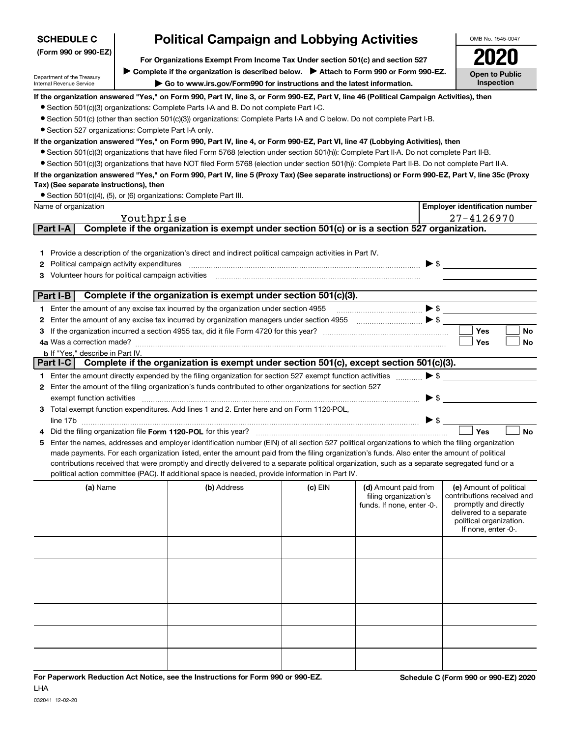| (Form 990 or 990-EZ)                                                                           |                                     | For Organizations Exempt From Income Tax Under section 501(c) and section 527                                                                                                                                                                                                                                                                                                                                                                                                                                                                                                                                                                                                                                                                                                                                                                                                                                                                         |           |                                                                             |                          |                                                                                                                                                             |           |
|------------------------------------------------------------------------------------------------|-------------------------------------|-------------------------------------------------------------------------------------------------------------------------------------------------------------------------------------------------------------------------------------------------------------------------------------------------------------------------------------------------------------------------------------------------------------------------------------------------------------------------------------------------------------------------------------------------------------------------------------------------------------------------------------------------------------------------------------------------------------------------------------------------------------------------------------------------------------------------------------------------------------------------------------------------------------------------------------------------------|-----------|-----------------------------------------------------------------------------|--------------------------|-------------------------------------------------------------------------------------------------------------------------------------------------------------|-----------|
| Department of the Treasury<br>Internal Revenue Service                                         | <b>Open to Public</b><br>Inspection |                                                                                                                                                                                                                                                                                                                                                                                                                                                                                                                                                                                                                                                                                                                                                                                                                                                                                                                                                       |           |                                                                             |                          |                                                                                                                                                             |           |
| · Section 527 organizations: Complete Part I-A only.<br>Tax) (See separate instructions), then |                                     | If the organization answered "Yes," on Form 990, Part IV, line 3, or Form 990-EZ, Part V, line 46 (Political Campaign Activities), then<br>• Section 501(c)(3) organizations: Complete Parts I-A and B. Do not complete Part I-C.<br>• Section 501(c) (other than section 501(c)(3)) organizations: Complete Parts I-A and C below. Do not complete Part I-B.<br>If the organization answered "Yes," on Form 990, Part IV, line 4, or Form 990-EZ, Part VI, line 47 (Lobbying Activities), then<br>● Section 501(c)(3) organizations that have filed Form 5768 (election under section 501(h)): Complete Part II-A. Do not complete Part II-B.<br>• Section 501(c)(3) organizations that have NOT filed Form 5768 (election under section 501(h)): Complete Part II-B. Do not complete Part II-A.<br>If the organization answered "Yes," on Form 990, Part IV, line 5 (Proxy Tax) (See separate instructions) or Form 990-EZ, Part V, line 35c (Proxy |           |                                                                             |                          |                                                                                                                                                             |           |
| Name of organization                                                                           |                                     | • Section 501(c)(4), (5), or (6) organizations: Complete Part III.                                                                                                                                                                                                                                                                                                                                                                                                                                                                                                                                                                                                                                                                                                                                                                                                                                                                                    |           |                                                                             |                          |                                                                                                                                                             |           |
|                                                                                                |                                     |                                                                                                                                                                                                                                                                                                                                                                                                                                                                                                                                                                                                                                                                                                                                                                                                                                                                                                                                                       |           |                                                                             |                          | <b>Employer identification number</b>                                                                                                                       |           |
| Part I-A                                                                                       | Youthprise                          | Complete if the organization is exempt under section 501(c) or is a section 527 organization.                                                                                                                                                                                                                                                                                                                                                                                                                                                                                                                                                                                                                                                                                                                                                                                                                                                         |           |                                                                             |                          | 27-4126970                                                                                                                                                  |           |
| 2 Political campaign activity expenditures                                                     |                                     | 1 Provide a description of the organization's direct and indirect political campaign activities in Part IV.                                                                                                                                                                                                                                                                                                                                                                                                                                                                                                                                                                                                                                                                                                                                                                                                                                           |           |                                                                             |                          |                                                                                                                                                             |           |
| Part I-B                                                                                       |                                     | Complete if the organization is exempt under section 501(c)(3).                                                                                                                                                                                                                                                                                                                                                                                                                                                                                                                                                                                                                                                                                                                                                                                                                                                                                       |           |                                                                             |                          |                                                                                                                                                             |           |
|                                                                                                |                                     | 1 Enter the amount of any excise tax incurred by the organization under section 4955                                                                                                                                                                                                                                                                                                                                                                                                                                                                                                                                                                                                                                                                                                                                                                                                                                                                  |           |                                                                             |                          |                                                                                                                                                             |           |
|                                                                                                |                                     |                                                                                                                                                                                                                                                                                                                                                                                                                                                                                                                                                                                                                                                                                                                                                                                                                                                                                                                                                       |           |                                                                             |                          |                                                                                                                                                             |           |
| З                                                                                              |                                     |                                                                                                                                                                                                                                                                                                                                                                                                                                                                                                                                                                                                                                                                                                                                                                                                                                                                                                                                                       |           |                                                                             |                          | Yes                                                                                                                                                         | No        |
|                                                                                                |                                     |                                                                                                                                                                                                                                                                                                                                                                                                                                                                                                                                                                                                                                                                                                                                                                                                                                                                                                                                                       |           |                                                                             |                          | Yes                                                                                                                                                         | <b>No</b> |
| <b>b</b> If "Yes," describe in Part IV.                                                        |                                     |                                                                                                                                                                                                                                                                                                                                                                                                                                                                                                                                                                                                                                                                                                                                                                                                                                                                                                                                                       |           |                                                                             |                          |                                                                                                                                                             |           |
| Part I-C                                                                                       |                                     | Complete if the organization is exempt under section 501(c), except section 501(c)(3).                                                                                                                                                                                                                                                                                                                                                                                                                                                                                                                                                                                                                                                                                                                                                                                                                                                                |           |                                                                             |                          |                                                                                                                                                             |           |
|                                                                                                |                                     | 1 Enter the amount directly expended by the filing organization for section 527 exempt function activities $\ldots$ , $\blacktriangleright$ \$                                                                                                                                                                                                                                                                                                                                                                                                                                                                                                                                                                                                                                                                                                                                                                                                        |           |                                                                             |                          |                                                                                                                                                             |           |
|                                                                                                |                                     | 2 Enter the amount of the filing organization's funds contributed to other organizations for section 527                                                                                                                                                                                                                                                                                                                                                                                                                                                                                                                                                                                                                                                                                                                                                                                                                                              |           |                                                                             |                          |                                                                                                                                                             |           |
|                                                                                                |                                     |                                                                                                                                                                                                                                                                                                                                                                                                                                                                                                                                                                                                                                                                                                                                                                                                                                                                                                                                                       |           |                                                                             | $\triangleright$ \$      |                                                                                                                                                             |           |
|                                                                                                |                                     | 3 Total exempt function expenditures. Add lines 1 and 2. Enter here and on Form 1120-POL,                                                                                                                                                                                                                                                                                                                                                                                                                                                                                                                                                                                                                                                                                                                                                                                                                                                             |           |                                                                             |                          |                                                                                                                                                             |           |
|                                                                                                |                                     | line 17b                                                                                                                                                                                                                                                                                                                                                                                                                                                                                                                                                                                                                                                                                                                                                                                                                                                                                                                                              |           |                                                                             | $\blacktriangleright$ \$ |                                                                                                                                                             |           |
|                                                                                                |                                     |                                                                                                                                                                                                                                                                                                                                                                                                                                                                                                                                                                                                                                                                                                                                                                                                                                                                                                                                                       |           |                                                                             |                          | Yes                                                                                                                                                         | <b>No</b> |
| 5                                                                                              |                                     | Enter the names, addresses and employer identification number (EIN) of all section 527 political organizations to which the filing organization<br>made payments. For each organization listed, enter the amount paid from the filing organization's funds. Also enter the amount of political                                                                                                                                                                                                                                                                                                                                                                                                                                                                                                                                                                                                                                                        |           |                                                                             |                          |                                                                                                                                                             |           |
|                                                                                                |                                     | contributions received that were promptly and directly delivered to a separate political organization, such as a separate segregated fund or a                                                                                                                                                                                                                                                                                                                                                                                                                                                                                                                                                                                                                                                                                                                                                                                                        |           |                                                                             |                          |                                                                                                                                                             |           |
|                                                                                                |                                     | political action committee (PAC). If additional space is needed, provide information in Part IV.                                                                                                                                                                                                                                                                                                                                                                                                                                                                                                                                                                                                                                                                                                                                                                                                                                                      |           |                                                                             |                          |                                                                                                                                                             |           |
| (a) Name                                                                                       |                                     | (b) Address                                                                                                                                                                                                                                                                                                                                                                                                                                                                                                                                                                                                                                                                                                                                                                                                                                                                                                                                           | $(c)$ EIN | (d) Amount paid from<br>filing organization's<br>funds. If none, enter -0-. |                          | (e) Amount of political<br>contributions received and<br>promptly and directly<br>delivered to a separate<br>political organization.<br>If none, enter -0-. |           |
|                                                                                                |                                     |                                                                                                                                                                                                                                                                                                                                                                                                                                                                                                                                                                                                                                                                                                                                                                                                                                                                                                                                                       |           |                                                                             |                          |                                                                                                                                                             |           |
|                                                                                                |                                     |                                                                                                                                                                                                                                                                                                                                                                                                                                                                                                                                                                                                                                                                                                                                                                                                                                                                                                                                                       |           |                                                                             |                          |                                                                                                                                                             |           |

**Political Campaign and Lobbying Activities**

OMB No. 1545-0047

**SCHEDULE C**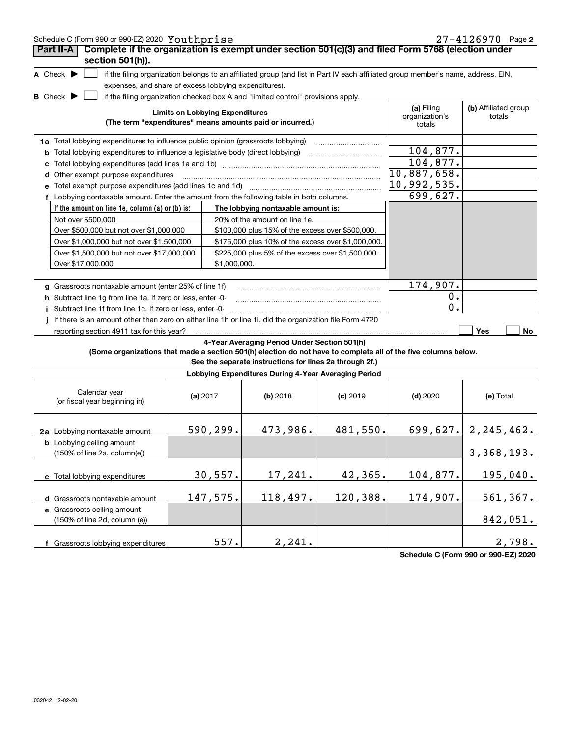| Schedule C (Form 990 or 990-EZ) 2020 Youthprise                                                                                     |  |                                        |                                                                                  |            |                                                                                                                                   | $27 - 4126970$ Page 2          |  |  |  |  |  |
|-------------------------------------------------------------------------------------------------------------------------------------|--|----------------------------------------|----------------------------------------------------------------------------------|------------|-----------------------------------------------------------------------------------------------------------------------------------|--------------------------------|--|--|--|--|--|
| Complete if the organization is exempt under section 501(c)(3) and filed Form 5768 (election under<br>Part II-A<br>section 501(h)). |  |                                        |                                                                                  |            |                                                                                                                                   |                                |  |  |  |  |  |
| A Check $\blacktriangleright$                                                                                                       |  |                                        |                                                                                  |            | if the filing organization belongs to an affiliated group (and list in Part IV each affiliated group member's name, address, EIN, |                                |  |  |  |  |  |
| expenses, and share of excess lobbying expenditures).                                                                               |  |                                        |                                                                                  |            |                                                                                                                                   |                                |  |  |  |  |  |
| $B$ Check $\blacktriangleright$                                                                                                     |  |                                        | if the filing organization checked box A and "limited control" provisions apply. |            |                                                                                                                                   |                                |  |  |  |  |  |
|                                                                                                                                     |  | <b>Limits on Lobbying Expenditures</b> | (The term "expenditures" means amounts paid or incurred.)                        |            | (a) Filing<br>organization's<br>totals                                                                                            | (b) Affiliated group<br>totals |  |  |  |  |  |
| 1a Total lobbying expenditures to influence public opinion (grassroots lobbying)                                                    |  |                                        |                                                                                  |            |                                                                                                                                   |                                |  |  |  |  |  |
| <b>b</b> Total lobbying expenditures to influence a legislative body (direct lobbying)                                              |  |                                        |                                                                                  |            | 104,877.                                                                                                                          |                                |  |  |  |  |  |
| c                                                                                                                                   |  |                                        |                                                                                  |            | 104,877.                                                                                                                          |                                |  |  |  |  |  |
| d Other exempt purpose expenditures                                                                                                 |  |                                        |                                                                                  |            | 10,887,658.                                                                                                                       |                                |  |  |  |  |  |
|                                                                                                                                     |  |                                        |                                                                                  |            | $10,992,535$ .                                                                                                                    |                                |  |  |  |  |  |
| f Lobbying nontaxable amount. Enter the amount from the following table in both columns.                                            |  |                                        |                                                                                  |            | 699,627.                                                                                                                          |                                |  |  |  |  |  |
| If the amount on line 1e, column (a) or (b) is:                                                                                     |  |                                        | The lobbying nontaxable amount is:                                               |            |                                                                                                                                   |                                |  |  |  |  |  |
| Not over \$500,000                                                                                                                  |  |                                        | 20% of the amount on line 1e.                                                    |            |                                                                                                                                   |                                |  |  |  |  |  |
| Over \$500,000 but not over \$1,000,000                                                                                             |  |                                        | \$100,000 plus 15% of the excess over \$500,000.                                 |            |                                                                                                                                   |                                |  |  |  |  |  |
| Over \$1,000,000 but not over \$1,500,000                                                                                           |  |                                        | \$175,000 plus 10% of the excess over \$1,000,000.                               |            |                                                                                                                                   |                                |  |  |  |  |  |
| Over \$1,500,000 but not over \$17,000,000                                                                                          |  |                                        | \$225,000 plus 5% of the excess over \$1,500,000.                                |            |                                                                                                                                   |                                |  |  |  |  |  |
| Over \$17,000,000                                                                                                                   |  | \$1,000,000.                           |                                                                                  |            |                                                                                                                                   |                                |  |  |  |  |  |
|                                                                                                                                     |  |                                        |                                                                                  |            |                                                                                                                                   |                                |  |  |  |  |  |
| g Grassroots nontaxable amount (enter 25% of line 1f)                                                                               |  |                                        |                                                                                  |            | 174,907.                                                                                                                          |                                |  |  |  |  |  |
| h Subtract line 1g from line 1a. If zero or less, enter -0-                                                                         |  |                                        |                                                                                  |            | 0.                                                                                                                                |                                |  |  |  |  |  |
| Subtract line 1f from line 1c. If zero or less, enter -0-                                                                           |  |                                        |                                                                                  |            | $\mathbf 0$ .                                                                                                                     |                                |  |  |  |  |  |
| If there is an amount other than zero on either line 1h or line 1i, did the organization file Form 4720                             |  |                                        |                                                                                  |            |                                                                                                                                   |                                |  |  |  |  |  |
| reporting section 4911 tax for this year?                                                                                           |  |                                        |                                                                                  |            |                                                                                                                                   | Yes<br>No                      |  |  |  |  |  |
| (Some organizations that made a section 501(h) election do not have to complete all of the five columns below.                      |  |                                        | 4-Year Averaging Period Under Section 501(h)                                     |            |                                                                                                                                   |                                |  |  |  |  |  |
|                                                                                                                                     |  |                                        | See the separate instructions for lines 2a through 2f.)                          |            |                                                                                                                                   |                                |  |  |  |  |  |
|                                                                                                                                     |  |                                        | Lobbying Expenditures During 4-Year Averaging Period                             |            |                                                                                                                                   |                                |  |  |  |  |  |
| Calendar year<br>(or fiscal year beginning in)                                                                                      |  | (a) $2017$                             | (b) 2018                                                                         | $(c)$ 2019 | $(d)$ 2020                                                                                                                        | (e) Total                      |  |  |  |  |  |
| 2a Lobbying nontaxable amount                                                                                                       |  | 590,299.                               | 473,986.                                                                         | 481,550.   |                                                                                                                                   | $699, 627. \mid 2, 245, 462.$  |  |  |  |  |  |
| <b>b</b> Lobbying ceiling amount<br>(150% of line 2a, column(e))                                                                    |  |                                        |                                                                                  |            |                                                                                                                                   | 3, 368, 193.                   |  |  |  |  |  |
| c Total lobbying expenditures                                                                                                       |  | 30,557.                                | 17,241.                                                                          | 42,365.    | 104,877.                                                                                                                          | 195,040.                       |  |  |  |  |  |
| d Grassroots nontaxable amount                                                                                                      |  | 147,575.                               | 118,497.                                                                         | 120,388.   | 174,907.                                                                                                                          | 561,367.                       |  |  |  |  |  |
| e Grassroots ceiling amount<br>(150% of line 2d, column (e))                                                                        |  |                                        |                                                                                  |            |                                                                                                                                   | 842,051.                       |  |  |  |  |  |
| f Grassroots lobbying expenditures                                                                                                  |  | 557.                                   | 2, 241.                                                                          |            |                                                                                                                                   | 2,798.                         |  |  |  |  |  |

**Schedule C (Form 990 or 990-EZ) 2020**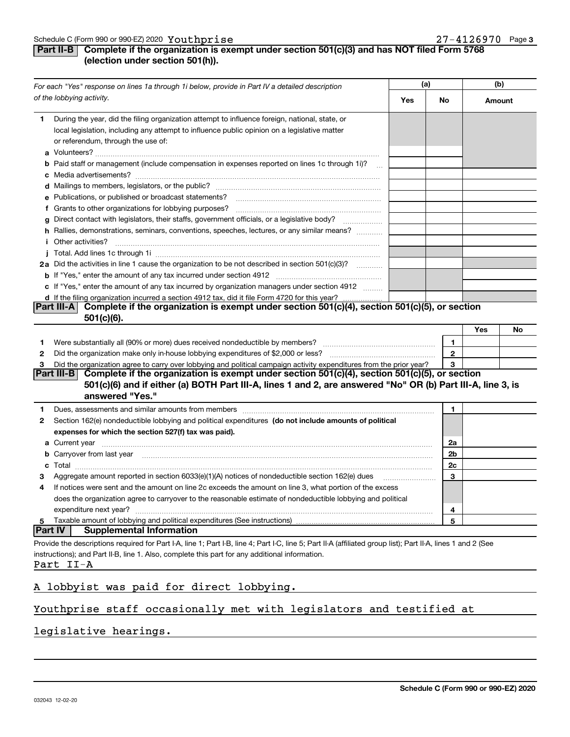# **Part II-B Complete if the organization is exempt under section 501(c)(3) and has NOT filed Form 5768 (election under section 501(h)).**

| For each "Yes" response on lines 1a through 1i below, provide in Part IV a detailed description                                                                                                                                                                                                                             |     | (a)                |        | (b) |  |
|-----------------------------------------------------------------------------------------------------------------------------------------------------------------------------------------------------------------------------------------------------------------------------------------------------------------------------|-----|--------------------|--------|-----|--|
| of the lobbying activity.                                                                                                                                                                                                                                                                                                   | Yes | No                 | Amount |     |  |
| During the year, did the filing organization attempt to influence foreign, national, state, or<br>1.<br>local legislation, including any attempt to influence public opinion on a legislative matter<br>or referendum, through the use of:                                                                                  |     |                    |        |     |  |
| <b>b</b> Paid staff or management (include compensation in expenses reported on lines 1c through 1i)?                                                                                                                                                                                                                       |     |                    |        |     |  |
| e Publications, or published or broadcast statements?                                                                                                                                                                                                                                                                       |     |                    |        |     |  |
| f Grants to other organizations for lobbying purposes?<br>Direct contact with legislators, their staffs, government officials, or a legislative body?<br>q<br>$\overline{\phantom{a}}$                                                                                                                                      |     |                    |        |     |  |
| h Rallies, demonstrations, seminars, conventions, speeches, lectures, or any similar means?<br><i>i</i> Other activities?                                                                                                                                                                                                   |     |                    |        |     |  |
| 2a Did the activities in line 1 cause the organization to be not described in section 501(c)(3)?                                                                                                                                                                                                                            |     |                    |        |     |  |
| c If "Yes," enter the amount of any tax incurred by organization managers under section 4912<br>d If the filing organization incurred a section 4912 tax, did it file Form 4720 for this year?                                                                                                                              |     |                    |        |     |  |
| Complete if the organization is exempt under section 501(c)(4), section 501(c)(5), or section<br> Part III-A <br>$501(c)(6)$ .                                                                                                                                                                                              |     |                    |        |     |  |
|                                                                                                                                                                                                                                                                                                                             |     |                    | Yes    | No  |  |
| 1.<br>2                                                                                                                                                                                                                                                                                                                     |     | 1.<br>$\mathbf{2}$ |        |     |  |
| Did the organization agree to carry over lobbying and political campaign activity expenditures from the prior year?<br>з                                                                                                                                                                                                    |     | 3                  |        |     |  |
| Part III-B Complete if the organization is exempt under section 501(c)(4), section 501(c)(5), or section<br>501(c)(6) and if either (a) BOTH Part III-A, lines 1 and 2, are answered "No" OR (b) Part III-A, line 3, is<br>answered "Yes."                                                                                  |     |                    |        |     |  |
| Dues, assessments and similar amounts from members [111] www.communicallynews.communicallyness.communicallyness.com<br>1.                                                                                                                                                                                                   |     | 1                  |        |     |  |
| Section 162(e) nondeductible lobbying and political expenditures (do not include amounts of political<br>2<br>expenses for which the section 527(f) tax was paid).                                                                                                                                                          |     |                    |        |     |  |
| <b>a</b> Current year                                                                                                                                                                                                                                                                                                       |     | 2a                 |        |     |  |
| <b>b</b> Carryover from last year                                                                                                                                                                                                                                                                                           |     | 2b                 |        |     |  |
| $\textbf{Total} \textcolor{red}{x_1 x_2 x_3 x_4 x_5 x_6 x_7 x_8 x_9 x_1 x_2 x_3 x_4 x_5 x_6 x_7 x_8 x_9 x_1 x_2 x_3 x_4 x_5 x_6 x_7 x_8 x_9 x_1 x_2 x_3 x_4 x_5 x_6 x_7 x_8 x_9 x_1 x_2 x_3 x_4 x_5 x_6 x_7 x_8 x_9 x_1 x_2 x_3 x_4 x_5 x_6 x_7 x_8 x_9 x_1 x_2 x_3 x_4 x_5 x_6 x_7 x_8 x_9 x_1 x_2 x_3 x_4 x_5 x_6 x$<br>c |     | 2c                 |        |     |  |
| Aggregate amount reported in section 6033(e)(1)(A) notices of nondeductible section 162(e) dues<br>з                                                                                                                                                                                                                        |     | 3                  |        |     |  |
| If notices were sent and the amount on line 2c exceeds the amount on line 3, what portion of the excess<br>4<br>does the organization agree to carryover to the reasonable estimate of nondeductible lobbying and political<br>expenditure next year?                                                                       |     | $\overline{4}$     |        |     |  |
| Taxable amount of lobbying and political expenditures (See instructions)<br>5                                                                                                                                                                                                                                               |     | 5                  |        |     |  |
| <b>Part IV</b><br><b>Supplemental Information</b>                                                                                                                                                                                                                                                                           |     |                    |        |     |  |
| Provide the descriptions required for Part I-A, line 1; Part I-B, line 4; Part I-C, line 5; Part II-A (affiliated group list); Part II-A, lines 1 and 2 (See                                                                                                                                                                |     |                    |        |     |  |
| instructions); and Part II-B, line 1. Also, complete this part for any additional information.<br>Part II-A                                                                                                                                                                                                                 |     |                    |        |     |  |

# A lobbyist was paid for direct lobbying.

# Youthprise staff occasionally met with legislators and testified at

# legislative hearings.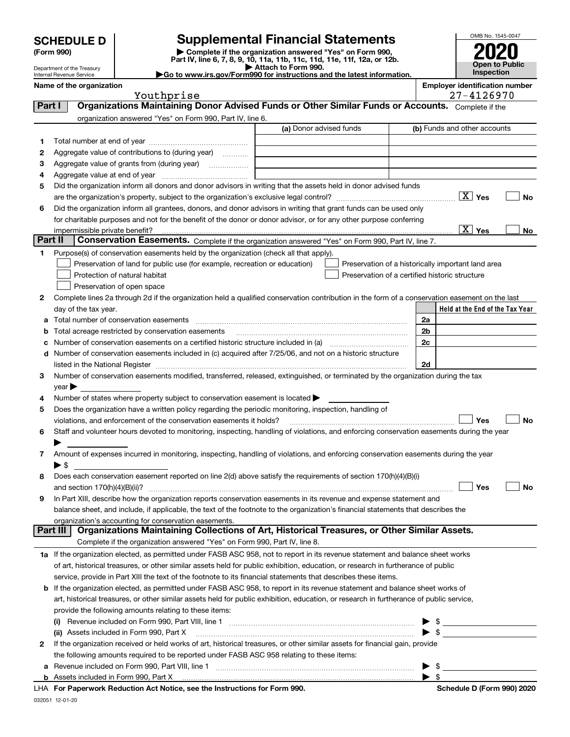Department of the Treasury Internal Revenue Service

# **SCHEDULE D Supplemental Financial Statements**

(Form 990)<br>
Pepartment of the Treasury<br>
Department of the Treasury<br>
Department of the Treasury<br>
Department of the Treasury<br> **Co to www.irs.gov/Form990 for instructions and the latest information.**<br> **Co to www.irs.gov/Form9** 

OMB No. 1545-0047 **Open to Public Inspection 2020**

|  |  |  | Go to www.irs.gov/Form990 for instructions and the latest informa |  |  |
|--|--|--|-------------------------------------------------------------------|--|--|
|  |  |  |                                                                   |  |  |

**Name of the organization Employer identification number**

| loyer identification numbe |    |  |            |  |
|----------------------------|----|--|------------|--|
|                            | -- |  | . <i>.</i> |  |

|         | Youthprise                                                                                                                                                                                                                    |                         | 27-4126970                                         |
|---------|-------------------------------------------------------------------------------------------------------------------------------------------------------------------------------------------------------------------------------|-------------------------|----------------------------------------------------|
| Part I  | Organizations Maintaining Donor Advised Funds or Other Similar Funds or Accounts. Complete if the                                                                                                                             |                         |                                                    |
|         | organization answered "Yes" on Form 990, Part IV, line 6.                                                                                                                                                                     |                         |                                                    |
|         |                                                                                                                                                                                                                               | (a) Donor advised funds | (b) Funds and other accounts                       |
| 1.      |                                                                                                                                                                                                                               |                         |                                                    |
| 2       | Aggregate value of contributions to (during year)                                                                                                                                                                             |                         |                                                    |
| З       | Aggregate value of grants from (during year)                                                                                                                                                                                  |                         |                                                    |
| 4       |                                                                                                                                                                                                                               |                         |                                                    |
| 5       | Did the organization inform all donors and donor advisors in writing that the assets held in donor advised funds                                                                                                              |                         |                                                    |
|         |                                                                                                                                                                                                                               |                         | No                                                 |
| 6       | Did the organization inform all grantees, donors, and donor advisors in writing that grant funds can be used only                                                                                                             |                         |                                                    |
|         | for charitable purposes and not for the benefit of the donor or donor advisor, or for any other purpose conferring                                                                                                            |                         |                                                    |
|         | impermissible private benefit?                                                                                                                                                                                                |                         | $\sqrt{X}$ Yes<br>No                               |
| Part II | Conservation Easements. Complete if the organization answered "Yes" on Form 990, Part IV, line 7.                                                                                                                             |                         |                                                    |
| 1.      | Purpose(s) of conservation easements held by the organization (check all that apply).                                                                                                                                         |                         |                                                    |
|         | Preservation of land for public use (for example, recreation or education)                                                                                                                                                    |                         | Preservation of a historically important land area |
|         | Protection of natural habitat                                                                                                                                                                                                 |                         | Preservation of a certified historic structure     |
|         | Preservation of open space                                                                                                                                                                                                    |                         |                                                    |
| 2       | Complete lines 2a through 2d if the organization held a qualified conservation contribution in the form of a conservation easement on the last                                                                                |                         |                                                    |
|         | day of the tax year.                                                                                                                                                                                                          |                         | Held at the End of the Tax Year                    |
| а       | Total number of conservation easements                                                                                                                                                                                        |                         | 2a                                                 |
| b       | Total acreage restricted by conservation easements                                                                                                                                                                            |                         | 2b                                                 |
| с       | Number of conservation easements on a certified historic structure included in (a) manufacture included in (a)                                                                                                                |                         | 2c                                                 |
| d       | Number of conservation easements included in (c) acquired after 7/25/06, and not on a historic structure                                                                                                                      |                         |                                                    |
|         | listed in the National Register [11, 1200] [12] The National Register [11, 1200] [12] The National Register [11, 1200] [12] The National Register [11, 1200] [12] The National Register [11, 1200] [12] The National Register |                         | 2d                                                 |
| 3       | Number of conservation easements modified, transferred, released, extinguished, or terminated by the organization during the tax                                                                                              |                         |                                                    |
|         | year                                                                                                                                                                                                                          |                         |                                                    |
|         | Number of states where property subject to conservation easement is located >                                                                                                                                                 |                         |                                                    |
| 5       | Does the organization have a written policy regarding the periodic monitoring, inspection, handling of                                                                                                                        |                         |                                                    |
|         | violations, and enforcement of the conservation easements it holds?                                                                                                                                                           |                         | Yes<br>No                                          |
| 6       | Staff and volunteer hours devoted to monitoring, inspecting, handling of violations, and enforcing conservation easements during the year                                                                                     |                         |                                                    |
|         |                                                                                                                                                                                                                               |                         |                                                    |
| 7       | Amount of expenses incurred in monitoring, inspecting, handling of violations, and enforcing conservation easements during the year                                                                                           |                         |                                                    |
|         | $\blacktriangleright$ \$                                                                                                                                                                                                      |                         |                                                    |
|         | Does each conservation easement reported on line 2(d) above satisfy the requirements of section 170(h)(4)(B)(i)                                                                                                               |                         |                                                    |
|         |                                                                                                                                                                                                                               |                         | Yes<br>No                                          |
| 9       | In Part XIII, describe how the organization reports conservation easements in its revenue and expense statement and                                                                                                           |                         |                                                    |
|         | balance sheet, and include, if applicable, the text of the footnote to the organization's financial statements that describes the                                                                                             |                         |                                                    |
|         | organization's accounting for conservation easements.                                                                                                                                                                         |                         |                                                    |
|         | Organizations Maintaining Collections of Art, Historical Treasures, or Other Similar Assets.<br>Part III                                                                                                                      |                         |                                                    |
|         | Complete if the organization answered "Yes" on Form 990, Part IV, line 8.                                                                                                                                                     |                         |                                                    |
|         | 1a If the organization elected, as permitted under FASB ASC 958, not to report in its revenue statement and balance sheet works                                                                                               |                         |                                                    |
|         | of art, historical treasures, or other similar assets held for public exhibition, education, or research in furtherance of public                                                                                             |                         |                                                    |
|         | service, provide in Part XIII the text of the footnote to its financial statements that describes these items.                                                                                                                |                         |                                                    |
|         | <b>b</b> If the organization elected, as permitted under FASB ASC 958, to report in its revenue statement and balance sheet works of                                                                                          |                         |                                                    |
|         | art, historical treasures, or other similar assets held for public exhibition, education, or research in furtherance of public service,                                                                                       |                         |                                                    |
|         | provide the following amounts relating to these items:                                                                                                                                                                        |                         |                                                    |
|         | (i)                                                                                                                                                                                                                           |                         | $\frac{1}{2}$                                      |
|         | (ii) Assets included in Form 990, Part X                                                                                                                                                                                      |                         | $\blacktriangleright$ s                            |
| 2       | If the organization received or held works of art, historical treasures, or other similar assets for financial gain, provide                                                                                                  |                         |                                                    |
|         | the following amounts required to be reported under FASB ASC 958 relating to these items:                                                                                                                                     |                         |                                                    |
| а       |                                                                                                                                                                                                                               |                         | \$                                                 |
|         |                                                                                                                                                                                                                               |                         | $\blacktriangleright$ s                            |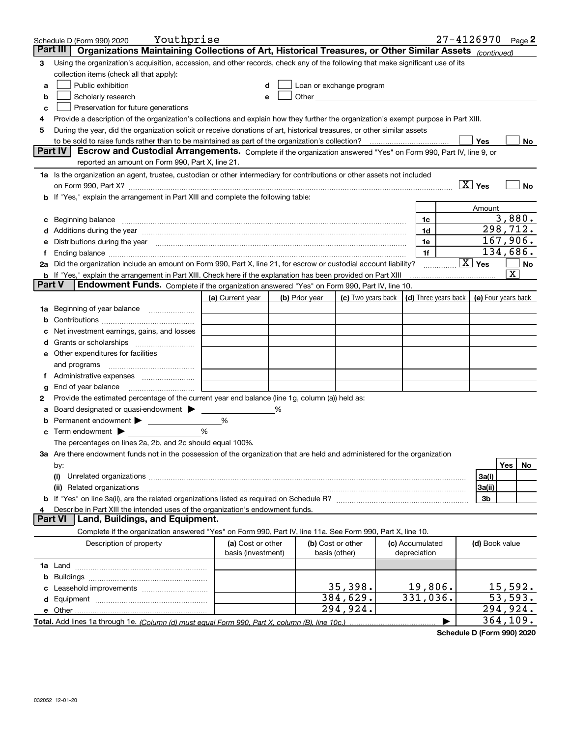|               | Youthprise<br>Schedule D (Form 990) 2020                                                                                                                                                                                       |                    |   |                |                                                                                                                                                                                                                               |                                      |                        | $27 - 4126970$ Page 2   |
|---------------|--------------------------------------------------------------------------------------------------------------------------------------------------------------------------------------------------------------------------------|--------------------|---|----------------|-------------------------------------------------------------------------------------------------------------------------------------------------------------------------------------------------------------------------------|--------------------------------------|------------------------|-------------------------|
|               | Organizations Maintaining Collections of Art, Historical Treasures, or Other Similar Assets (continued)<br>Part III                                                                                                            |                    |   |                |                                                                                                                                                                                                                               |                                      |                        |                         |
| 3             | Using the organization's acquisition, accession, and other records, check any of the following that make significant use of its                                                                                                |                    |   |                |                                                                                                                                                                                                                               |                                      |                        |                         |
|               | collection items (check all that apply):                                                                                                                                                                                       |                    |   |                |                                                                                                                                                                                                                               |                                      |                        |                         |
| a             | Public exhibition                                                                                                                                                                                                              | d                  |   |                | Loan or exchange program                                                                                                                                                                                                      |                                      |                        |                         |
| b             | Scholarly research                                                                                                                                                                                                             | е                  |   |                | Other and the contract of the contract of the contract of the contract of the contract of the contract of the contract of the contract of the contract of the contract of the contract of the contract of the contract of the |                                      |                        |                         |
| c             | Preservation for future generations                                                                                                                                                                                            |                    |   |                |                                                                                                                                                                                                                               |                                      |                        |                         |
|               | Provide a description of the organization's collections and explain how they further the organization's exempt purpose in Part XIII.                                                                                           |                    |   |                |                                                                                                                                                                                                                               |                                      |                        |                         |
| 5             | During the year, did the organization solicit or receive donations of art, historical treasures, or other similar assets                                                                                                       |                    |   |                |                                                                                                                                                                                                                               |                                      |                        |                         |
|               | to be sold to raise funds rather than to be maintained as part of the organization's collection?                                                                                                                               |                    |   |                |                                                                                                                                                                                                                               |                                      | Yes                    | No                      |
|               | Part IV<br>Escrow and Custodial Arrangements. Complete if the organization answered "Yes" on Form 990, Part IV, line 9, or                                                                                                     |                    |   |                |                                                                                                                                                                                                                               |                                      |                        |                         |
|               | reported an amount on Form 990, Part X, line 21.                                                                                                                                                                               |                    |   |                |                                                                                                                                                                                                                               |                                      |                        |                         |
|               | 1a Is the organization an agent, trustee, custodian or other intermediary for contributions or other assets not included                                                                                                       |                    |   |                |                                                                                                                                                                                                                               |                                      |                        |                         |
|               | on Form 990, Part X? [11] matter contracts and contracts and contracts are contracted as a function of the set of the set of the set of the set of the set of the set of the set of the set of the set of the set of the set o |                    |   |                |                                                                                                                                                                                                                               |                                      | $\boxed{X}$ Yes        | No                      |
|               | b If "Yes," explain the arrangement in Part XIII and complete the following table:                                                                                                                                             |                    |   |                |                                                                                                                                                                                                                               |                                      |                        |                         |
|               |                                                                                                                                                                                                                                |                    |   |                |                                                                                                                                                                                                                               |                                      | Amount                 |                         |
|               | c Beginning balance                                                                                                                                                                                                            |                    |   |                |                                                                                                                                                                                                                               | 1c                                   |                        | 3,880.                  |
|               |                                                                                                                                                                                                                                |                    |   |                |                                                                                                                                                                                                                               | 1d                                   |                        | 298,712.                |
|               | Distributions during the year manufactured and continuum and contact the year manufactured and contact the year                                                                                                                |                    |   |                |                                                                                                                                                                                                                               | 1e                                   |                        | 167,906.                |
|               |                                                                                                                                                                                                                                |                    |   |                |                                                                                                                                                                                                                               | 1f                                   |                        | 134,686.                |
|               | 2a Did the organization include an amount on Form 990, Part X, line 21, for escrow or custodial account liability?                                                                                                             |                    |   |                |                                                                                                                                                                                                                               |                                      | $\boxed{\text{X}}$ Yes | No                      |
| <b>Part V</b> | <b>b</b> If "Yes," explain the arrangement in Part XIII. Check here if the explanation has been provided on Part XIII                                                                                                          |                    |   |                |                                                                                                                                                                                                                               |                                      |                        | $\overline{\mathbf{X}}$ |
|               | Endowment Funds. Complete if the organization answered "Yes" on Form 990, Part IV, line 10.                                                                                                                                    |                    |   |                |                                                                                                                                                                                                                               |                                      |                        |                         |
|               |                                                                                                                                                                                                                                | (a) Current year   |   | (b) Prior year | (c) Two years back                                                                                                                                                                                                            | $\vert$ (d) Three years back $\vert$ |                        | (e) Four years back     |
| 1a            |                                                                                                                                                                                                                                |                    |   |                |                                                                                                                                                                                                                               |                                      |                        |                         |
| b             |                                                                                                                                                                                                                                |                    |   |                |                                                                                                                                                                                                                               |                                      |                        |                         |
|               | Net investment earnings, gains, and losses                                                                                                                                                                                     |                    |   |                |                                                                                                                                                                                                                               |                                      |                        |                         |
|               |                                                                                                                                                                                                                                |                    |   |                |                                                                                                                                                                                                                               |                                      |                        |                         |
|               | e Other expenditures for facilities                                                                                                                                                                                            |                    |   |                |                                                                                                                                                                                                                               |                                      |                        |                         |
|               | and programs                                                                                                                                                                                                                   |                    |   |                |                                                                                                                                                                                                                               |                                      |                        |                         |
|               |                                                                                                                                                                                                                                |                    |   |                |                                                                                                                                                                                                                               |                                      |                        |                         |
| g             | End of year balance<br>Provide the estimated percentage of the current year end balance (line 1g, column (a)) held as:                                                                                                         |                    |   |                |                                                                                                                                                                                                                               |                                      |                        |                         |
| 2             | Board designated or quasi-endowment > _____                                                                                                                                                                                    |                    | % |                |                                                                                                                                                                                                                               |                                      |                        |                         |
| b             |                                                                                                                                                                                                                                | %                  |   |                |                                                                                                                                                                                                                               |                                      |                        |                         |
| c             | Term endowment > <u>example</u>                                                                                                                                                                                                | %                  |   |                |                                                                                                                                                                                                                               |                                      |                        |                         |
|               | The percentages on lines 2a, 2b, and 2c should equal 100%.                                                                                                                                                                     |                    |   |                |                                                                                                                                                                                                                               |                                      |                        |                         |
|               | 3a Are there endowment funds not in the possession of the organization that are held and administered for the organization                                                                                                     |                    |   |                |                                                                                                                                                                                                                               |                                      |                        |                         |
|               | by:                                                                                                                                                                                                                            |                    |   |                |                                                                                                                                                                                                                               |                                      |                        | Yes<br>No               |
|               | (i)                                                                                                                                                                                                                            |                    |   |                |                                                                                                                                                                                                                               |                                      | 3a(i)                  |                         |
|               |                                                                                                                                                                                                                                |                    |   |                |                                                                                                                                                                                                                               |                                      | 3a(ii)                 |                         |
|               |                                                                                                                                                                                                                                |                    |   |                |                                                                                                                                                                                                                               |                                      | 3b                     |                         |
|               | Describe in Part XIII the intended uses of the organization's endowment funds.                                                                                                                                                 |                    |   |                |                                                                                                                                                                                                                               |                                      |                        |                         |
|               | Land, Buildings, and Equipment.<br><b>Part VI</b>                                                                                                                                                                              |                    |   |                |                                                                                                                                                                                                                               |                                      |                        |                         |
|               | Complete if the organization answered "Yes" on Form 990, Part IV, line 11a. See Form 990, Part X, line 10.                                                                                                                     |                    |   |                |                                                                                                                                                                                                                               |                                      |                        |                         |
|               | Description of property                                                                                                                                                                                                        | (a) Cost or other  |   |                | (b) Cost or other                                                                                                                                                                                                             | (c) Accumulated                      | (d) Book value         |                         |
|               |                                                                                                                                                                                                                                | basis (investment) |   |                | basis (other)                                                                                                                                                                                                                 | depreciation                         |                        |                         |
|               |                                                                                                                                                                                                                                |                    |   |                |                                                                                                                                                                                                                               |                                      |                        |                         |
|               |                                                                                                                                                                                                                                |                    |   |                |                                                                                                                                                                                                                               |                                      |                        |                         |
|               |                                                                                                                                                                                                                                |                    |   |                | 35,398.                                                                                                                                                                                                                       | 19,806.                              |                        | 15,592.                 |
|               |                                                                                                                                                                                                                                |                    |   |                | 384,629.                                                                                                                                                                                                                      | 331,036.                             |                        | 53,593.                 |
|               | e Other                                                                                                                                                                                                                        |                    |   |                | 294,924.                                                                                                                                                                                                                      |                                      |                        | 294,924.                |
|               | Total. Add lines 1a through 1e. (Column (d) must equal Form 990. Part X, column (B), line 10c.)                                                                                                                                |                    |   |                |                                                                                                                                                                                                                               |                                      |                        | 364, 109.               |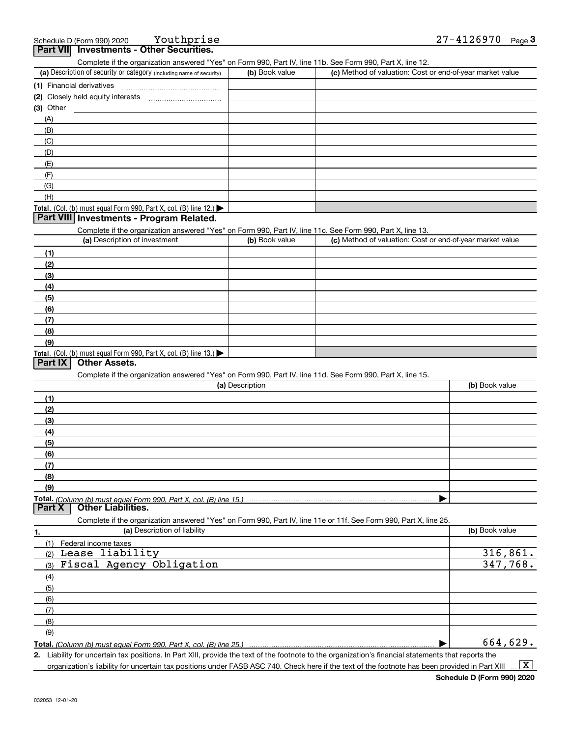**Youthprise** 

(a) Description of security or category (including name of security)  $\vert$  (b) Book value  $\vert$  (c)

Complete if the organization answered "Yes" on Form 990, Part IV, line 11b. See Form 990, Part X, line 12.

(b) Book value (c) Method of valuation: Cost or end-of-year market value

| (1) Financial derivatives                                                                                  |                 |                                                                                                                   |                |
|------------------------------------------------------------------------------------------------------------|-----------------|-------------------------------------------------------------------------------------------------------------------|----------------|
|                                                                                                            |                 |                                                                                                                   |                |
| $(3)$ Other                                                                                                |                 |                                                                                                                   |                |
| (A)                                                                                                        |                 |                                                                                                                   |                |
| (B)                                                                                                        |                 |                                                                                                                   |                |
| (C)                                                                                                        |                 |                                                                                                                   |                |
| (D)                                                                                                        |                 |                                                                                                                   |                |
|                                                                                                            |                 |                                                                                                                   |                |
| (E)                                                                                                        |                 |                                                                                                                   |                |
| (F)                                                                                                        |                 |                                                                                                                   |                |
| (G)                                                                                                        |                 |                                                                                                                   |                |
| (H)                                                                                                        |                 |                                                                                                                   |                |
| Total. (Col. (b) must equal Form 990, Part X, col. (B) line 12.)                                           |                 |                                                                                                                   |                |
| Part VIII Investments - Program Related.                                                                   |                 |                                                                                                                   |                |
| Complete if the organization answered "Yes" on Form 990, Part IV, line 11c. See Form 990, Part X, line 13. |                 |                                                                                                                   |                |
| (a) Description of investment                                                                              | (b) Book value  | (c) Method of valuation: Cost or end-of-year market value                                                         |                |
| (1)                                                                                                        |                 |                                                                                                                   |                |
| (2)                                                                                                        |                 |                                                                                                                   |                |
| (3)                                                                                                        |                 |                                                                                                                   |                |
| (4)                                                                                                        |                 |                                                                                                                   |                |
|                                                                                                            |                 |                                                                                                                   |                |
| (5)                                                                                                        |                 |                                                                                                                   |                |
| (6)                                                                                                        |                 |                                                                                                                   |                |
| (7)                                                                                                        |                 |                                                                                                                   |                |
| (8)                                                                                                        |                 |                                                                                                                   |                |
| (9)                                                                                                        |                 |                                                                                                                   |                |
| Total. (Col. (b) must equal Form 990, Part X, col. (B) line 13.)                                           |                 |                                                                                                                   |                |
| Part IX<br><b>Other Assets.</b>                                                                            |                 |                                                                                                                   |                |
| Complete if the organization answered "Yes" on Form 990, Part IV, line 11d. See Form 990, Part X, line 15. |                 |                                                                                                                   |                |
|                                                                                                            | (a) Description |                                                                                                                   | (b) Book value |
| (1)                                                                                                        |                 |                                                                                                                   |                |
| (2)                                                                                                        |                 |                                                                                                                   |                |
| (3)                                                                                                        |                 |                                                                                                                   |                |
| (4)                                                                                                        |                 |                                                                                                                   |                |
| (5)                                                                                                        |                 |                                                                                                                   |                |
|                                                                                                            |                 |                                                                                                                   |                |
| (6)                                                                                                        |                 |                                                                                                                   |                |
| (7)                                                                                                        |                 |                                                                                                                   |                |
| (8)                                                                                                        |                 |                                                                                                                   |                |
| (9)                                                                                                        |                 |                                                                                                                   |                |
| Total. (Column (b) must equal Form 990, Part X, col. (B) line 15.)                                         |                 |                                                                                                                   |                |
| Part <sub>X</sub><br><b>Other Liabilities.</b>                                                             |                 |                                                                                                                   |                |
|                                                                                                            |                 | Complete if the organization answered "Yes" on Form 990, Part IV, line 11e or 11f. See Form 990, Part X, line 25. |                |
| (a) Description of liability<br>1.                                                                         |                 |                                                                                                                   | (b) Book value |
| Federal income taxes<br>(1)                                                                                |                 |                                                                                                                   |                |
| Lease liability<br>(2)                                                                                     |                 |                                                                                                                   | 316,861.       |
| Fiscal Agency Obligation<br>(3)                                                                            |                 |                                                                                                                   | 347,768.       |
| (4)                                                                                                        |                 |                                                                                                                   |                |
|                                                                                                            |                 |                                                                                                                   |                |
| (5)                                                                                                        |                 |                                                                                                                   |                |
| (6)                                                                                                        |                 |                                                                                                                   |                |
| (7)                                                                                                        |                 |                                                                                                                   |                |
|                                                                                                            |                 |                                                                                                                   |                |
| (8)                                                                                                        |                 |                                                                                                                   |                |
| (9)                                                                                                        |                 |                                                                                                                   | 664,629.       |

**2.** Liability for uncertain tax positions. In Part XIII, provide the text of the footnote to the organization's financial statements that reports the organization's liability for uncertain tax positions under FASB ASC 740. Check here if the text of the footnote has been provided in Part XIII  $\vert$  X  $\vert$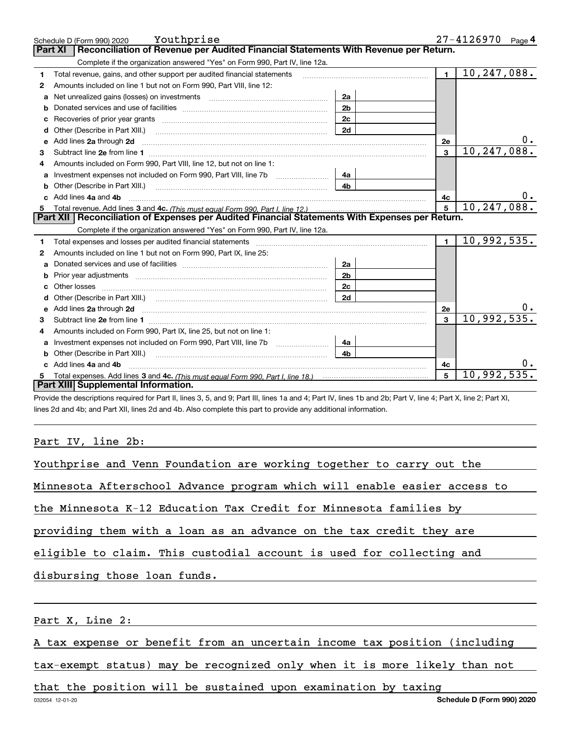|              | Youthprise<br>Schedule D (Form 990) 2020                                                                                                                                                                                            |                |                | 27-4126970<br>Page <sup>4</sup> |
|--------------|-------------------------------------------------------------------------------------------------------------------------------------------------------------------------------------------------------------------------------------|----------------|----------------|---------------------------------|
|              | Reconciliation of Revenue per Audited Financial Statements With Revenue per Return.<br>Part XI                                                                                                                                      |                |                |                                 |
|              | Complete if the organization answered "Yes" on Form 990, Part IV, line 12a.                                                                                                                                                         |                |                |                                 |
| 1            | Total revenue, gains, and other support per audited financial statements                                                                                                                                                            |                | $\blacksquare$ | $\overline{10}$ , 247, 088.     |
| $\mathbf{2}$ | Amounts included on line 1 but not on Form 990, Part VIII, line 12:                                                                                                                                                                 |                |                |                                 |
| a            | Net unrealized gains (losses) on investments [11] matter contracts and the unrealized gains (losses) on investments                                                                                                                 | 2a             |                |                                 |
|              |                                                                                                                                                                                                                                     | 2 <sub>b</sub> |                |                                 |
|              |                                                                                                                                                                                                                                     | 2c             |                |                                 |
|              |                                                                                                                                                                                                                                     | 2d             |                |                                 |
| е            | Add lines 2a through 2d                                                                                                                                                                                                             |                | 2e             | 0.                              |
| 3            |                                                                                                                                                                                                                                     |                | $\mathbf{3}$   | 10,247,088.                     |
|              | Amounts included on Form 990, Part VIII, line 12, but not on line 1:                                                                                                                                                                |                |                |                                 |
|              |                                                                                                                                                                                                                                     | 4a             |                |                                 |
| b            | Other (Describe in Part XIII.) <b>Construction Contract Construction</b> Chemistry Chemistry Chemistry Chemistry Chemistry                                                                                                          | 4 <sub>b</sub> |                |                                 |
| C.           | Add lines 4a and 4b                                                                                                                                                                                                                 |                | 4с             | 0.                              |
| 5            |                                                                                                                                                                                                                                     |                | 5              | 10, 247, 088.                   |
|              |                                                                                                                                                                                                                                     |                |                |                                 |
|              | Part XII   Reconciliation of Expenses per Audited Financial Statements With Expenses per Return.                                                                                                                                    |                |                |                                 |
|              | Complete if the organization answered "Yes" on Form 990, Part IV, line 12a.                                                                                                                                                         |                |                |                                 |
| 1            |                                                                                                                                                                                                                                     |                | $\mathbf{1}$   | 10,992,535.                     |
| 2            | Amounts included on line 1 but not on Form 990, Part IX, line 25:                                                                                                                                                                   |                |                |                                 |
| a            |                                                                                                                                                                                                                                     | 2a             |                |                                 |
| b            |                                                                                                                                                                                                                                     | 2 <sub>b</sub> |                |                                 |
|              |                                                                                                                                                                                                                                     | 2c             |                |                                 |
|              | Other (Describe in Part XIII.) (2000) (2000) (2000) (2000) (2000) (2000) (2000) (2000) (2000) (2000) (2000) (2000) (2000) (2000) (2000) (2000) (2000) (2000) (2000) (2000) (2000) (2000) (2000) (2000) (2000) (2000) (2000) (2      | 2d             |                |                                 |
| е            | Add lines 2a through 2d <b>contained a contained a contained a contained a</b> contained a contact the set of the set of the set of the set of the set of the set of the set of the set of the set of the set of the set of the set |                | 2e             |                                 |
| 3            |                                                                                                                                                                                                                                     |                | $\mathbf{a}$   | 10,992,535.                     |
|              | Amounts included on Form 990, Part IX, line 25, but not on line 1:                                                                                                                                                                  |                |                |                                 |
| a            |                                                                                                                                                                                                                                     | 4a             |                |                                 |
| b            |                                                                                                                                                                                                                                     | 4 <sub>b</sub> |                |                                 |
|              | Add lines 4a and 4b                                                                                                                                                                                                                 |                | 4c             |                                 |
|              | Part XIII Supplemental Information.                                                                                                                                                                                                 |                | 5              | 10,992,535.                     |

Provide the descriptions required for Part II, lines 3, 5, and 9; Part III, lines 1a and 4; Part IV, lines 1b and 2b; Part V, line 4; Part X, line 2; Part XI, lines 2d and 4b; and Part XII, lines 2d and 4b. Also complete this part to provide any additional information.

## Part IV, line 2b:

| Youthprise and Venn Foundation are working together to carry out the     |
|--------------------------------------------------------------------------|
| Minnesota Afterschool Advance program which will enable easier access to |
| the Minnesota K-12 Education Tax Credit for Minnesota families by        |
| providing them with a loan as an advance on the tax credit they are      |
| eligible to claim. This custodial account is used for collecting and     |
|                                                                          |

disbursing those loan funds.

Part X, Line 2:

A tax expense or benefit from an uncertain income tax position (including

tax-exempt status) may be recognized only when it is more likely than not

that the position will be sustained upon examination by taxing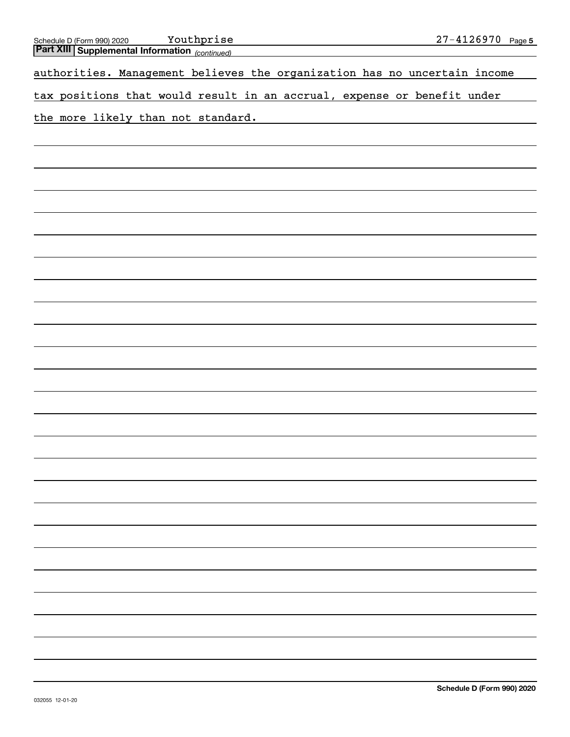| <u>Youthprise</u>                                                                                  | $27 - 4126970$ Page 5 |
|----------------------------------------------------------------------------------------------------|-----------------------|
| Schedule D (Form 990) 2020 Youthprise<br>Part XIII Supplemental Information <sub>(continued)</sub> |                       |
| authorities. Management believes the organization has no uncertain income                          |                       |
| tax positions that would result in an accrual, expense or benefit under                            |                       |
| the more likely than not standard.                                                                 |                       |
|                                                                                                    |                       |
|                                                                                                    |                       |
|                                                                                                    |                       |
|                                                                                                    |                       |
|                                                                                                    |                       |
|                                                                                                    |                       |
|                                                                                                    |                       |
|                                                                                                    |                       |
|                                                                                                    |                       |
|                                                                                                    |                       |
|                                                                                                    |                       |
|                                                                                                    |                       |
|                                                                                                    |                       |
|                                                                                                    |                       |
|                                                                                                    |                       |
|                                                                                                    |                       |
|                                                                                                    |                       |
|                                                                                                    |                       |
|                                                                                                    |                       |
|                                                                                                    |                       |
|                                                                                                    |                       |
|                                                                                                    |                       |
|                                                                                                    |                       |
|                                                                                                    |                       |
|                                                                                                    |                       |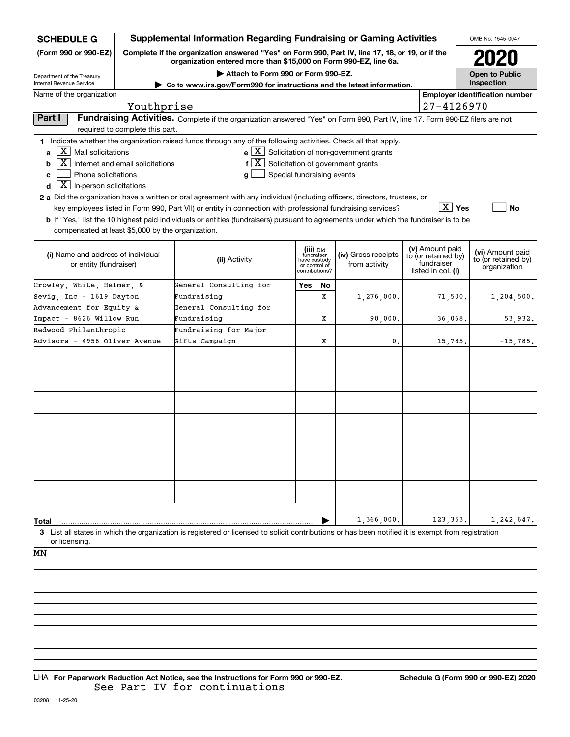| <b>SCHEDULE G</b>                                                                                                                                                                                                                                                                                                                                                                                                                                                                                                                                                                                                                                                                                                                                                                                                                                                                  | Supplemental Information Regarding Fundraising or Gaming Activities                                                                                                 |                                                                            |    |                                      |                                                                            |         | OMB No. 1545-0047                                       |  |  |  |
|------------------------------------------------------------------------------------------------------------------------------------------------------------------------------------------------------------------------------------------------------------------------------------------------------------------------------------------------------------------------------------------------------------------------------------------------------------------------------------------------------------------------------------------------------------------------------------------------------------------------------------------------------------------------------------------------------------------------------------------------------------------------------------------------------------------------------------------------------------------------------------|---------------------------------------------------------------------------------------------------------------------------------------------------------------------|----------------------------------------------------------------------------|----|--------------------------------------|----------------------------------------------------------------------------|---------|---------------------------------------------------------|--|--|--|
| (Form 990 or 990-EZ)                                                                                                                                                                                                                                                                                                                                                                                                                                                                                                                                                                                                                                                                                                                                                                                                                                                               | Complete if the organization answered "Yes" on Form 990, Part IV, line 17, 18, or 19, or if the<br>organization entered more than \$15,000 on Form 990-EZ, line 6a. |                                                                            |    |                                      |                                                                            |         |                                                         |  |  |  |
| Department of the Treasury                                                                                                                                                                                                                                                                                                                                                                                                                                                                                                                                                                                                                                                                                                                                                                                                                                                         |                                                                                                                                                                     | <b>Open to Public</b>                                                      |    |                                      |                                                                            |         |                                                         |  |  |  |
| Internal Revenue Service<br>Go to www.irs.gov/Form990 for instructions and the latest information.                                                                                                                                                                                                                                                                                                                                                                                                                                                                                                                                                                                                                                                                                                                                                                                 | Inspection                                                                                                                                                          |                                                                            |    |                                      |                                                                            |         |                                                         |  |  |  |
| Name of the organization<br><b>Employer identification number</b><br>Youthprise<br>27-4126970                                                                                                                                                                                                                                                                                                                                                                                                                                                                                                                                                                                                                                                                                                                                                                                      |                                                                                                                                                                     |                                                                            |    |                                      |                                                                            |         |                                                         |  |  |  |
|                                                                                                                                                                                                                                                                                                                                                                                                                                                                                                                                                                                                                                                                                                                                                                                                                                                                                    |                                                                                                                                                                     |                                                                            |    |                                      |                                                                            |         |                                                         |  |  |  |
| required to complete this part.                                                                                                                                                                                                                                                                                                                                                                                                                                                                                                                                                                                                                                                                                                                                                                                                                                                    | Fundraising Activities. Complete if the organization answered "Yes" on Form 990, Part IV, line 17. Form 990-EZ filers are not<br>Part I                             |                                                                            |    |                                      |                                                                            |         |                                                         |  |  |  |
| 1 Indicate whether the organization raised funds through any of the following activities. Check all that apply.<br>$\overline{X}$ Mail solicitations<br>$\mathbf{e} \times \mathbf{X}$ Solicitation of non-government grants<br>a<br>$ \mathbf{X} $ Solicitation of government grants<br>Internet and email solicitations<br>f<br>b<br>Phone solicitations<br>Special fundraising events<br>c<br>g<br>$\boxed{\text{X}}$ In-person solicitations<br>d<br>2 a Did the organization have a written or oral agreement with any individual (including officers, directors, trustees, or<br>$\boxed{\text{X}}$ Yes<br>key employees listed in Form 990, Part VII) or entity in connection with professional fundraising services?<br>No<br><b>b</b> If "Yes," list the 10 highest paid individuals or entities (fundraisers) pursuant to agreements under which the fundraiser is to be |                                                                                                                                                                     |                                                                            |    |                                      |                                                                            |         |                                                         |  |  |  |
| compensated at least \$5,000 by the organization.                                                                                                                                                                                                                                                                                                                                                                                                                                                                                                                                                                                                                                                                                                                                                                                                                                  |                                                                                                                                                                     |                                                                            |    |                                      |                                                                            |         |                                                         |  |  |  |
| (i) Name and address of individual<br>or entity (fundraiser)                                                                                                                                                                                                                                                                                                                                                                                                                                                                                                                                                                                                                                                                                                                                                                                                                       | (ii) Activity                                                                                                                                                       | (iii) Did<br>fundraiser<br>have custody<br>or control of<br>contributions? |    | (iv) Gross receipts<br>from activity | (v) Amount paid<br>to (or retained by)<br>fundraiser<br>listed in col. (i) |         | (vi) Amount paid<br>to (or retained by)<br>organization |  |  |  |
| Crowley, White, Helmer, &                                                                                                                                                                                                                                                                                                                                                                                                                                                                                                                                                                                                                                                                                                                                                                                                                                                          | General Consulting for                                                                                                                                              | Yes                                                                        | No |                                      |                                                                            |         |                                                         |  |  |  |
| Sevig Inc - 1619 Dayton                                                                                                                                                                                                                                                                                                                                                                                                                                                                                                                                                                                                                                                                                                                                                                                                                                                            | Fundraising                                                                                                                                                         |                                                                            | X  | 1,276,000.                           |                                                                            | 71,500. | 1,204,500.                                              |  |  |  |
| Advancement for Equity &                                                                                                                                                                                                                                                                                                                                                                                                                                                                                                                                                                                                                                                                                                                                                                                                                                                           | General Consulting for                                                                                                                                              |                                                                            |    |                                      |                                                                            |         |                                                         |  |  |  |
| Impact - 8626 Willow Run                                                                                                                                                                                                                                                                                                                                                                                                                                                                                                                                                                                                                                                                                                                                                                                                                                                           | Fundraising                                                                                                                                                         |                                                                            | X  | 90,000,                              |                                                                            | 36,068. | 53,932.                                                 |  |  |  |
| Redwood Philanthropic                                                                                                                                                                                                                                                                                                                                                                                                                                                                                                                                                                                                                                                                                                                                                                                                                                                              | Fundraising for Major                                                                                                                                               |                                                                            |    |                                      |                                                                            |         |                                                         |  |  |  |
| Advisors - 4956 Oliver Avenue                                                                                                                                                                                                                                                                                                                                                                                                                                                                                                                                                                                                                                                                                                                                                                                                                                                      | Gifts Campaign                                                                                                                                                      |                                                                            | X  | 0                                    |                                                                            | 15,785. | $-15, 785.$                                             |  |  |  |
|                                                                                                                                                                                                                                                                                                                                                                                                                                                                                                                                                                                                                                                                                                                                                                                                                                                                                    |                                                                                                                                                                     |                                                                            |    |                                      |                                                                            |         |                                                         |  |  |  |
|                                                                                                                                                                                                                                                                                                                                                                                                                                                                                                                                                                                                                                                                                                                                                                                                                                                                                    |                                                                                                                                                                     |                                                                            |    |                                      |                                                                            |         |                                                         |  |  |  |
|                                                                                                                                                                                                                                                                                                                                                                                                                                                                                                                                                                                                                                                                                                                                                                                                                                                                                    |                                                                                                                                                                     |                                                                            |    |                                      |                                                                            |         |                                                         |  |  |  |
|                                                                                                                                                                                                                                                                                                                                                                                                                                                                                                                                                                                                                                                                                                                                                                                                                                                                                    |                                                                                                                                                                     |                                                                            |    |                                      |                                                                            |         |                                                         |  |  |  |
|                                                                                                                                                                                                                                                                                                                                                                                                                                                                                                                                                                                                                                                                                                                                                                                                                                                                                    |                                                                                                                                                                     |                                                                            |    |                                      |                                                                            |         |                                                         |  |  |  |
|                                                                                                                                                                                                                                                                                                                                                                                                                                                                                                                                                                                                                                                                                                                                                                                                                                                                                    |                                                                                                                                                                     |                                                                            |    |                                      |                                                                            |         |                                                         |  |  |  |
|                                                                                                                                                                                                                                                                                                                                                                                                                                                                                                                                                                                                                                                                                                                                                                                                                                                                                    |                                                                                                                                                                     |                                                                            |    |                                      |                                                                            |         |                                                         |  |  |  |
|                                                                                                                                                                                                                                                                                                                                                                                                                                                                                                                                                                                                                                                                                                                                                                                                                                                                                    |                                                                                                                                                                     |                                                                            |    |                                      |                                                                            |         |                                                         |  |  |  |
|                                                                                                                                                                                                                                                                                                                                                                                                                                                                                                                                                                                                                                                                                                                                                                                                                                                                                    |                                                                                                                                                                     |                                                                            |    |                                      |                                                                            |         |                                                         |  |  |  |
|                                                                                                                                                                                                                                                                                                                                                                                                                                                                                                                                                                                                                                                                                                                                                                                                                                                                                    |                                                                                                                                                                     |                                                                            |    |                                      |                                                                            |         |                                                         |  |  |  |
|                                                                                                                                                                                                                                                                                                                                                                                                                                                                                                                                                                                                                                                                                                                                                                                                                                                                                    |                                                                                                                                                                     |                                                                            |    |                                      |                                                                            |         |                                                         |  |  |  |
|                                                                                                                                                                                                                                                                                                                                                                                                                                                                                                                                                                                                                                                                                                                                                                                                                                                                                    |                                                                                                                                                                     |                                                                            |    |                                      |                                                                            |         |                                                         |  |  |  |
| Total                                                                                                                                                                                                                                                                                                                                                                                                                                                                                                                                                                                                                                                                                                                                                                                                                                                                              |                                                                                                                                                                     |                                                                            |    | 1,366,000                            |                                                                            | 123,353 | 1,242,647.                                              |  |  |  |
| 3 List all states in which the organization is registered or licensed to solicit contributions or has been notified it is exempt from registration<br>or licensing.                                                                                                                                                                                                                                                                                                                                                                                                                                                                                                                                                                                                                                                                                                                |                                                                                                                                                                     |                                                                            |    |                                      |                                                                            |         |                                                         |  |  |  |
| MΝ                                                                                                                                                                                                                                                                                                                                                                                                                                                                                                                                                                                                                                                                                                                                                                                                                                                                                 |                                                                                                                                                                     |                                                                            |    |                                      |                                                                            |         |                                                         |  |  |  |
|                                                                                                                                                                                                                                                                                                                                                                                                                                                                                                                                                                                                                                                                                                                                                                                                                                                                                    |                                                                                                                                                                     |                                                                            |    |                                      |                                                                            |         |                                                         |  |  |  |

LHA For Paperwork Reduction Act Notice, see the Instructions for Form 990 or 990-EZ. Schedule G (Form 990 or 990-EZ) 2020 See Part IV for continuations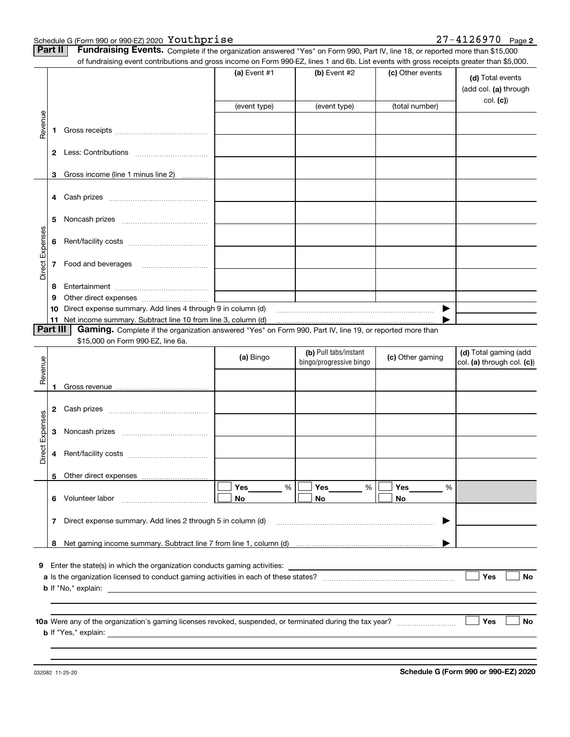Schedule G (Form 990 or 990-EZ) 2020 Youthprise

|                 | Part II      | Fundraising Events. Complete if the organization answered "Yes" on Form 990, Part IV, line 18, or reported more than \$15,000<br>of fundraising event contributions and gross income on Form 990-EZ, lines 1 and 6b. List events with gross receipts greater than \$5,000. |                |                                                  |                  |                                                     |
|-----------------|--------------|----------------------------------------------------------------------------------------------------------------------------------------------------------------------------------------------------------------------------------------------------------------------------|----------------|--------------------------------------------------|------------------|-----------------------------------------------------|
|                 |              |                                                                                                                                                                                                                                                                            | (a) Event #1   | (b) Event #2                                     | (c) Other events | (d) Total events<br>(add col. (a) through           |
|                 |              |                                                                                                                                                                                                                                                                            | (event type)   | (event type)                                     | (total number)   | col. (c)                                            |
| Revenue         | 1            |                                                                                                                                                                                                                                                                            |                |                                                  |                  |                                                     |
|                 |              |                                                                                                                                                                                                                                                                            |                |                                                  |                  |                                                     |
|                 | 3            | Gross income (line 1 minus line 2)                                                                                                                                                                                                                                         |                |                                                  |                  |                                                     |
|                 |              |                                                                                                                                                                                                                                                                            |                |                                                  |                  |                                                     |
|                 | 5.           |                                                                                                                                                                                                                                                                            |                |                                                  |                  |                                                     |
| Direct Expenses | 6            |                                                                                                                                                                                                                                                                            |                |                                                  |                  |                                                     |
|                 | 7            |                                                                                                                                                                                                                                                                            |                |                                                  |                  |                                                     |
|                 | 8            |                                                                                                                                                                                                                                                                            |                |                                                  |                  |                                                     |
|                 | 9            |                                                                                                                                                                                                                                                                            |                |                                                  |                  |                                                     |
|                 |              |                                                                                                                                                                                                                                                                            |                |                                                  | ▶                |                                                     |
| <b>Part III</b> |              | Gaming. Complete if the organization answered "Yes" on Form 990, Part IV, line 19, or reported more than                                                                                                                                                                   |                |                                                  |                  |                                                     |
|                 |              | \$15,000 on Form 990-EZ, line 6a.                                                                                                                                                                                                                                          |                |                                                  |                  |                                                     |
| Revenue         |              |                                                                                                                                                                                                                                                                            | (a) Bingo      | (b) Pull tabs/instant<br>bingo/progressive bingo | (c) Other gaming | (d) Total gaming (add<br>col. (a) through col. (c)) |
|                 |              |                                                                                                                                                                                                                                                                            |                |                                                  |                  |                                                     |
|                 | $\mathbf{2}$ |                                                                                                                                                                                                                                                                            |                |                                                  |                  |                                                     |
| Expenses        | 3            |                                                                                                                                                                                                                                                                            |                |                                                  |                  |                                                     |
| Direct          | 4            |                                                                                                                                                                                                                                                                            |                |                                                  |                  |                                                     |
|                 | 5.           |                                                                                                                                                                                                                                                                            |                |                                                  |                  |                                                     |
|                 |              | 6 Volunteer labor                                                                                                                                                                                                                                                          | Yes<br>%<br>No | Yes<br>%<br>No                                   | Yes<br>%<br>No   |                                                     |
|                 | 7            | Direct expense summary. Add lines 2 through 5 in column (d)                                                                                                                                                                                                                |                |                                                  | ▶                |                                                     |
|                 |              |                                                                                                                                                                                                                                                                            |                |                                                  |                  |                                                     |
|                 |              | 9 Enter the state(s) in which the organization conducts gaming activities: ___________________________________<br>$\mathbf b$ If "No," explain: $\qquad \qquad$                                                                                                            |                |                                                  |                  | Yes<br><b>No</b>                                    |
|                 |              |                                                                                                                                                                                                                                                                            |                |                                                  |                  | <b>Yes</b><br>No                                    |

**Schedule G (Form 990 or 990-EZ) 2020**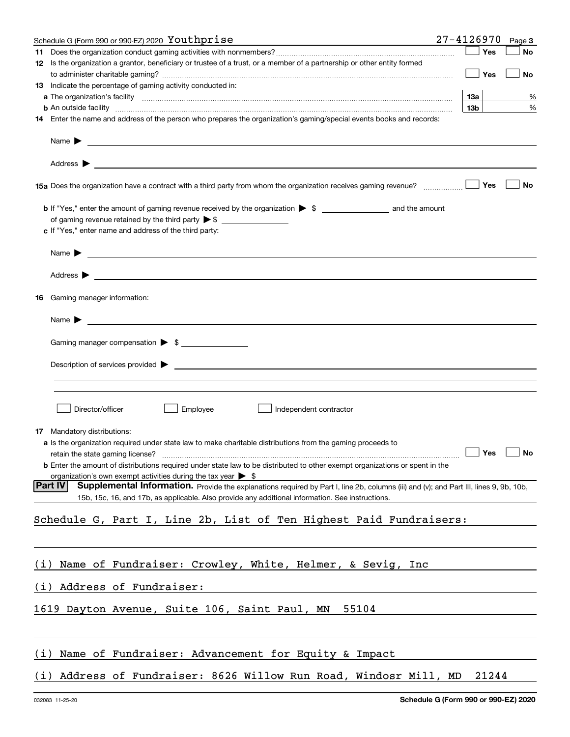|     | Schedule G (Form 990 or 990-EZ) 2020 Youthprise                                                                                                               | $27 - 4126970$  |       | Page 3 |
|-----|---------------------------------------------------------------------------------------------------------------------------------------------------------------|-----------------|-------|--------|
|     |                                                                                                                                                               |                 | Yes   | No     |
|     | 12 Is the organization a grantor, beneficiary or trustee of a trust, or a member of a partnership or other entity formed                                      |                 |       |        |
|     |                                                                                                                                                               |                 | Yes   | No     |
|     | 13 Indicate the percentage of gaming activity conducted in:                                                                                                   |                 |       |        |
|     |                                                                                                                                                               | 13a             |       | %      |
|     | <b>b</b> An outside facility <i>www.communicality www.communicality.communicality www.communicality www.communicality.communicality www.communicality.com</i> | 13 <sub>b</sub> |       | %      |
|     | 14 Enter the name and address of the person who prepares the organization's gaming/special events books and records:                                          |                 |       |        |
|     |                                                                                                                                                               |                 |       |        |
|     |                                                                                                                                                               |                 |       |        |
|     | 15a Does the organization have a contract with a third party from whom the organization receives gaming revenue?                                              |                 | Yes   | No     |
|     |                                                                                                                                                               |                 |       |        |
|     |                                                                                                                                                               |                 |       |        |
|     | c If "Yes," enter name and address of the third party:                                                                                                        |                 |       |        |
|     | Name $\blacktriangleright$ $\frac{\blacktriangleright}{\color{blue}\square\color{blacktriangle}}$                                                             |                 |       |        |
|     |                                                                                                                                                               |                 |       |        |
| 16. | Gaming manager information:                                                                                                                                   |                 |       |        |
|     | <u>and the contract of the contract of the contract of the contract of the contract of the contract of the contract of</u><br>Name $\blacktriangleright$      |                 |       |        |
|     | Gaming manager compensation > \$                                                                                                                              |                 |       |        |
|     |                                                                                                                                                               |                 |       |        |
|     |                                                                                                                                                               |                 |       |        |
|     |                                                                                                                                                               |                 |       |        |
|     |                                                                                                                                                               |                 |       |        |
|     | Director/officer<br>Employee<br>Independent contractor                                                                                                        |                 |       |        |
|     | 17 Mandatory distributions:                                                                                                                                   |                 |       |        |
|     | <b>a</b> Is the organization required under state law to make charitable distributions from the gaming proceeds to                                            |                 |       |        |
|     | retain the state gaming license? <b>Construction and the state of the State State State Gaming license?</b> No                                                |                 |       |        |
|     | <b>b</b> Enter the amount of distributions required under state law to be distributed to other exempt organizations or spent in the                           |                 |       |        |
|     | organization's own exempt activities during the tax year $\triangleright$ \$                                                                                  |                 |       |        |
|     | <b>Part IV</b><br>Supplemental Information. Provide the explanations required by Part I, line 2b, columns (iii) and (v); and Part III, lines 9, 9b, 10b,      |                 |       |        |
|     | 15b, 15c, 16, and 17b, as applicable. Also provide any additional information. See instructions.                                                              |                 |       |        |
|     |                                                                                                                                                               |                 |       |        |
|     | Schedule G, Part I, Line 2b, List of Ten Highest Paid Fundraisers:                                                                                            |                 |       |        |
|     |                                                                                                                                                               |                 |       |        |
| (i) | Name of Fundraiser: Crowley, White, Helmer, & Sevig, Inc                                                                                                      |                 |       |        |
| (i) | Address of Fundraiser:                                                                                                                                        |                 |       |        |
|     | 1619 Dayton Avenue, Suite 106, Saint Paul, MN 55104                                                                                                           |                 |       |        |
|     |                                                                                                                                                               |                 |       |        |
| (i) | Name of Fundraiser: Advancement for Equity & Impact                                                                                                           |                 |       |        |
| (i) | Address of Fundraiser: 8626 Willow Run Road, Windosr Mill, MD                                                                                                 |                 | 21244 |        |
|     |                                                                                                                                                               |                 |       |        |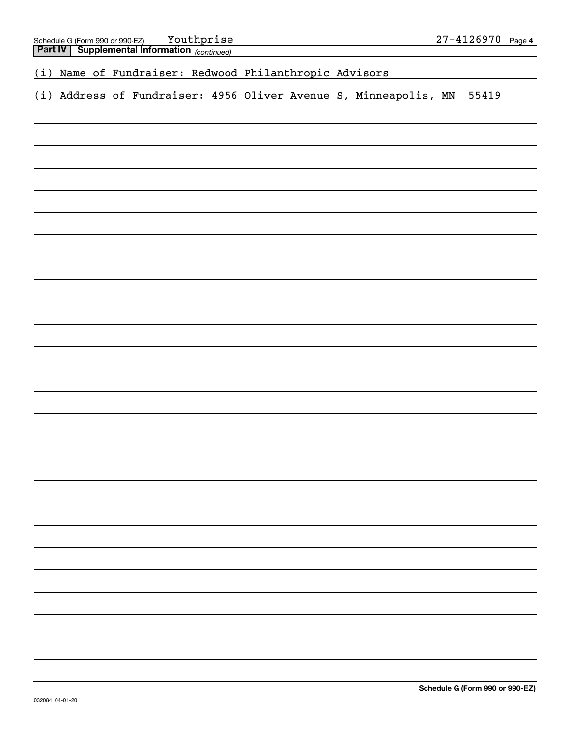# *(continued)* **Part IV Supplemental Information**  (i) Address of Fundraiser: 4956 Oliver Avenue S, Minneapolis, MN 55419 (i) Name of Fundraiser: Redwood Philanthropic Advisors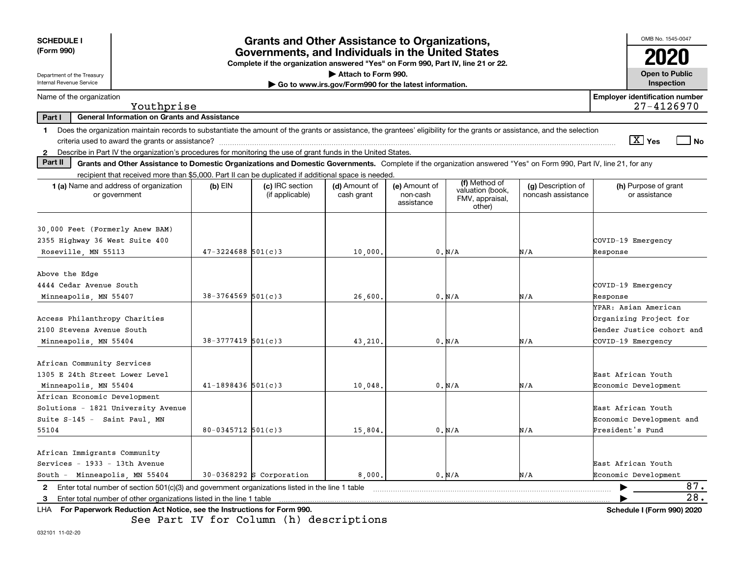| <b>SCHEDULE I</b><br>(Form 990)                                                                                                                                            |                         | <b>Grants and Other Assistance to Organizations,</b>                                                                                  |                                                       |                                         |                                                                |                                          | OMB No. 1545-0047                                                                                 |
|----------------------------------------------------------------------------------------------------------------------------------------------------------------------------|-------------------------|---------------------------------------------------------------------------------------------------------------------------------------|-------------------------------------------------------|-----------------------------------------|----------------------------------------------------------------|------------------------------------------|---------------------------------------------------------------------------------------------------|
|                                                                                                                                                                            |                         | Governments, and Individuals in the United States<br>Complete if the organization answered "Yes" on Form 990, Part IV, line 21 or 22. |                                                       |                                         |                                                                |                                          | 2020                                                                                              |
| Department of the Treasury                                                                                                                                                 |                         |                                                                                                                                       | Attach to Form 990.                                   |                                         |                                                                |                                          | <b>Open to Public</b>                                                                             |
| Internal Revenue Service                                                                                                                                                   |                         |                                                                                                                                       | Go to www.irs.gov/Form990 for the latest information. |                                         |                                                                |                                          | Inspection                                                                                        |
| Name of the organization<br>Youthprise                                                                                                                                     |                         |                                                                                                                                       |                                                       |                                         |                                                                |                                          | <b>Employer identification number</b><br>27-4126970                                               |
| General Information on Grants and Assistance<br>Part I                                                                                                                     |                         |                                                                                                                                       |                                                       |                                         |                                                                |                                          |                                                                                                   |
| 1 Does the organization maintain records to substantiate the amount of the grants or assistance, the grantees' eligibility for the grants or assistance, and the selection |                         |                                                                                                                                       |                                                       |                                         |                                                                |                                          | $\sqrt{X}$ Yes<br>  No                                                                            |
| Describe in Part IV the organization's procedures for monitoring the use of grant funds in the United States.<br>$\mathbf{2}$<br>Part II                                   |                         |                                                                                                                                       |                                                       |                                         |                                                                |                                          |                                                                                                   |
| Grants and Other Assistance to Domestic Organizations and Domestic Governments. Complete if the organization answered "Yes" on Form 990, Part IV, line 21, for any         |                         |                                                                                                                                       |                                                       |                                         |                                                                |                                          |                                                                                                   |
| recipient that received more than \$5,000. Part II can be duplicated if additional space is needed.<br><b>1 (a)</b> Name and address of organization<br>or government      | $(b)$ EIN               | (c) IRC section<br>(if applicable)                                                                                                    | (d) Amount of<br>cash grant                           | (e) Amount of<br>non-cash<br>assistance | (f) Method of<br>valuation (book,<br>FMV, appraisal,<br>other) | (g) Description of<br>noncash assistance | (h) Purpose of grant<br>or assistance                                                             |
| 30,000 Feet (Formerly Anew BAM)<br>2355 Highway 36 West Suite 400<br>Roseville, MN 55113                                                                                   | $47 - 3224688$ 501(c) 3 |                                                                                                                                       | 10,000.                                               |                                         | 0. N/A                                                         | N/A                                      | COVID-19 Emergency<br>Response                                                                    |
| Above the Edge<br>4444 Cedar Avenue South<br>Minneapolis, MN 55407                                                                                                         | $38 - 3764569$ 501(c)3  |                                                                                                                                       | 26,600                                                |                                         | 0. N/A                                                         | N/A                                      | COVID-19 Emergency<br>Response                                                                    |
| Access Philanthropy Charities<br>2100 Stevens Avenue South<br>Minneapolis, MN 55404                                                                                        | $38 - 3777419$ 501(c)3  |                                                                                                                                       | 43,210                                                |                                         | 0. N/A                                                         | N/A                                      | YPAR: Asian American<br>Organizing Project for<br>Gender Justice cohort and<br>COVID-19 Emergency |
| African Community Services<br>1305 E 24th Street Lower Level<br>Minneapolis, MN 55404                                                                                      | $41 - 1898436$ 501(c)3  |                                                                                                                                       | 10.048                                                |                                         | 0. N/A                                                         | N/A                                      | East African Youth<br>Economic Development                                                        |
| African Economic Development<br>Solutions - 1821 University Avenue<br>Suite S-145 - Saint Paul, MN<br>55104                                                                | $80 - 0345712$ 501(c)3  |                                                                                                                                       | 15,804.                                               |                                         | 0. N/A                                                         | N/A                                      | East African Youth<br>Economic Development and<br>President's Fund                                |
| African Immigrants Community<br>Services - 1933 - 13th Avenue<br>South - Minneapolis, MN 55404                                                                             |                         | $30-0368292$ S Corporation                                                                                                            | 8,000.                                                |                                         | 0. N/A                                                         | N/A                                      | East African Youth<br>Economic Development                                                        |
| 2 Enter total number of section 501(c)(3) and government organizations listed in the line 1 table                                                                          |                         |                                                                                                                                       |                                                       |                                         |                                                                |                                          | 87.                                                                                               |
| LUA Lor Depertuarly Reduction Act Notice, and the Instructions for Ferm 000                                                                                                |                         |                                                                                                                                       |                                                       |                                         |                                                                |                                          | 28.<br>Schodule L/Earm 000\ 2020                                                                  |

**For Paperwork Reduction Act Notice, see the Instructions for Form 990. Schedule I (Form 990) 2020** LHA See Part IV for Column (h) descriptions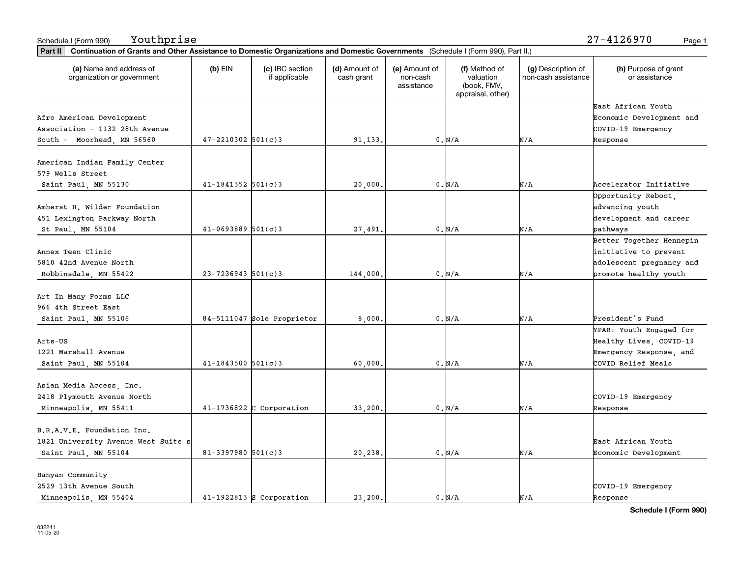| Part II   Continuation of Grants and Other Assistance to Domestic Organizations and Domestic Governments (Schedule I (Form 990), Part II.) |                        |                                  |                             |                                         |                                                                |                                           |                                       |
|--------------------------------------------------------------------------------------------------------------------------------------------|------------------------|----------------------------------|-----------------------------|-----------------------------------------|----------------------------------------------------------------|-------------------------------------------|---------------------------------------|
| (a) Name and address of<br>organization or government                                                                                      | $(b)$ EIN              | (c) IRC section<br>if applicable | (d) Amount of<br>cash grant | (e) Amount of<br>non-cash<br>assistance | (f) Method of<br>valuation<br>(book, FMV,<br>appraisal, other) | (g) Description of<br>non-cash assistance | (h) Purpose of grant<br>or assistance |
|                                                                                                                                            |                        |                                  |                             |                                         |                                                                |                                           | East African Youth                    |
| Afro American Development                                                                                                                  |                        |                                  |                             |                                         |                                                                |                                           | Economic Development and              |
| Association - 1132 28th Avenue                                                                                                             |                        |                                  |                             |                                         |                                                                |                                           | COVID-19 Emergency                    |
| South - Moorhead, MN 56560                                                                                                                 | $47 - 2210302$ 501(c)3 |                                  | 91,133.                     |                                         | 0. N/A                                                         | N/A                                       | Response                              |
| American Indian Family Center                                                                                                              |                        |                                  |                             |                                         |                                                                |                                           |                                       |
| 579 Wells Street                                                                                                                           |                        |                                  |                             |                                         |                                                                |                                           |                                       |
| Saint Paul, MN 55130                                                                                                                       | $41 - 1841352$ 501(c)3 |                                  | 20,000                      |                                         | 0. N/A                                                         | N/A                                       | Accelerator Initiative                |
|                                                                                                                                            |                        |                                  |                             |                                         |                                                                |                                           | Opportunity Reboot,                   |
| Amherst H. Wilder Foundation                                                                                                               |                        |                                  |                             |                                         |                                                                |                                           | advancing youth                       |
| 451 Lexington Parkway North                                                                                                                |                        |                                  |                             |                                         |                                                                |                                           | development and career                |
| St Paul, MN 55104                                                                                                                          | $41 - 0693889$ 501(c)3 |                                  | 27,491.                     |                                         | 0. N/A                                                         | N/A                                       | pathways                              |
|                                                                                                                                            |                        |                                  |                             |                                         |                                                                |                                           | Better Together Hennepin              |
| Annex Teen Clinic                                                                                                                          |                        |                                  |                             |                                         |                                                                |                                           | initiative to prevent                 |
| 5810 42nd Avenue North                                                                                                                     |                        |                                  |                             |                                         |                                                                |                                           | adolescent pregnancy and              |
| Robbinsdale, MN 55422                                                                                                                      | $23 - 7236943$ 501(c)3 |                                  | 144,000.                    |                                         | 0. N/A                                                         | N/A                                       | promote healthy youth                 |
| Art In Many Forms LLC                                                                                                                      |                        |                                  |                             |                                         |                                                                |                                           |                                       |
| 966 4th Street East                                                                                                                        |                        |                                  |                             |                                         |                                                                |                                           |                                       |
| Saint Paul, MN 55106                                                                                                                       |                        | 84-5111047 Sole Proprietor       | 8,000.                      |                                         | 0. N/A                                                         | N/A                                       | President's Fund                      |
|                                                                                                                                            |                        |                                  |                             |                                         |                                                                |                                           | YPAR: Youth Engaged for               |
| Arts-US                                                                                                                                    |                        |                                  |                             |                                         |                                                                |                                           | Healthy Lives, COVID-19               |
| 1221 Marshall Avenue                                                                                                                       |                        |                                  |                             |                                         |                                                                |                                           | Emergency Response, and               |
| Saint Paul, MN 55104                                                                                                                       | $41 - 1843500$ 501(c)3 |                                  | 60,000                      |                                         | 0. N/A                                                         | N/A                                       | COVID Relief Meals                    |
|                                                                                                                                            |                        |                                  |                             |                                         |                                                                |                                           |                                       |
| Asian Media Access, Inc.                                                                                                                   |                        |                                  |                             |                                         |                                                                |                                           |                                       |
| 2418 Plymouth Avenue North                                                                                                                 |                        |                                  |                             |                                         |                                                                |                                           | COVID-19 Emergency                    |
| Minneapolis, MN 55411                                                                                                                      |                        | $41-1736822$ C Corporation       | 33,200                      |                                         | 0. N/A                                                         | N/A                                       | Response                              |
| B.R.A.V.E. Foundation Inc.                                                                                                                 |                        |                                  |                             |                                         |                                                                |                                           |                                       |
| 1821 University Avenue West Suite s                                                                                                        |                        |                                  |                             |                                         |                                                                |                                           | East African Youth                    |
| Saint Paul, MN 55104                                                                                                                       | 81-3397980 $501(c)3$   |                                  | 20,238.                     |                                         | $0. N/A$                                                       | N/A                                       | Economic Development                  |
| Banyan Community                                                                                                                           |                        |                                  |                             |                                         |                                                                |                                           |                                       |
| 2529 13th Avenue South                                                                                                                     |                        |                                  |                             |                                         |                                                                |                                           | COVID-19 Emergency                    |
| Minneapolis, MN 55404                                                                                                                      |                        | $41-1922813$ S Corporation       | 23.200.                     |                                         | 0. N/A                                                         | N/A                                       | Response                              |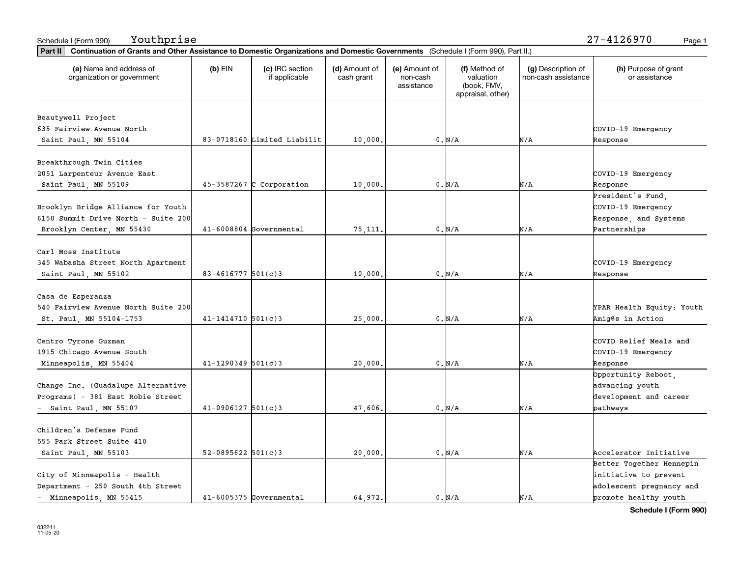| Part II   Continuation of Grants and Other Assistance to Domestic Organizations and Domestic Governments (Schedule I (Form 990), Part II.) |                          |                                  |                             |                                         |                                                                |                                           |                                       |
|--------------------------------------------------------------------------------------------------------------------------------------------|--------------------------|----------------------------------|-----------------------------|-----------------------------------------|----------------------------------------------------------------|-------------------------------------------|---------------------------------------|
| (a) Name and address of<br>organization or government                                                                                      | $(b)$ EIN                | (c) IRC section<br>if applicable | (d) Amount of<br>cash grant | (e) Amount of<br>non-cash<br>assistance | (f) Method of<br>valuation<br>(book, FMV,<br>appraisal, other) | (g) Description of<br>non-cash assistance | (h) Purpose of grant<br>or assistance |
|                                                                                                                                            |                          |                                  |                             |                                         |                                                                |                                           |                                       |
| Beautywell Project                                                                                                                         |                          |                                  |                             |                                         |                                                                |                                           |                                       |
| 635 Fairview Avenue North                                                                                                                  |                          |                                  |                             |                                         |                                                                |                                           | COVID-19 Emergency                    |
| Saint Paul, MN 55104                                                                                                                       |                          | 83-0718160 Limited Liabilit      | 10,000.                     |                                         | 0. N/A                                                         | N/A                                       | Response                              |
| Breakthrough Twin Cities                                                                                                                   |                          |                                  |                             |                                         |                                                                |                                           |                                       |
| 2051 Larpenteur Avenue East                                                                                                                |                          |                                  |                             |                                         |                                                                |                                           | COVID-19 Emergency                    |
| Saint Paul, MN 55109                                                                                                                       |                          | $45-3587267$ C Corporation       | 10,000.                     |                                         | 0. N/A                                                         | N/A                                       | Response                              |
|                                                                                                                                            |                          |                                  |                             |                                         |                                                                |                                           | President's Fund,                     |
| Brooklyn Bridge Alliance for Youth                                                                                                         |                          |                                  |                             |                                         |                                                                |                                           | COVID-19 Emergency                    |
| 6150 Summit Drive North - Suite 200                                                                                                        |                          |                                  |                             |                                         |                                                                |                                           | Response, and Systems                 |
| Brooklyn Center, MN 55430                                                                                                                  |                          | $41-6008804$ Governmental        | 75,111                      |                                         | $0. N/A$                                                       | N/A                                       | Partnerships                          |
|                                                                                                                                            |                          |                                  |                             |                                         |                                                                |                                           |                                       |
| Carl Moss Institute                                                                                                                        |                          |                                  |                             |                                         |                                                                |                                           |                                       |
| 345 Wabasha Street North Apartment                                                                                                         |                          |                                  |                             |                                         |                                                                |                                           | COVID-19 Emergency                    |
| Saint Paul, MN 55102                                                                                                                       | $83 - 4616777$ 501(c)3   |                                  | 10,000.                     |                                         | 0. N/A                                                         | N/A                                       | Response                              |
|                                                                                                                                            |                          |                                  |                             |                                         |                                                                |                                           |                                       |
| Casa de Esperanza                                                                                                                          |                          |                                  |                             |                                         |                                                                |                                           |                                       |
| 540 Fairview Avenue North Suite 200                                                                                                        |                          |                                  |                             |                                         |                                                                |                                           | YPAR Health Equity: Youth             |
| St. Paul, MN 55104-1753                                                                                                                    | $41 - 1414710$ $501(c)3$ |                                  | 25,000.                     |                                         | 0. N/A                                                         | N/A                                       | Amig@s in Action                      |
|                                                                                                                                            |                          |                                  |                             |                                         |                                                                |                                           |                                       |
| Centro Tyrone Guzman                                                                                                                       |                          |                                  |                             |                                         |                                                                |                                           | COVID Relief Meals and                |
| 1915 Chicago Avenue South                                                                                                                  |                          |                                  |                             |                                         |                                                                |                                           | COVID-19 Emergency                    |
| Minneapolis, MN 55404                                                                                                                      | $41 - 1290349$ 501(c)3   |                                  | 20,000,                     |                                         | 0. N/A                                                         | N/A                                       | Response                              |
|                                                                                                                                            |                          |                                  |                             |                                         |                                                                |                                           | Opportunity Reboot,                   |
| Change Inc. (Guadalupe Alternative                                                                                                         |                          |                                  |                             |                                         |                                                                |                                           | advancing youth                       |
| Programs) - 381 East Robie Street                                                                                                          |                          |                                  |                             |                                         |                                                                |                                           | development and career                |
| Saint Paul, MN 55107                                                                                                                       | $41-0906127$ 501(c)3     |                                  | 47,606.                     |                                         | 0. N/A                                                         | N/A                                       | pathways                              |
|                                                                                                                                            |                          |                                  |                             |                                         |                                                                |                                           |                                       |
| Children's Defense Fund                                                                                                                    |                          |                                  |                             |                                         |                                                                |                                           |                                       |
| 555 Park Street Suite 410                                                                                                                  |                          |                                  |                             |                                         |                                                                |                                           |                                       |
| Saint Paul, MN 55103                                                                                                                       | $52 - 0895622$ 501(c)3   |                                  | 20,000.                     |                                         | 0. N/A                                                         | N/A                                       | Accelerator Initiative                |
|                                                                                                                                            |                          |                                  |                             |                                         |                                                                |                                           | Better Together Hennepin              |
| City of Minneapolis - Health                                                                                                               |                          |                                  |                             |                                         |                                                                |                                           | initiative to prevent                 |
| Department - 250 South 4th Street                                                                                                          |                          |                                  |                             |                                         |                                                                |                                           | adolescent pregnancy and              |
| - Minneapolis, MN 55415                                                                                                                    |                          | $41-6005375$ Governmental        | 64.972.                     |                                         | 0. N/A                                                         | N/A                                       | promote healthy youth                 |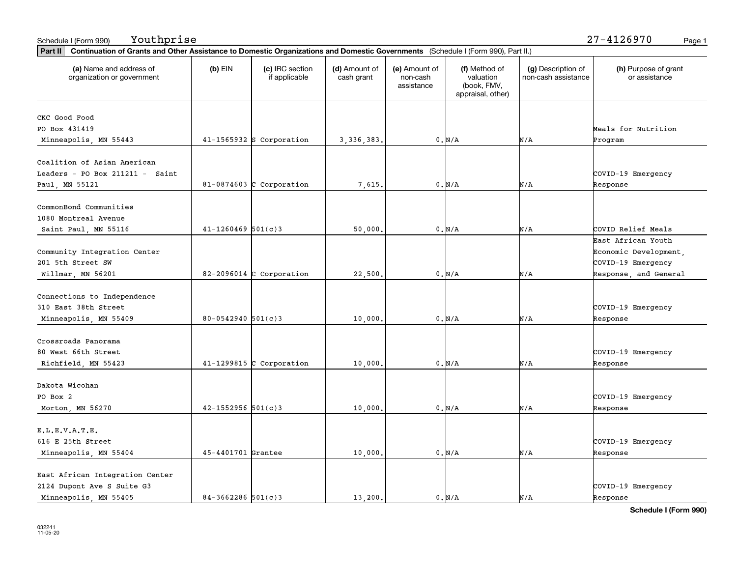| Part II   Continuation of Grants and Other Assistance to Domestic Organizations and Domestic Governments (Schedule I (Form 990), Part II.) |                        |                                  |                             |                                         |                                                                |                                           |                                       |
|--------------------------------------------------------------------------------------------------------------------------------------------|------------------------|----------------------------------|-----------------------------|-----------------------------------------|----------------------------------------------------------------|-------------------------------------------|---------------------------------------|
| (a) Name and address of<br>organization or government                                                                                      | $(b)$ EIN              | (c) IRC section<br>if applicable | (d) Amount of<br>cash grant | (e) Amount of<br>non-cash<br>assistance | (f) Method of<br>valuation<br>(book, FMV,<br>appraisal, other) | (g) Description of<br>non-cash assistance | (h) Purpose of grant<br>or assistance |
| CKC Good Food                                                                                                                              |                        |                                  |                             |                                         |                                                                |                                           |                                       |
| PO Box 431419                                                                                                                              |                        |                                  |                             |                                         |                                                                |                                           | Meals for Nutrition                   |
| Minneapolis, MN 55443                                                                                                                      |                        | $41-1565932$ S Corporation       | 3, 336, 383.                |                                         | 0. N/A                                                         | N/A                                       | Program                               |
|                                                                                                                                            |                        |                                  |                             |                                         |                                                                |                                           |                                       |
| Coalition of Asian American                                                                                                                |                        |                                  |                             |                                         |                                                                |                                           |                                       |
| Leaders - PO Box $211211 -$ Saint                                                                                                          |                        |                                  |                             |                                         |                                                                |                                           | COVID-19 Emergency                    |
| Paul, MN 55121                                                                                                                             |                        | 81-0874603 C Corporation         | 7,615.                      |                                         | 0. N/A                                                         | N/A                                       | Response                              |
|                                                                                                                                            |                        |                                  |                             |                                         |                                                                |                                           |                                       |
| CommonBond Communities                                                                                                                     |                        |                                  |                             |                                         |                                                                |                                           |                                       |
| 1080 Montreal Avenue                                                                                                                       |                        |                                  |                             |                                         |                                                                |                                           |                                       |
| Saint Paul, MN 55116                                                                                                                       | $41 - 1260469$ 501(c)3 |                                  | 50,000.                     |                                         | 0. N/A                                                         | N/A                                       | COVID Relief Meals                    |
|                                                                                                                                            |                        |                                  |                             |                                         |                                                                |                                           | East African Youth                    |
| Community Integration Center                                                                                                               |                        |                                  |                             |                                         |                                                                |                                           | Economic Development,                 |
| 201 5th Street SW                                                                                                                          |                        |                                  |                             |                                         |                                                                |                                           | COVID-19 Emergency                    |
| Willmar, MN 56201                                                                                                                          |                        | $82-2096014$ C Corporation       | 22,500.                     |                                         | 0. N/A                                                         | N/A                                       | Response, and General                 |
|                                                                                                                                            |                        |                                  |                             |                                         |                                                                |                                           |                                       |
| Connections to Independence                                                                                                                |                        |                                  |                             |                                         |                                                                |                                           |                                       |
| 310 East 38th Street                                                                                                                       |                        |                                  |                             |                                         |                                                                |                                           | COVID-19 Emergency                    |
| Minneapolis, MN 55409                                                                                                                      | $80 - 0542940$ 501(c)3 |                                  | 10,000.                     |                                         | 0. N/A                                                         | N/A                                       | Response                              |
|                                                                                                                                            |                        |                                  |                             |                                         |                                                                |                                           |                                       |
| Crossroads Panorama                                                                                                                        |                        |                                  |                             |                                         |                                                                |                                           |                                       |
| 80 West 66th Street                                                                                                                        |                        |                                  |                             |                                         |                                                                |                                           | COVID-19 Emergency                    |
| Richfield, MN 55423                                                                                                                        |                        | 41-1299815 C Corporation         | 10,000                      |                                         | 0. N/A                                                         | N/A                                       | Response                              |
|                                                                                                                                            |                        |                                  |                             |                                         |                                                                |                                           |                                       |
| Dakota Wicohan                                                                                                                             |                        |                                  |                             |                                         |                                                                |                                           |                                       |
| PO Box 2                                                                                                                                   |                        |                                  |                             |                                         |                                                                |                                           | COVID-19 Emergency                    |
| Morton, MN 56270                                                                                                                           | $42 - 1552956$ 501(c)3 |                                  | 10,000.                     |                                         | $0. N/A$                                                       | N/A                                       | Response                              |
|                                                                                                                                            |                        |                                  |                             |                                         |                                                                |                                           |                                       |
| E.L.E.V.A.T.E.                                                                                                                             |                        |                                  |                             |                                         |                                                                |                                           |                                       |
| 616 E 25th Street                                                                                                                          |                        |                                  |                             |                                         |                                                                |                                           | COVID-19 Emergency                    |
| Minneapolis, MN 55404                                                                                                                      | 45-4401701 Grantee     |                                  | 10,000.                     |                                         | 0. N/A                                                         | N/A                                       | Response                              |
|                                                                                                                                            |                        |                                  |                             |                                         |                                                                |                                           |                                       |
| East African Integration Center                                                                                                            |                        |                                  |                             |                                         |                                                                |                                           |                                       |
| 2124 Dupont Ave S Suite G3                                                                                                                 |                        |                                  |                             |                                         |                                                                |                                           | COVID-19 Emergency                    |
| Minneapolis, MN 55405                                                                                                                      | $84 - 3662286$ 501(c)3 |                                  | 13,200.                     |                                         | 0. N/A                                                         | N/A                                       | Response                              |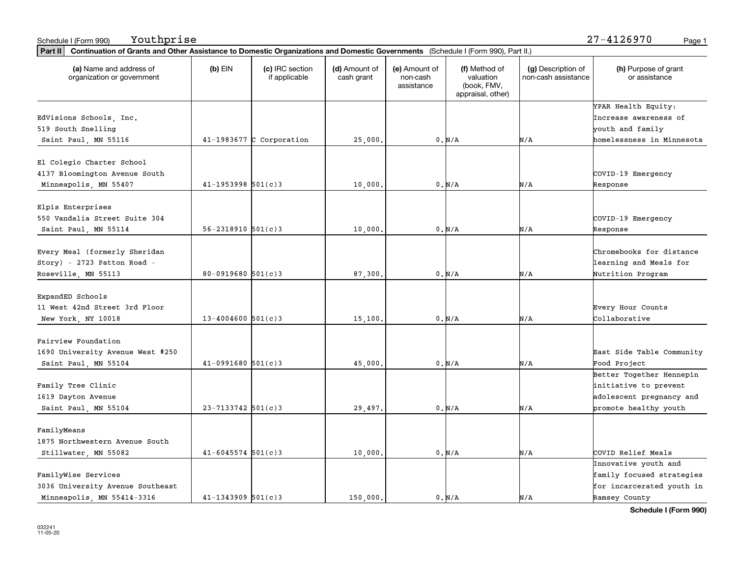| Part II   Continuation of Grants and Other Assistance to Domestic Organizations and Domestic Governments (Schedule I (Form 990), Part II.) |                          |                                  |                             |                                         |                                                                |                                           |                                              |
|--------------------------------------------------------------------------------------------------------------------------------------------|--------------------------|----------------------------------|-----------------------------|-----------------------------------------|----------------------------------------------------------------|-------------------------------------------|----------------------------------------------|
| (a) Name and address of<br>organization or government                                                                                      | $(b)$ EIN                | (c) IRC section<br>if applicable | (d) Amount of<br>cash grant | (e) Amount of<br>non-cash<br>assistance | (f) Method of<br>valuation<br>(book, FMV,<br>appraisal, other) | (g) Description of<br>non-cash assistance | (h) Purpose of grant<br>or assistance        |
| EdVisions Schools, Inc.                                                                                                                    |                          |                                  |                             |                                         |                                                                |                                           | YPAR Health Equity:<br>Increase awareness of |
| 519 South Snelling                                                                                                                         |                          |                                  |                             |                                         |                                                                |                                           | youth and family                             |
| Saint Paul, MN 55116                                                                                                                       |                          | 41-1983677 C Corporation         | 25,000.                     |                                         | 0. N/A                                                         | N/A                                       | homelessness in Minnesota                    |
| El Colegio Charter School                                                                                                                  |                          |                                  |                             |                                         |                                                                |                                           |                                              |
| 4137 Bloomington Avenue South                                                                                                              |                          |                                  |                             |                                         |                                                                |                                           | COVID-19 Emergency                           |
| Minneapolis, MN 55407                                                                                                                      | $41 - 1953998$ 501(c)3   |                                  | 10,000                      |                                         | 0. N/A                                                         | N/A                                       | Response                                     |
| Elpis Enterprises                                                                                                                          |                          |                                  |                             |                                         |                                                                |                                           |                                              |
| 550 Vandalia Street Suite 304                                                                                                              |                          |                                  |                             |                                         |                                                                |                                           | COVID-19 Emergency                           |
| Saint Paul, MN 55114                                                                                                                       | $56 - 2318910$ $501(c)3$ |                                  | 10,000.                     |                                         | 0. N/A                                                         | N/A                                       | Response                                     |
|                                                                                                                                            |                          |                                  |                             |                                         |                                                                |                                           |                                              |
| Every Meal (formerly Sheridan                                                                                                              |                          |                                  |                             |                                         |                                                                |                                           | Chromebooks for distance                     |
| $Story$ ) - 2723 Patton Road -                                                                                                             |                          |                                  |                             |                                         |                                                                |                                           | learning and Meals for                       |
| Roseville, MN 55113                                                                                                                        | $80 - 0919680$ 501(c)3   |                                  | 87,300.                     |                                         | 0. N/A                                                         | N/A                                       | Nutrition Program                            |
| ExpandED Schools                                                                                                                           |                          |                                  |                             |                                         |                                                                |                                           |                                              |
| 11 West 42nd Street 3rd Floor                                                                                                              |                          |                                  |                             |                                         |                                                                |                                           | Every Hour Counts                            |
| New York, NY 10018                                                                                                                         | $13 - 4004600$ 501(c)3   |                                  | 15,100.                     |                                         | 0. N/A                                                         | N/A                                       | Collaborative                                |
| Fairview Foundation                                                                                                                        |                          |                                  |                             |                                         |                                                                |                                           |                                              |
| 1690 University Avenue West #250                                                                                                           |                          |                                  |                             |                                         |                                                                |                                           | East Side Table Community                    |
| Saint Paul, MN 55104                                                                                                                       | $41-0991680$ 501(c)3     |                                  | 45,000.                     |                                         | 0. N/A                                                         | N/A                                       | Food Project                                 |
|                                                                                                                                            |                          |                                  |                             |                                         |                                                                |                                           | Better Together Hennepin                     |
| Family Tree Clinic                                                                                                                         |                          |                                  |                             |                                         |                                                                |                                           | initiative to prevent                        |
| 1619 Dayton Avenue                                                                                                                         |                          |                                  |                             |                                         |                                                                |                                           | adolescent pregnancy and                     |
| Saint Paul, MN 55104                                                                                                                       | $23 - 7133742$ 501(c)3   |                                  | 29,497.                     |                                         | $0. N/A$                                                       | N/A                                       | promote healthy youth                        |
| FamilyMeans                                                                                                                                |                          |                                  |                             |                                         |                                                                |                                           |                                              |
| 1875 Northwestern Avenue South                                                                                                             |                          |                                  |                             |                                         |                                                                |                                           |                                              |
| Stillwater, MN 55082                                                                                                                       | $41 - 6045574$ 501(c)3   |                                  | 10,000.                     |                                         | 0. N/A                                                         | N/A                                       | COVID Relief Meals                           |
|                                                                                                                                            |                          |                                  |                             |                                         |                                                                |                                           | Innovative youth and                         |
| FamilyWise Services                                                                                                                        |                          |                                  |                             |                                         |                                                                |                                           | family focused strategies                    |
| 3036 University Avenue Southeast                                                                                                           |                          |                                  |                             |                                         |                                                                |                                           | for incarcerated youth in                    |
| Minneapolis, MN 55414-3316                                                                                                                 | $41 - 1343909$ 501(c)3   |                                  | 150.000.                    |                                         | 0. N/A                                                         | N/A                                       | Ramsey County                                |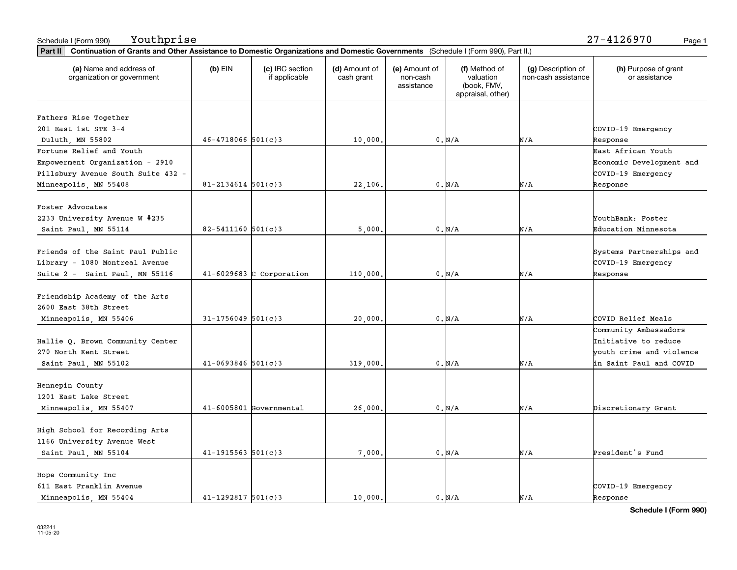| Part II   Continuation of Grants and Other Assistance to Domestic Organizations and Domestic Governments (Schedule I (Form 990), Part II.) |                          |                                  |                             |                                         |                                                                |                                           |                                       |
|--------------------------------------------------------------------------------------------------------------------------------------------|--------------------------|----------------------------------|-----------------------------|-----------------------------------------|----------------------------------------------------------------|-------------------------------------------|---------------------------------------|
| (a) Name and address of<br>organization or government                                                                                      | $(b)$ EIN                | (c) IRC section<br>if applicable | (d) Amount of<br>cash grant | (e) Amount of<br>non-cash<br>assistance | (f) Method of<br>valuation<br>(book, FMV,<br>appraisal, other) | (g) Description of<br>non-cash assistance | (h) Purpose of grant<br>or assistance |
|                                                                                                                                            |                          |                                  |                             |                                         |                                                                |                                           |                                       |
| Fathers Rise Together                                                                                                                      |                          |                                  |                             |                                         |                                                                |                                           |                                       |
| 201 East 1st STE 3-4                                                                                                                       |                          |                                  |                             |                                         |                                                                |                                           | COVID-19 Emergency                    |
| Duluth, MN 55802                                                                                                                           | $46 - 4718066$ 501(c)3   |                                  | 10,000.                     |                                         | 0. N/A                                                         | N/A                                       | Response                              |
| Fortune Relief and Youth                                                                                                                   |                          |                                  |                             |                                         |                                                                |                                           | East African Youth                    |
| Empowerment Organization - 2910                                                                                                            |                          |                                  |                             |                                         |                                                                |                                           | Economic Development and              |
| Pillsbury Avenue South Suite 432 -                                                                                                         |                          |                                  |                             |                                         |                                                                |                                           | COVID-19 Emergency                    |
| Minneapolis, MN 55408                                                                                                                      | $81 - 2134614$ 501(c)3   |                                  | 22,106.                     |                                         | 0. N/A                                                         | N/A                                       | Response                              |
| Foster Advocates                                                                                                                           |                          |                                  |                             |                                         |                                                                |                                           |                                       |
| 2233 University Avenue W #235                                                                                                              |                          |                                  |                             |                                         |                                                                |                                           | YouthBank: Foster                     |
| Saint Paul, MN 55114                                                                                                                       | $82 - 5411160$ 501(c)3   |                                  | 5,000.                      |                                         | 0. N/A                                                         | N/A                                       | Education Minnesota                   |
|                                                                                                                                            |                          |                                  |                             |                                         |                                                                |                                           |                                       |
| Friends of the Saint Paul Public                                                                                                           |                          |                                  |                             |                                         |                                                                |                                           | Systems Partnerships and              |
| Library - 1080 Montreal Avenue                                                                                                             |                          |                                  |                             |                                         |                                                                |                                           | COVID-19 Emergency                    |
| Suite 2 - Saint Paul, MN 55116                                                                                                             |                          | $41-6029683$ C Corporation       | 110,000.                    |                                         | 0. N/A                                                         | N/A                                       | Response                              |
| Friendship Academy of the Arts                                                                                                             |                          |                                  |                             |                                         |                                                                |                                           |                                       |
| 2600 East 38th Street                                                                                                                      |                          |                                  |                             |                                         |                                                                |                                           |                                       |
| Minneapolis, MN 55406                                                                                                                      | $31 - 1756049$ 501(c)3   |                                  | 20,000                      |                                         | 0. N/A                                                         | N/A                                       | COVID Relief Meals                    |
|                                                                                                                                            |                          |                                  |                             |                                         |                                                                |                                           | Community Ambassadors                 |
| Hallie Q. Brown Community Center                                                                                                           |                          |                                  |                             |                                         |                                                                |                                           | Initiative to reduce                  |
| 270 North Kent Street                                                                                                                      |                          |                                  |                             |                                         |                                                                |                                           | youth crime and violence              |
| Saint Paul, MN 55102                                                                                                                       | $41 - 0693846$ 501(c)3   |                                  | 319,000.                    |                                         | 0. N/A                                                         | N/A                                       | in Saint Paul and COVID               |
|                                                                                                                                            |                          |                                  |                             |                                         |                                                                |                                           |                                       |
| Hennepin County                                                                                                                            |                          |                                  |                             |                                         |                                                                |                                           |                                       |
| 1201 East Lake Street                                                                                                                      |                          |                                  |                             |                                         |                                                                |                                           |                                       |
| Minneapolis, MN 55407                                                                                                                      |                          | $41-6005801$ Governmental        | 26,000,                     |                                         | 0. N/A                                                         | N/A                                       | Discretionary Grant                   |
|                                                                                                                                            |                          |                                  |                             |                                         |                                                                |                                           |                                       |
| High School for Recording Arts                                                                                                             |                          |                                  |                             |                                         |                                                                |                                           |                                       |
| 1166 University Avenue West                                                                                                                |                          |                                  |                             |                                         |                                                                |                                           |                                       |
| Saint Paul, MN 55104                                                                                                                       | $41 - 1915563$ $501(c)3$ |                                  | 7,000.                      |                                         | $0. N/A$                                                       | N/A                                       | President's Fund                      |
| Hope Community Inc                                                                                                                         |                          |                                  |                             |                                         |                                                                |                                           |                                       |
| 611 East Franklin Avenue                                                                                                                   |                          |                                  |                             |                                         |                                                                |                                           | COVID-19 Emergency                    |
| Minneapolis, MN 55404                                                                                                                      | $41 - 1292817$ 501(c)3   |                                  | 10,000.                     |                                         | 0. N/A                                                         | N/A                                       | Response                              |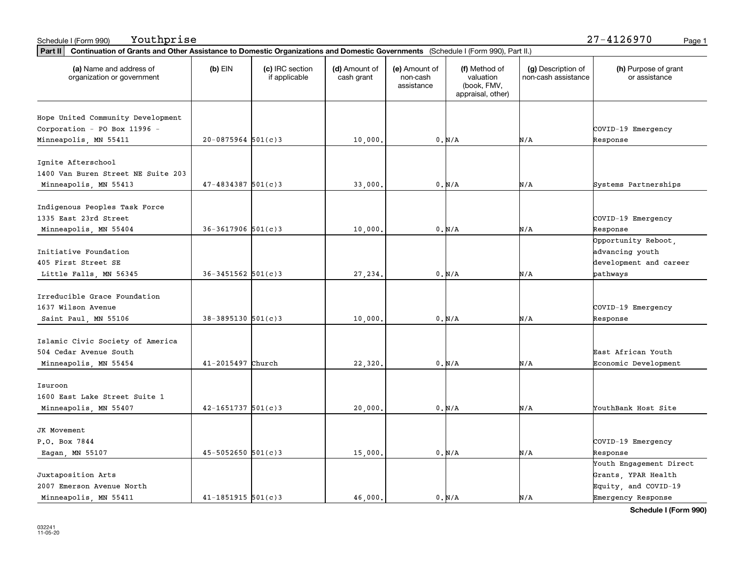| (a) Name and address of<br>organization or government | $(b)$ EIN                | (c) IRC section<br>if applicable | (d) Amount of<br>cash grant | (e) Amount of<br>non-cash<br>assistance | (f) Method of<br>valuation<br>(book, FMV,<br>appraisal, other) | (g) Description of<br>non-cash assistance | (h) Purpose of grant<br>or assistance |
|-------------------------------------------------------|--------------------------|----------------------------------|-----------------------------|-----------------------------------------|----------------------------------------------------------------|-------------------------------------------|---------------------------------------|
| Hope United Community Development                     |                          |                                  |                             |                                         |                                                                |                                           |                                       |
| Corporation - PO Box 11996 -                          |                          |                                  |                             |                                         |                                                                |                                           | COVID-19 Emergency                    |
| Minneapolis, MN 55411                                 | $20-0875964$ 501(c)3     |                                  | 10,000.                     |                                         | 0. N/A                                                         | N/A                                       | Response                              |
|                                                       |                          |                                  |                             |                                         |                                                                |                                           |                                       |
| Ignite Afterschool                                    |                          |                                  |                             |                                         |                                                                |                                           |                                       |
| 1400 Van Buren Street NE Suite 203                    |                          |                                  |                             |                                         |                                                                |                                           |                                       |
| Minneapolis, MN 55413                                 | $47 - 4834387$ 501(c)3   |                                  | 33,000                      |                                         | 0. N/A                                                         | N/A                                       | Systems Partnerships                  |
|                                                       |                          |                                  |                             |                                         |                                                                |                                           |                                       |
| Indigenous Peoples Task Force                         |                          |                                  |                             |                                         |                                                                |                                           |                                       |
| 1335 East 23rd Street                                 |                          |                                  |                             |                                         |                                                                |                                           | COVID-19 Emergency                    |
| Minneapolis, MN 55404                                 | $36 - 3617906$ 501(c) 3  |                                  | 10,000.                     |                                         | 0. N/A                                                         | N/A                                       | Response                              |
|                                                       |                          |                                  |                             |                                         |                                                                |                                           | Opportunity Reboot,                   |
| Initiative Foundation                                 |                          |                                  |                             |                                         |                                                                |                                           | advancing youth                       |
| 405 First Street SE                                   |                          |                                  |                             |                                         |                                                                |                                           | development and career                |
| Little Falls, MN 56345                                | $36 - 3451562$ 501(c)3   |                                  | 27,234.                     |                                         | 0. N/A                                                         | N/A                                       | pathways                              |
|                                                       |                          |                                  |                             |                                         |                                                                |                                           |                                       |
| Irreducible Grace Foundation                          |                          |                                  |                             |                                         |                                                                |                                           |                                       |
| 1637 Wilson Avenue                                    |                          |                                  |                             |                                         |                                                                |                                           | COVID-19 Emergency                    |
| Saint Paul, MN 55106                                  | $38 - 3895130$ 501(c) 3  |                                  | 10,000                      |                                         | 0. N/A                                                         | N/A                                       | Response                              |
| Islamic Civic Society of America                      |                          |                                  |                             |                                         |                                                                |                                           |                                       |
| 504 Cedar Avenue South                                |                          |                                  |                             |                                         |                                                                |                                           | East African Youth                    |
| Minneapolis, MN 55454                                 | 41-2015497 Church        |                                  | 22,320.                     |                                         | 0. N/A                                                         | N/A                                       | Economic Development                  |
|                                                       |                          |                                  |                             |                                         |                                                                |                                           |                                       |
| Isuroon                                               |                          |                                  |                             |                                         |                                                                |                                           |                                       |
| 1600 East Lake Street Suite 1                         |                          |                                  |                             |                                         |                                                                |                                           |                                       |
| Minneapolis, MN 55407                                 | $42 - 1651737$ 501(c)3   |                                  | 20,000                      |                                         | 0. N/A                                                         | N/A                                       | YouthBank Host Site                   |
|                                                       |                          |                                  |                             |                                         |                                                                |                                           |                                       |
| JK Movement                                           |                          |                                  |                             |                                         |                                                                |                                           |                                       |
| P.O. Box 7844                                         |                          |                                  |                             |                                         |                                                                |                                           | COVID-19 Emergency                    |
| Eagan, MN 55107                                       | $45 - 5052650$ 501(c)3   |                                  | 15,000                      |                                         | 0. N/A                                                         | N/A                                       | Response                              |
|                                                       |                          |                                  |                             |                                         |                                                                |                                           | Youth Engagement Direct               |
| Juxtaposition Arts                                    |                          |                                  |                             |                                         |                                                                |                                           | Grants, YPAR Health                   |
| 2007 Emerson Avenue North                             |                          |                                  |                             |                                         |                                                                |                                           | Equity, and COVID-19                  |
| Minneapolis, MN 55411                                 | $41 - 1851915$ $501(c)3$ |                                  | 46.000.                     |                                         | 0. N/A                                                         | N/A                                       | Emergency Response                    |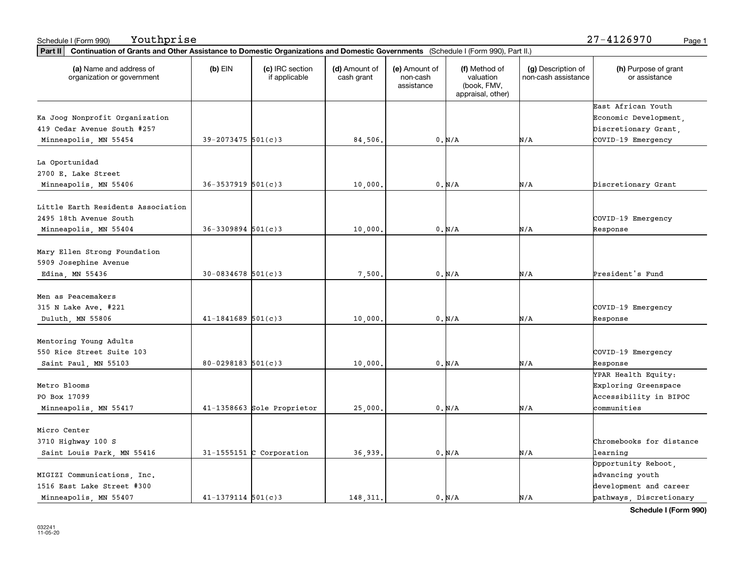| Part II   Continuation of Grants and Other Assistance to Domestic Organizations and Domestic Governments (Schedule I (Form 990), Part II.) |                          |                                  |                             |                                         |                                                                |                                           |                                       |
|--------------------------------------------------------------------------------------------------------------------------------------------|--------------------------|----------------------------------|-----------------------------|-----------------------------------------|----------------------------------------------------------------|-------------------------------------------|---------------------------------------|
| (a) Name and address of<br>organization or government                                                                                      | $(b)$ EIN                | (c) IRC section<br>if applicable | (d) Amount of<br>cash grant | (e) Amount of<br>non-cash<br>assistance | (f) Method of<br>valuation<br>(book, FMV,<br>appraisal, other) | (g) Description of<br>non-cash assistance | (h) Purpose of grant<br>or assistance |
|                                                                                                                                            |                          |                                  |                             |                                         |                                                                |                                           | East African Youth                    |
| Ka Joog Nonprofit Organization                                                                                                             |                          |                                  |                             |                                         |                                                                |                                           | Economic Development,                 |
| 419 Cedar Avenue South #257                                                                                                                |                          |                                  |                             |                                         |                                                                |                                           | Discretionary Grant,                  |
| Minneapolis, MN 55454                                                                                                                      | $39 - 2073475$ 501(c)3   |                                  | 84,506.                     |                                         | 0. N/A                                                         | N/A                                       | COVID-19 Emergency                    |
| La Oportunidad                                                                                                                             |                          |                                  |                             |                                         |                                                                |                                           |                                       |
| 2700 E. Lake Street                                                                                                                        |                          |                                  |                             |                                         |                                                                |                                           |                                       |
| Minneapolis, MN 55406                                                                                                                      | $36 - 3537919$ $501(c)3$ |                                  | 10,000                      |                                         | 0. N/A                                                         | N/A                                       | Discretionary Grant                   |
|                                                                                                                                            |                          |                                  |                             |                                         |                                                                |                                           |                                       |
| Little Earth Residents Association                                                                                                         |                          |                                  |                             |                                         |                                                                |                                           |                                       |
| 2495 18th Avenue South                                                                                                                     |                          |                                  |                             |                                         |                                                                |                                           | COVID-19 Emergency                    |
| Minneapolis, MN 55404                                                                                                                      | $36 - 3309894$ 501(c)3   |                                  | 10,000.                     |                                         | 0. N/A                                                         | N/A                                       | Response                              |
| Mary Ellen Strong Foundation                                                                                                               |                          |                                  |                             |                                         |                                                                |                                           |                                       |
| 5909 Josephine Avenue                                                                                                                      |                          |                                  |                             |                                         |                                                                |                                           |                                       |
| Edina, MN 55436                                                                                                                            | $30 - 0834678$ 501(c)3   |                                  | 7,500.                      |                                         | 0. N/A                                                         | N/A                                       | President's Fund                      |
|                                                                                                                                            |                          |                                  |                             |                                         |                                                                |                                           |                                       |
| Men as Peacemakers                                                                                                                         |                          |                                  |                             |                                         |                                                                |                                           |                                       |
| 315 N Lake Ave. #221                                                                                                                       |                          |                                  |                             |                                         |                                                                |                                           | COVID-19 Emergency                    |
| Duluth, MN 55806                                                                                                                           | $41 - 1841689$ 501(c)3   |                                  | 10,000                      |                                         | 0. N/A                                                         | N/A                                       | Response                              |
| Mentoring Young Adults                                                                                                                     |                          |                                  |                             |                                         |                                                                |                                           |                                       |
| 550 Rice Street Suite 103                                                                                                                  |                          |                                  |                             |                                         |                                                                |                                           | COVID-19 Emergency                    |
| Saint Paul, MN 55103                                                                                                                       | $80 - 0298183$ 501(c)3   |                                  | 10,000                      |                                         | $0. N/A$                                                       | N/A                                       | Response                              |
|                                                                                                                                            |                          |                                  |                             |                                         |                                                                |                                           | YPAR Health Equity:                   |
| Metro Blooms                                                                                                                               |                          |                                  |                             |                                         |                                                                |                                           | Exploring Greenspace                  |
| PO Box 17099                                                                                                                               |                          |                                  |                             |                                         |                                                                |                                           | Accessibility in BIPOC                |
| Minneapolis, MN 55417                                                                                                                      |                          | 41-1358663 Sole Proprietor       | 25,000.                     |                                         | 0. N/A                                                         | N/A                                       | communities                           |
| Micro Center                                                                                                                               |                          |                                  |                             |                                         |                                                                |                                           |                                       |
| 3710 Highway 100 S                                                                                                                         |                          |                                  |                             |                                         |                                                                |                                           | Chromebooks for distance              |
| Saint Louis Park, MN 55416                                                                                                                 |                          | $31-1555151$ C Corporation       | 36,939.                     |                                         | 0. N/A                                                         | N/A                                       | learning                              |
|                                                                                                                                            |                          |                                  |                             |                                         |                                                                |                                           | Opportunity Reboot,                   |
| MIGIZI Communications, Inc.                                                                                                                |                          |                                  |                             |                                         |                                                                |                                           | advancing youth                       |
| 1516 East Lake Street #300                                                                                                                 |                          |                                  |                             |                                         |                                                                |                                           | development and career                |
| Minneapolis, MN 55407                                                                                                                      | $41 - 1379114$ 501(c)3   |                                  | 148, 311.                   |                                         | 0. N/A                                                         | N/A                                       | pathways Discretionary                |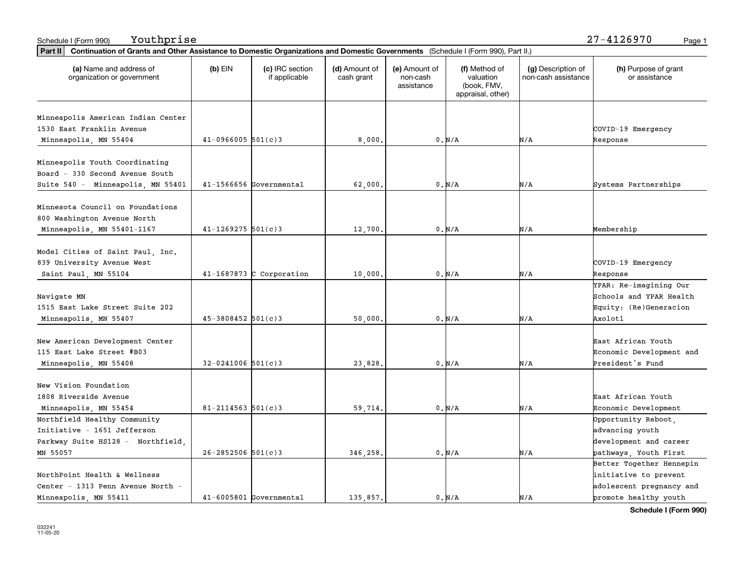|                                                       | Part II   Continuation of Grants and Other Assistance to Domestic Organizations and Domestic Governments (Schedule I (Form 990), Part II.) |                                  |                             |                                         |                                                                |                                           |                                       |  |  |  |  |
|-------------------------------------------------------|--------------------------------------------------------------------------------------------------------------------------------------------|----------------------------------|-----------------------------|-----------------------------------------|----------------------------------------------------------------|-------------------------------------------|---------------------------------------|--|--|--|--|
| (a) Name and address of<br>organization or government | $(b)$ EIN                                                                                                                                  | (c) IRC section<br>if applicable | (d) Amount of<br>cash grant | (e) Amount of<br>non-cash<br>assistance | (f) Method of<br>valuation<br>(book, FMV,<br>appraisal, other) | (g) Description of<br>non-cash assistance | (h) Purpose of grant<br>or assistance |  |  |  |  |
|                                                       |                                                                                                                                            |                                  |                             |                                         |                                                                |                                           |                                       |  |  |  |  |
| Minneapolis American Indian Center                    |                                                                                                                                            |                                  |                             |                                         |                                                                |                                           |                                       |  |  |  |  |
| 1530 East Franklin Avenue                             |                                                                                                                                            |                                  |                             |                                         |                                                                |                                           | COVID-19 Emergency                    |  |  |  |  |
| Minneapolis, MN 55404                                 | $41-0966005$ 501(c)3                                                                                                                       |                                  | 8,000                       |                                         | 0. N/A                                                         | N/A                                       | Response                              |  |  |  |  |
| Minneapolis Youth Coordinating                        |                                                                                                                                            |                                  |                             |                                         |                                                                |                                           |                                       |  |  |  |  |
| Board - 330 Second Avenue South                       |                                                                                                                                            |                                  |                             |                                         |                                                                |                                           |                                       |  |  |  |  |
| Suite 540 - Minneapolis, MN 55401                     |                                                                                                                                            | 41-1566656 Governmental          | 62,000                      |                                         | 0. N/A                                                         | N/A                                       | Systems Partnerships                  |  |  |  |  |
|                                                       |                                                                                                                                            |                                  |                             |                                         |                                                                |                                           |                                       |  |  |  |  |
| Minnesota Council on Foundations                      |                                                                                                                                            |                                  |                             |                                         |                                                                |                                           |                                       |  |  |  |  |
| 800 Washington Avenue North                           |                                                                                                                                            |                                  |                             |                                         |                                                                |                                           |                                       |  |  |  |  |
| Minneapolis, MN 55401-1167                            | $41 - 1269275$ 501(c)3                                                                                                                     |                                  | 12,700                      |                                         | 0. N/A                                                         | N/A                                       | Membership                            |  |  |  |  |
|                                                       |                                                                                                                                            |                                  |                             |                                         |                                                                |                                           |                                       |  |  |  |  |
| Model Cities of Saint Paul, Inc.                      |                                                                                                                                            |                                  |                             |                                         |                                                                |                                           |                                       |  |  |  |  |
| 839 University Avenue West                            |                                                                                                                                            |                                  |                             |                                         |                                                                |                                           | COVID-19 Emergency                    |  |  |  |  |
| Saint Paul, MN 55104                                  |                                                                                                                                            | $41-1687873$ C Corporation       | 10,000                      |                                         | 0. N/A                                                         | N/A                                       | Response                              |  |  |  |  |
|                                                       |                                                                                                                                            |                                  |                             |                                         |                                                                |                                           | YPAR: Re-imagining Our                |  |  |  |  |
| Navigate MN                                           |                                                                                                                                            |                                  |                             |                                         |                                                                |                                           | Schools and YPAR Health               |  |  |  |  |
| 1515 East Lake Street Suite 202                       |                                                                                                                                            |                                  |                             |                                         |                                                                |                                           | Equity: (Re)Generacion                |  |  |  |  |
| Minneapolis, MN 55407                                 | $45 - 3808452$ 501(c)3                                                                                                                     |                                  | 50,000                      |                                         | 0. N/A                                                         | N/A                                       | Axolotl                               |  |  |  |  |
|                                                       |                                                                                                                                            |                                  |                             |                                         |                                                                |                                           |                                       |  |  |  |  |
| New American Development Center                       |                                                                                                                                            |                                  |                             |                                         |                                                                |                                           | East African Youth                    |  |  |  |  |
| 115 East Lake Street #B03                             |                                                                                                                                            |                                  |                             |                                         |                                                                |                                           | Economic Development and              |  |  |  |  |
| Minneapolis, MN 55408                                 | $32 - 0241006$ 501(c)3                                                                                                                     |                                  | 23,828                      |                                         | $0$ , $\text{N}/\text{A}$                                      | N/A                                       | President's Fund                      |  |  |  |  |
|                                                       |                                                                                                                                            |                                  |                             |                                         |                                                                |                                           |                                       |  |  |  |  |
| New Vision Foundation                                 |                                                                                                                                            |                                  |                             |                                         |                                                                |                                           |                                       |  |  |  |  |
| 1808 Riverside Avenue                                 |                                                                                                                                            |                                  |                             |                                         |                                                                |                                           | East African Youth                    |  |  |  |  |
| Minneapolis, MN 55454                                 | $81 - 2114563$ 501(c)3                                                                                                                     |                                  | 59,714.                     |                                         | 0. N/A                                                         | N/A                                       | Economic Development                  |  |  |  |  |
| Northfield Healthy Community                          |                                                                                                                                            |                                  |                             |                                         |                                                                |                                           | Opportunity Reboot,                   |  |  |  |  |
| Initiative - 1651 Jefferson                           |                                                                                                                                            |                                  |                             |                                         |                                                                |                                           | advancing youth                       |  |  |  |  |
| Parkway Suite HS128 - Northfield,                     |                                                                                                                                            |                                  |                             |                                         |                                                                |                                           | development and career                |  |  |  |  |
| MN 55057                                              | $26 - 2852506$ 501(c)3                                                                                                                     |                                  | 346,258,                    |                                         | 0. N/A                                                         | N/A                                       | pathways, Youth First                 |  |  |  |  |
|                                                       |                                                                                                                                            |                                  |                             |                                         |                                                                |                                           | Better Together Hennepin              |  |  |  |  |
| NorthPoint Health & Wellness                          |                                                                                                                                            |                                  |                             |                                         |                                                                |                                           | initiative to prevent                 |  |  |  |  |
| Center - 1313 Penn Avenue North -                     |                                                                                                                                            |                                  |                             |                                         |                                                                |                                           | adolescent pregnancy and              |  |  |  |  |
| Minneapolis, MN 55411                                 |                                                                                                                                            | $41-6005801$ Governmental        | 135,857.                    |                                         | 0. N/A                                                         | N/A                                       | promote healthy youth                 |  |  |  |  |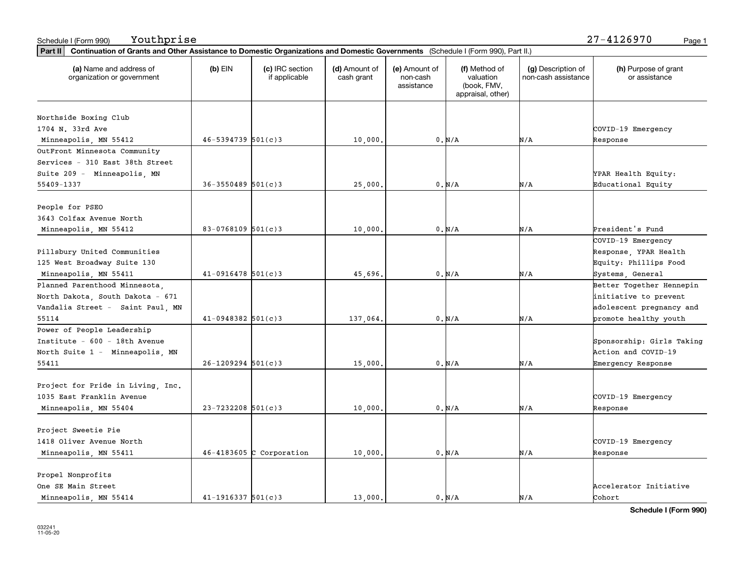| (a) Name and address of<br>organization or government | $(b)$ EIN              | (c) IRC section<br>if applicable | (d) Amount of<br>cash grant | (e) Amount of<br>non-cash<br>assistance | (f) Method of<br>valuation<br>(book, FMV,<br>appraisal, other) | (g) Description of<br>non-cash assistance | (h) Purpose of grant<br>or assistance |
|-------------------------------------------------------|------------------------|----------------------------------|-----------------------------|-----------------------------------------|----------------------------------------------------------------|-------------------------------------------|---------------------------------------|
| Northside Boxing Club                                 |                        |                                  |                             |                                         |                                                                |                                           |                                       |
| 1704 N. 33rd Ave                                      |                        |                                  |                             |                                         |                                                                |                                           | COVID-19 Emergency                    |
| Minneapolis, MN 55412                                 | $46 - 5394739$ 501(c)3 |                                  | 10,000.                     |                                         | 0. N/A                                                         | N/A                                       | Response                              |
| OutFront Minnesota Community                          |                        |                                  |                             |                                         |                                                                |                                           |                                       |
| Services - 310 East 38th Street                       |                        |                                  |                             |                                         |                                                                |                                           |                                       |
| Suite 209 - Minneapolis, MN                           |                        |                                  |                             |                                         |                                                                |                                           | YPAR Health Equity:                   |
| 55409-1337                                            | $36 - 3550489$ 501(c)3 |                                  | 25,000                      |                                         | 0. N/A                                                         | N/A                                       | Educational Equity                    |
|                                                       |                        |                                  |                             |                                         |                                                                |                                           |                                       |
| People for PSEO                                       |                        |                                  |                             |                                         |                                                                |                                           |                                       |
| 3643 Colfax Avenue North                              |                        |                                  |                             |                                         |                                                                |                                           |                                       |
| Minneapolis, MN 55412                                 | $83-0768109$ 501(c)3   |                                  | 10,000.                     |                                         | 0. N/A                                                         | N/A                                       | President's Fund                      |
|                                                       |                        |                                  |                             |                                         |                                                                |                                           | COVID-19 Emergency                    |
| Pillsbury United Communities                          |                        |                                  |                             |                                         |                                                                |                                           | Response, YPAR Health                 |
| 125 West Broadway Suite 130                           |                        |                                  |                             |                                         |                                                                |                                           | Equity: Phillips Food                 |
| Minneapolis, MN 55411                                 | $41 - 0916478$ 501(c)3 |                                  | 45,696.                     |                                         | 0. N/A                                                         | N/A                                       | Systems, General                      |
| Planned Parenthood Minnesota,                         |                        |                                  |                             |                                         |                                                                |                                           | Better Together Hennepin              |
| North Dakota, South Dakota - 671                      |                        |                                  |                             |                                         |                                                                |                                           | initiative to prevent                 |
|                                                       |                        |                                  |                             |                                         |                                                                |                                           |                                       |
| Vandalia Street - Saint Paul, MN                      | $41 - 0948382$ 501(c)3 |                                  |                             |                                         |                                                                | N/A                                       | adolescent pregnancy and              |
| 55114                                                 |                        |                                  | 137,064.                    |                                         | 0. N/A                                                         |                                           | promote healthy youth                 |
| Power of People Leadership                            |                        |                                  |                             |                                         |                                                                |                                           |                                       |
| Institute - 600 - 18th Avenue                         |                        |                                  |                             |                                         |                                                                |                                           | Sponsorship: Girls Taking             |
| North Suite 1 - Minneapolis, MN                       |                        |                                  |                             |                                         |                                                                |                                           | Action and COVID-19                   |
| 55411                                                 | $26 - 1209294$ 501(c)3 |                                  | 15,000.                     |                                         | 0. N/A                                                         | N/A                                       | Emergency Response                    |
|                                                       |                        |                                  |                             |                                         |                                                                |                                           |                                       |
| Project for Pride in Living, Inc.                     |                        |                                  |                             |                                         |                                                                |                                           |                                       |
| 1035 East Franklin Avenue                             |                        |                                  |                             |                                         |                                                                |                                           | COVID-19 Emergency                    |
| Minneapolis, MN 55404                                 | $23 - 7232208$ 501(c)3 |                                  | 10,000.                     |                                         | 0. N/A                                                         | N/A                                       | Response                              |
| Project Sweetie Pie                                   |                        |                                  |                             |                                         |                                                                |                                           |                                       |
| 1418 Oliver Avenue North                              |                        |                                  |                             |                                         |                                                                |                                           |                                       |
|                                                       |                        |                                  |                             |                                         |                                                                |                                           | COVID-19 Emergency                    |
| Minneapolis, MN 55411                                 |                        | $46 - 4183605$ C Corporation     | 10,000.                     |                                         | 0. N/A                                                         | N/A                                       | Response                              |
| Propel Nonprofits                                     |                        |                                  |                             |                                         |                                                                |                                           |                                       |
| One SE Main Street                                    |                        |                                  |                             |                                         |                                                                |                                           | Accelerator Initiative                |
| Minneapolis MN 55414                                  | $41 - 1916337$ 501(c)3 |                                  | 13 000.                     |                                         | 0. N/A                                                         | N/A                                       | Cohort                                |
|                                                       |                        |                                  |                             |                                         |                                                                |                                           |                                       |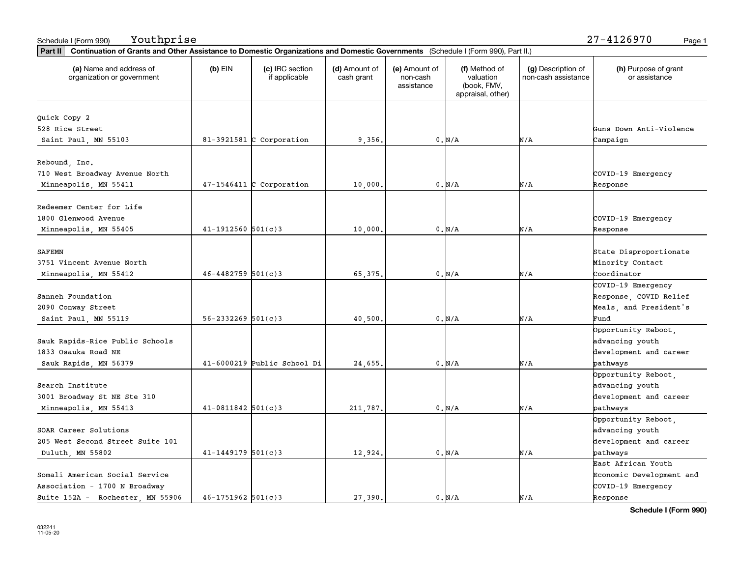| Part II   Continuation of Grants and Other Assistance to Domestic Organizations and Domestic Governments (Schedule I (Form 990), Part II.) |                          |                                  |                             |                                         |                                                                |                                           |                                       |
|--------------------------------------------------------------------------------------------------------------------------------------------|--------------------------|----------------------------------|-----------------------------|-----------------------------------------|----------------------------------------------------------------|-------------------------------------------|---------------------------------------|
| (a) Name and address of<br>organization or government                                                                                      | $(b)$ EIN                | (c) IRC section<br>if applicable | (d) Amount of<br>cash grant | (e) Amount of<br>non-cash<br>assistance | (f) Method of<br>valuation<br>(book, FMV,<br>appraisal, other) | (g) Description of<br>non-cash assistance | (h) Purpose of grant<br>or assistance |
|                                                                                                                                            |                          |                                  |                             |                                         |                                                                |                                           |                                       |
| Quick Copy 2<br>528 Rice Street                                                                                                            |                          |                                  |                             |                                         |                                                                |                                           | Guns Down Anti-Violence               |
|                                                                                                                                            |                          |                                  |                             |                                         |                                                                |                                           |                                       |
| Saint Paul, MN 55103                                                                                                                       |                          | $81-3921581$ C Corporation       | 9,356.                      |                                         | 0. N/A                                                         | N/A                                       | Campaign                              |
| Rebound, Inc.                                                                                                                              |                          |                                  |                             |                                         |                                                                |                                           |                                       |
| 710 West Broadway Avenue North                                                                                                             |                          |                                  |                             |                                         |                                                                |                                           | COVID-19 Emergency                    |
|                                                                                                                                            |                          | $47-1546411$ C Corporation       |                             |                                         |                                                                | N/A                                       |                                       |
| Minneapolis, MN 55411                                                                                                                      |                          |                                  | 10,000                      |                                         | 0. N/A                                                         |                                           | Response                              |
| Redeemer Center for Life                                                                                                                   |                          |                                  |                             |                                         |                                                                |                                           |                                       |
| 1800 Glenwood Avenue                                                                                                                       |                          |                                  |                             |                                         |                                                                |                                           | COVID-19 Emergency                    |
| Minneapolis, MN 55405                                                                                                                      | $41 - 1912560$ $501(c)3$ |                                  | 10,000.                     |                                         | $0. N/A$                                                       | N/A                                       | Response                              |
|                                                                                                                                            |                          |                                  |                             |                                         |                                                                |                                           |                                       |
| <b>SAFEMN</b>                                                                                                                              |                          |                                  |                             |                                         |                                                                |                                           | State Disproportionate                |
| 3751 Vincent Avenue North                                                                                                                  |                          |                                  |                             |                                         |                                                                |                                           | Minority Contact                      |
| Minneapolis, MN 55412                                                                                                                      | $46 - 4482759$ 501(c)3   |                                  | 65,375.                     |                                         | 0. N/A                                                         | N/A                                       | Coordinator                           |
|                                                                                                                                            |                          |                                  |                             |                                         |                                                                |                                           | COVID-19 Emergency                    |
| Sanneh Foundation                                                                                                                          |                          |                                  |                             |                                         |                                                                |                                           | Response, COVID Relief                |
| 2090 Conway Street                                                                                                                         |                          |                                  |                             |                                         |                                                                |                                           | Meals, and President's                |
| Saint Paul, MN 55119                                                                                                                       | $56 - 2332269$ $501(c)3$ |                                  | 40,500                      |                                         | 0. N/A                                                         | N/A                                       | Fund                                  |
|                                                                                                                                            |                          |                                  |                             |                                         |                                                                |                                           | Opportunity Reboot,                   |
| Sauk Rapids-Rice Public Schools                                                                                                            |                          |                                  |                             |                                         |                                                                |                                           | advancing youth                       |
| 1833 Osauka Road NE                                                                                                                        |                          |                                  |                             |                                         |                                                                |                                           | development and career                |
| Sauk Rapids, MN 56379                                                                                                                      |                          | 41-6000219 Public School Di      | 24,655.                     |                                         | 0. N/A                                                         | N/A                                       | pathways                              |
|                                                                                                                                            |                          |                                  |                             |                                         |                                                                |                                           | Opportunity Reboot,                   |
| Search Institute                                                                                                                           |                          |                                  |                             |                                         |                                                                |                                           | advancing youth                       |
| 3001 Broadway St NE Ste 310                                                                                                                |                          |                                  |                             |                                         |                                                                |                                           | development and career                |
|                                                                                                                                            | $41-0811842$ 501(c)3     |                                  |                             |                                         |                                                                | N/A                                       |                                       |
| Minneapolis, MN 55413                                                                                                                      |                          |                                  | 211,787.                    |                                         | 0. N/A                                                         |                                           | pathways                              |
|                                                                                                                                            |                          |                                  |                             |                                         |                                                                |                                           | Opportunity Reboot,                   |
| SOAR Career Solutions                                                                                                                      |                          |                                  |                             |                                         |                                                                |                                           | advancing youth                       |
| 205 West Second Street Suite 101                                                                                                           |                          |                                  |                             |                                         |                                                                |                                           | development and career                |
| Duluth, MN 55802                                                                                                                           | $41 - 1449179$ 501(c)3   |                                  | 12,924.                     |                                         | 0. N/A                                                         | N/A                                       | pathways                              |
|                                                                                                                                            |                          |                                  |                             |                                         |                                                                |                                           | East African Youth                    |
| Somali American Social Service                                                                                                             |                          |                                  |                             |                                         |                                                                |                                           | Economic Development and              |
| Association - 1700 N Broadway                                                                                                              |                          |                                  |                             |                                         |                                                                |                                           | COVID-19 Emergency                    |
| Suite 152A - Rochester, MN 55906                                                                                                           | $46 - 1751962$ 501(c)3   |                                  | 27.390.                     |                                         | $0. N/A$                                                       | N/A                                       | Response                              |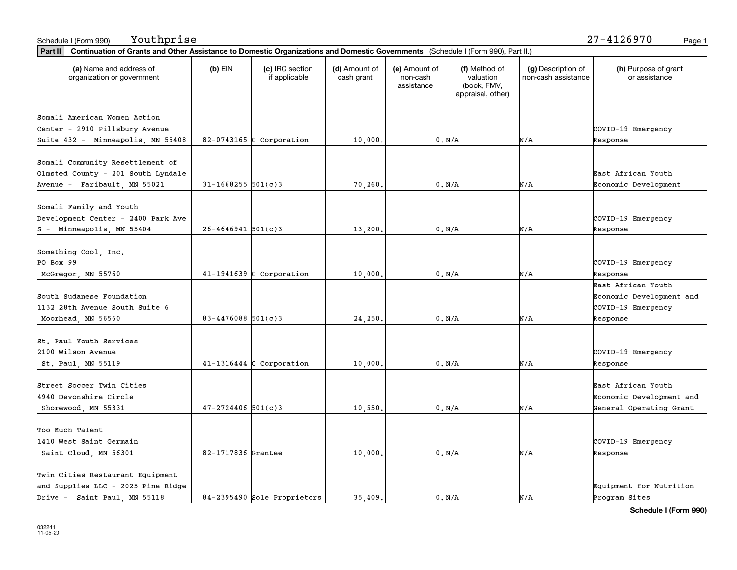| Schedule I (Form 990) | Youthprise | 7-4126970<br>. .<br>41 | Page 1 |
|-----------------------|------------|------------------------|--------|
|-----------------------|------------|------------------------|--------|

| Part II   Continuation of Grants and Other Assistance to Domestic Organizations and Domestic Governments (Schedule I (Form 990), Part II.) |                                               |                             |                                         |                                                                |                                           |                                       |
|--------------------------------------------------------------------------------------------------------------------------------------------|-----------------------------------------------|-----------------------------|-----------------------------------------|----------------------------------------------------------------|-------------------------------------------|---------------------------------------|
| (a) Name and address of<br>organization or government                                                                                      | $(b)$ EIN<br>(c) IRC section<br>if applicable | (d) Amount of<br>cash grant | (e) Amount of<br>non-cash<br>assistance | (f) Method of<br>valuation<br>(book, FMV,<br>appraisal, other) | (g) Description of<br>non-cash assistance | (h) Purpose of grant<br>or assistance |
|                                                                                                                                            |                                               |                             |                                         |                                                                |                                           |                                       |
| Somali American Women Action<br>Center - 2910 Pillsbury Avenue                                                                             |                                               |                             |                                         |                                                                |                                           | COVID-19 Emergency                    |
| Suite 432 - Minneapolis, MN 55408                                                                                                          | 82-0743165 C Corporation                      | 10,000.                     |                                         | 0. N/A                                                         | N/A                                       | Response                              |
|                                                                                                                                            |                                               |                             |                                         |                                                                |                                           |                                       |
| Somali Community Resettlement of                                                                                                           |                                               |                             |                                         |                                                                |                                           |                                       |
| Olmsted County - 201 South Lyndale                                                                                                         |                                               |                             |                                         |                                                                |                                           | East African Youth                    |
| Avenue - Faribault, MN 55021                                                                                                               | $31 - 1668255$ 501(c)3                        | 70,260.                     |                                         | 0. N/A                                                         | N/A                                       | Economic Development                  |
|                                                                                                                                            |                                               |                             |                                         |                                                                |                                           |                                       |
| Somali Family and Youth                                                                                                                    |                                               |                             |                                         |                                                                |                                           |                                       |
| Development Center - 2400 Park Ave                                                                                                         |                                               |                             |                                         |                                                                |                                           | COVID-19 Emergency                    |
| Minneapolis, MN 55404<br>$S -$                                                                                                             | $26 - 4646941$ 501(c)3                        | 13,200.                     |                                         | 0. N/A                                                         | N/A                                       | Response                              |
|                                                                                                                                            |                                               |                             |                                         |                                                                |                                           |                                       |
| Something Cool, Inc.                                                                                                                       |                                               |                             |                                         |                                                                |                                           |                                       |
| PO Box 99                                                                                                                                  |                                               |                             |                                         |                                                                |                                           | COVID-19 Emergency                    |
| McGregor, MN 55760                                                                                                                         | $41-1941639$ C Corporation                    | 10,000                      |                                         | 0. N/A                                                         | N/A                                       | Response                              |
|                                                                                                                                            |                                               |                             |                                         |                                                                |                                           | East African Youth                    |
| South Sudanese Foundation                                                                                                                  |                                               |                             |                                         |                                                                |                                           | Economic Development and              |
| 1132 28th Avenue South Suite 6                                                                                                             |                                               |                             |                                         |                                                                |                                           | COVID-19 Emergency                    |
| Moorhead, MN 56560                                                                                                                         | $83 - 4476088$ 501(c)3                        | 24,250                      |                                         | 0. N/A                                                         | N/A                                       | Response                              |
|                                                                                                                                            |                                               |                             |                                         |                                                                |                                           |                                       |
| St. Paul Youth Services                                                                                                                    |                                               |                             |                                         |                                                                |                                           |                                       |
| 2100 Wilson Avenue                                                                                                                         |                                               |                             |                                         |                                                                |                                           | COVID-19 Emergency                    |
| St. Paul, MN 55119                                                                                                                         | $41-1316444$ C Corporation                    | 10,000.                     |                                         | 0. N/A                                                         | N/A                                       | Response                              |
| Street Soccer Twin Cities                                                                                                                  |                                               |                             |                                         |                                                                |                                           | East African Youth                    |
| 4940 Devonshire Circle                                                                                                                     |                                               |                             |                                         |                                                                |                                           | Economic Development and              |
| Shorewood, MN 55331                                                                                                                        | $47 - 2724406$ 501(c)3                        | 10,550                      |                                         | 0. N/A                                                         | N/A                                       | General Operating Grant               |
|                                                                                                                                            |                                               |                             |                                         |                                                                |                                           |                                       |
| Too Much Talent                                                                                                                            |                                               |                             |                                         |                                                                |                                           |                                       |
| 1410 West Saint Germain                                                                                                                    |                                               |                             |                                         |                                                                |                                           | COVID-19 Emergency                    |
| Saint Cloud, MN 56301                                                                                                                      | 82-1717836 Grantee                            | 10,000.                     |                                         | 0. N/A                                                         | N/A                                       | Response                              |
|                                                                                                                                            |                                               |                             |                                         |                                                                |                                           |                                       |
| Twin Cities Restaurant Equipment                                                                                                           |                                               |                             |                                         |                                                                |                                           |                                       |
| and Supplies LLC - 2025 Pine Ridge                                                                                                         |                                               |                             |                                         |                                                                |                                           | Equipment for Nutrition               |
| Drive - Saint Paul MN 55118                                                                                                                | 84-2395490 Sole Proprietors                   | 35.409.                     |                                         | 0. N/A                                                         | N/A                                       | Program Sites                         |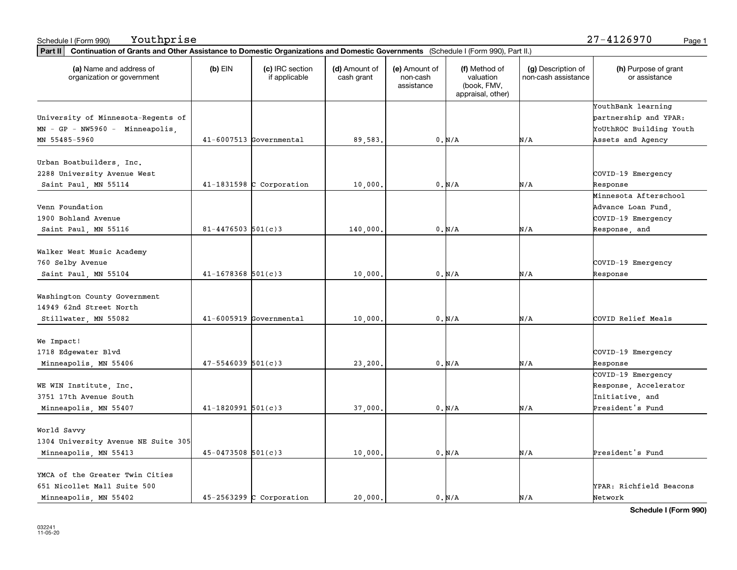| Part II   Continuation of Grants and Other Assistance to Domestic Organizations and Domestic Governments (Schedule I (Form 990), Part II.) |                        |                                  |                             |                                         |                                                                |                                           |                                       |
|--------------------------------------------------------------------------------------------------------------------------------------------|------------------------|----------------------------------|-----------------------------|-----------------------------------------|----------------------------------------------------------------|-------------------------------------------|---------------------------------------|
| (a) Name and address of<br>organization or government                                                                                      | $(b)$ EIN              | (c) IRC section<br>if applicable | (d) Amount of<br>cash grant | (e) Amount of<br>non-cash<br>assistance | (f) Method of<br>valuation<br>(book, FMV,<br>appraisal, other) | (g) Description of<br>non-cash assistance | (h) Purpose of grant<br>or assistance |
|                                                                                                                                            |                        |                                  |                             |                                         |                                                                |                                           | YouthBank learning                    |
| University of Minnesota-Regents of                                                                                                         |                        |                                  |                             |                                         |                                                                |                                           | partnership and YPAR:                 |
| $MN - GP - NW5960 - Minneapolis,$                                                                                                          |                        |                                  |                             |                                         |                                                                |                                           | YoUthROC Building Youth               |
| MN 55485-5960                                                                                                                              |                        | $41-6007513$ Governmental        | 89,583.                     |                                         | 0. N/A                                                         | N/A                                       | Assets and Agency                     |
| Urban Boatbuilders, Inc.                                                                                                                   |                        |                                  |                             |                                         |                                                                |                                           |                                       |
| 2288 University Avenue West                                                                                                                |                        |                                  |                             |                                         |                                                                |                                           | COVID-19 Emergency                    |
| Saint Paul, MN 55114                                                                                                                       |                        | $41-1831598$ C Corporation       | 10,000                      |                                         | 0. N/A                                                         | N/A                                       | Response                              |
|                                                                                                                                            |                        |                                  |                             |                                         |                                                                |                                           | Minnesota Afterschool                 |
| Venn Foundation                                                                                                                            |                        |                                  |                             |                                         |                                                                |                                           | Advance Loan Fund,                    |
| 1900 Bohland Avenue                                                                                                                        |                        |                                  |                             |                                         |                                                                |                                           | COVID-19 Emergency                    |
| Saint Paul, MN 55116                                                                                                                       | $81 - 4476503$ 501(c)3 |                                  | 140,000.                    |                                         | 0. N/A                                                         | N/A                                       | Response, and                         |
|                                                                                                                                            |                        |                                  |                             |                                         |                                                                |                                           |                                       |
| Walker West Music Academy                                                                                                                  |                        |                                  |                             |                                         |                                                                |                                           |                                       |
| 760 Selby Avenue                                                                                                                           |                        |                                  |                             |                                         |                                                                |                                           | COVID-19 Emergency                    |
| Saint Paul, MN 55104                                                                                                                       | $41 - 1678368$ 501(c)3 |                                  | 10,000,                     |                                         | 0. N/A                                                         | N/A                                       | Response                              |
| Washington County Government                                                                                                               |                        |                                  |                             |                                         |                                                                |                                           |                                       |
| 14949 62nd Street North                                                                                                                    |                        |                                  |                             |                                         |                                                                |                                           |                                       |
| Stillwater, MN 55082                                                                                                                       |                        | $41-6005919$ Governmental        | 10,000,                     |                                         | 0. N/A                                                         | N/A                                       | COVID Relief Meals                    |
|                                                                                                                                            |                        |                                  |                             |                                         |                                                                |                                           |                                       |
| We Impact!<br>1718 Edgewater Blvd                                                                                                          |                        |                                  |                             |                                         |                                                                |                                           | COVID-19 Emergency                    |
| Minneapolis, MN 55406                                                                                                                      | $47 - 5546039$ 501(c)3 |                                  | 23,200.                     |                                         | 0. N/A                                                         | N/A                                       | Response                              |
|                                                                                                                                            |                        |                                  |                             |                                         |                                                                |                                           | COVID-19 Emergency                    |
| WE WIN Institute, Inc.                                                                                                                     |                        |                                  |                             |                                         |                                                                |                                           | Response, Accelerator                 |
| 3751 17th Avenue South                                                                                                                     |                        |                                  |                             |                                         |                                                                |                                           | Initiative, and                       |
| Minneapolis, MN 55407                                                                                                                      | $41 - 1820991$ 501(c)3 |                                  | 37,000                      |                                         | 0. N/A                                                         | N/A                                       | President's Fund                      |
|                                                                                                                                            |                        |                                  |                             |                                         |                                                                |                                           |                                       |
| World Savvy                                                                                                                                |                        |                                  |                             |                                         |                                                                |                                           |                                       |
| 1304 University Avenue NE Suite 305                                                                                                        |                        |                                  |                             |                                         |                                                                |                                           |                                       |
| Minneapolis, MN 55413                                                                                                                      | $45 - 0473508$ 501(c)3 |                                  | 10,000.                     |                                         | 0. N/A                                                         | N/A                                       | President's Fund                      |
| YMCA of the Greater Twin Cities                                                                                                            |                        |                                  |                             |                                         |                                                                |                                           |                                       |
| 651 Nicollet Mall Suite 500                                                                                                                |                        |                                  |                             |                                         |                                                                |                                           | YPAR: Richfield Beacons               |
| Minneapolis, MN 55402                                                                                                                      |                        | $45 - 2563299$ C Corporation     | 20,000.                     |                                         | 0. N/A                                                         | N/A                                       | Network                               |
|                                                                                                                                            |                        |                                  |                             |                                         |                                                                |                                           |                                       |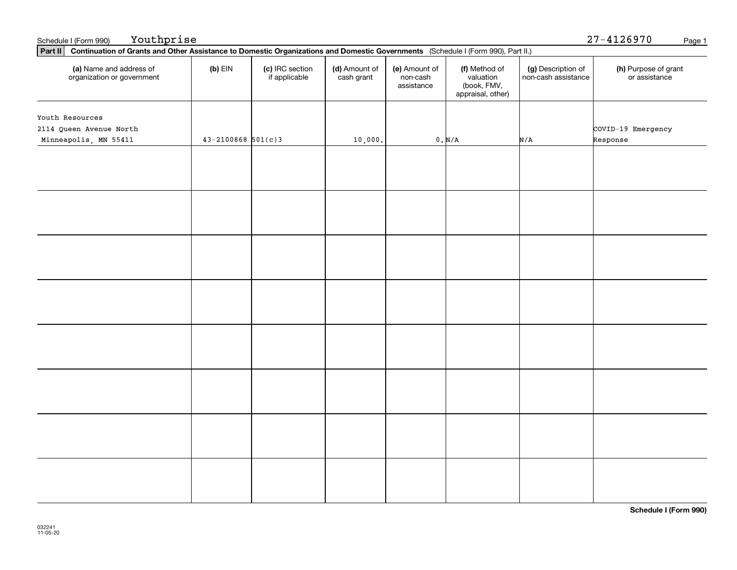| (a) Name and address of<br>organization or government               | $(b)$ EIN                | (c) IRC section<br>if applicable | (d) Amount of<br>cash grant | (e) Amount of<br>non-cash<br>assistance | (f) Method of<br>valuation<br>(book, FMV,<br>appraisal, other) | (g) Description of<br>non-cash assistance | (h) Purpose of grant<br>or assistance |
|---------------------------------------------------------------------|--------------------------|----------------------------------|-----------------------------|-----------------------------------------|----------------------------------------------------------------|-------------------------------------------|---------------------------------------|
| Youth Resources<br>2114 Queen Avenue North<br>Minneapolis, MN 55411 | $43 - 2100868$ $501(c)3$ |                                  | 10,000.                     |                                         | $0$ . $\text{N}/\text{A}$                                      | N/A                                       | COVID-19 Emergency<br>Response        |
|                                                                     |                          |                                  |                             |                                         |                                                                |                                           |                                       |
|                                                                     |                          |                                  |                             |                                         |                                                                |                                           |                                       |
|                                                                     |                          |                                  |                             |                                         |                                                                |                                           |                                       |
|                                                                     |                          |                                  |                             |                                         |                                                                |                                           |                                       |
|                                                                     |                          |                                  |                             |                                         |                                                                |                                           |                                       |
|                                                                     |                          |                                  |                             |                                         |                                                                |                                           |                                       |
|                                                                     |                          |                                  |                             |                                         |                                                                |                                           |                                       |
|                                                                     |                          |                                  |                             |                                         |                                                                |                                           |                                       |

Schedule I (Form 990) Page 1 27-4126970

**Part II Continuation of Grants and Other Assistance to Domestic Organizations and Domestic Governments**  (Schedule I (Form 990), Part II.)

Youthprise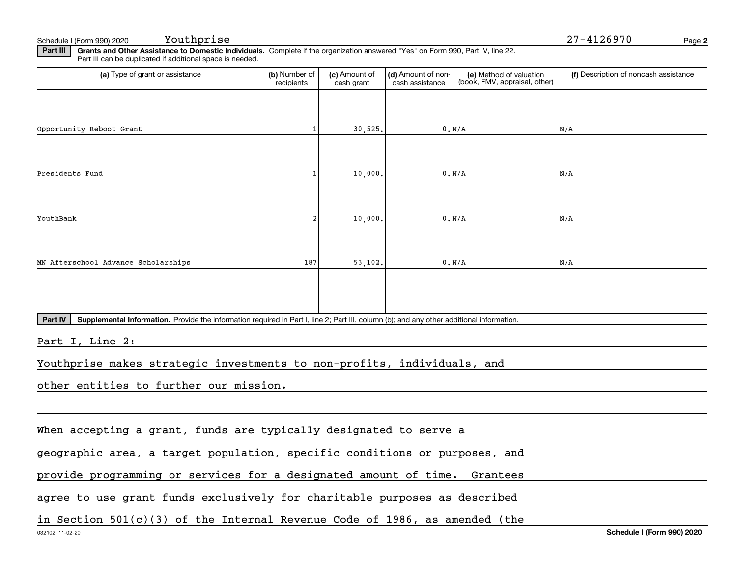Schedule I (Form 990) 2020 Youthprise

**2**Youthprise 27-4126970

**Part III** | Grants and Other Assistance to Domestic Individuals. Complete if the organization answered "Yes" on Form 990, Part IV, line 22. Part III can be duplicated if additional space is needed.

| (a) Type of grant or assistance                                                                                                                      | (b) Number of<br>recipients | (c) Amount of<br>cash grant | (d) Amount of non-<br>cash assistance | (e) Method of valuation<br>(book, FMV, appraisal, other) | (f) Description of noncash assistance |
|------------------------------------------------------------------------------------------------------------------------------------------------------|-----------------------------|-----------------------------|---------------------------------------|----------------------------------------------------------|---------------------------------------|
|                                                                                                                                                      |                             |                             |                                       |                                                          |                                       |
| Opportunity Reboot Grant                                                                                                                             |                             | 30,525.                     |                                       | 0. N/A                                                   | N/A                                   |
|                                                                                                                                                      |                             |                             |                                       |                                                          |                                       |
| Presidents Fund                                                                                                                                      | 1                           | 10,000.                     |                                       | 0. N/A                                                   | N/A                                   |
|                                                                                                                                                      |                             |                             |                                       |                                                          |                                       |
| YouthBank                                                                                                                                            |                             | 10,000.                     |                                       | 0. N/A                                                   | N/A                                   |
| MN Afterschool Advance Scholarships                                                                                                                  | 187                         | 53,102.                     |                                       | 0. N/A                                                   | N/A                                   |
|                                                                                                                                                      |                             |                             |                                       |                                                          |                                       |
|                                                                                                                                                      |                             |                             |                                       |                                                          |                                       |
| Part IV<br>Supplemental Information. Provide the information required in Part I, line 2; Part III, column (b); and any other additional information. |                             |                             |                                       |                                                          |                                       |
| Part I, Line 2:                                                                                                                                      |                             |                             |                                       |                                                          |                                       |
| Youthprise makes strategic investments to non-profits, individuals, and                                                                              |                             |                             |                                       |                                                          |                                       |
| other entities to further our mission.                                                                                                               |                             |                             |                                       |                                                          |                                       |
|                                                                                                                                                      |                             |                             |                                       |                                                          |                                       |
| When accepting a grant, funds are typically designated to serve a                                                                                    |                             |                             |                                       |                                                          |                                       |
| geographic area, a target population, specific conditions or purposes, and                                                                           |                             |                             |                                       |                                                          |                                       |
| provide programming or services for a designated amount of time. Grantees                                                                            |                             |                             |                                       |                                                          |                                       |
| agree to use grant funds exclusively for charitable purposes as described                                                                            |                             |                             |                                       |                                                          |                                       |
| in Section $501(c)(3)$ of the Internal Revenue Code of 1986, as amended (the                                                                         |                             |                             |                                       |                                                          |                                       |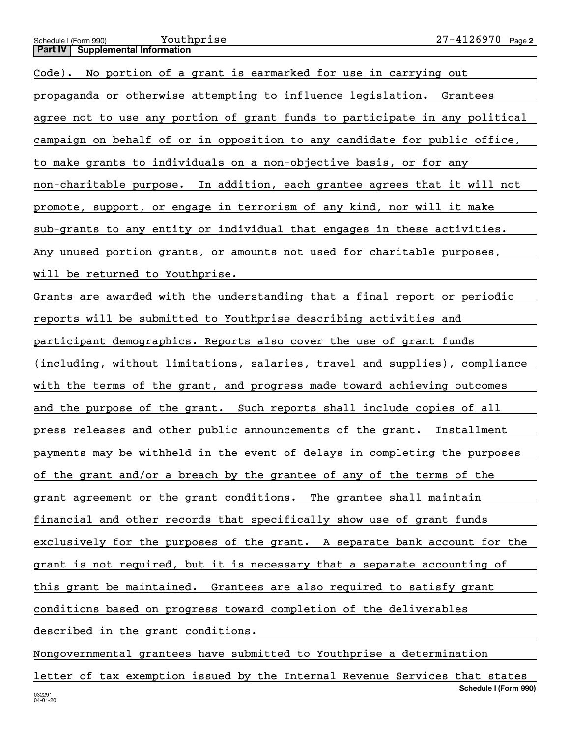### **2**Schedule I (Form 990) Page **Part IV Supplemental Information** Youthprise

Code). No portion of a grant is earmarked for use in carrying out propaganda or otherwise attempting to influence legislation. Grantees agree not to use any portion of grant funds to participate in any political campaign on behalf of or in opposition to any candidate for public office, to make grants to individuals on a non-objective basis, or for any non-charitable purpose. In addition, each grantee agrees that it will not promote, support, or engage in terrorism of any kind, nor will it make sub-grants to any entity or individual that engages in these activities. Any unused portion grants, or amounts not used for charitable purposes,

## will be returned to Youthprise.

Grants are awarded with the understanding that a final report or periodic reports will be submitted to Youthprise describing activities and participant demographics. Reports also cover the use of grant funds (including, without limitations, salaries, travel and supplies), compliance with the terms of the grant, and progress made toward achieving outcomes and the purpose of the grant. Such reports shall include copies of all press releases and other public announcements of the grant. Installment payments may be withheld in the event of delays in completing the purposes of the grant and/or a breach by the grantee of any of the terms of the grant agreement or the grant conditions. The grantee shall maintain financial and other records that specifically show use of grant funds exclusively for the purposes of the grant. A separate bank account for the grant is not required, but it is necessary that a separate accounting of this grant be maintained. Grantees are also required to satisfy grant conditions based on progress toward completion of the deliverables described in the grant conditions.

Nongovernmental grantees have submitted to Youthprise a determination

**Schedule I (Form 990)** letter of tax exemption issued by the Internal Revenue Services that states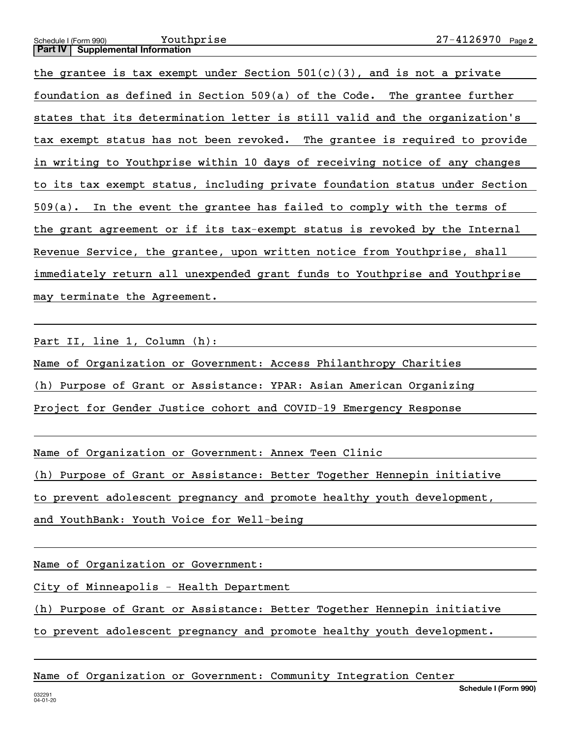### **2**Schedule I (Form 990) Page **Part IV** | Supplemental Information Youthprise

the grantee is tax exempt under Section  $501(c)(3)$ , and is not a private foundation as defined in Section 509(a) of the Code. The grantee further states that its determination letter is still valid and the organization's tax exempt status has not been revoked. The grantee is required to provide in writing to Youthprise within 10 days of receiving notice of any changes to its tax exempt status, including private foundation status under Section 509(a). In the event the grantee has failed to comply with the terms of the grant agreement or if its tax-exempt status is revoked by the Internal Revenue Service, the grantee, upon written notice from Youthprise, shall immediately return all unexpended grant funds to Youthprise and Youthprise may terminate the Agreement.

Part II, line 1, Column (h):

Name of Organization or Government: Access Philanthropy Charities

(h) Purpose of Grant or Assistance: YPAR: Asian American Organizing

Project for Gender Justice cohort and COVID-19 Emergency Response

Name of Organization or Government: Annex Teen Clinic

(h) Purpose of Grant or Assistance: Better Together Hennepin initiative

to prevent adolescent pregnancy and promote healthy youth development,

and YouthBank: Youth Voice for Well-being

Name of Organization or Government:

City of Minneapolis - Health Department

(h) Purpose of Grant or Assistance: Better Together Hennepin initiative

to prevent adolescent pregnancy and promote healthy youth development.

## Name of Organization or Government: Community Integration Center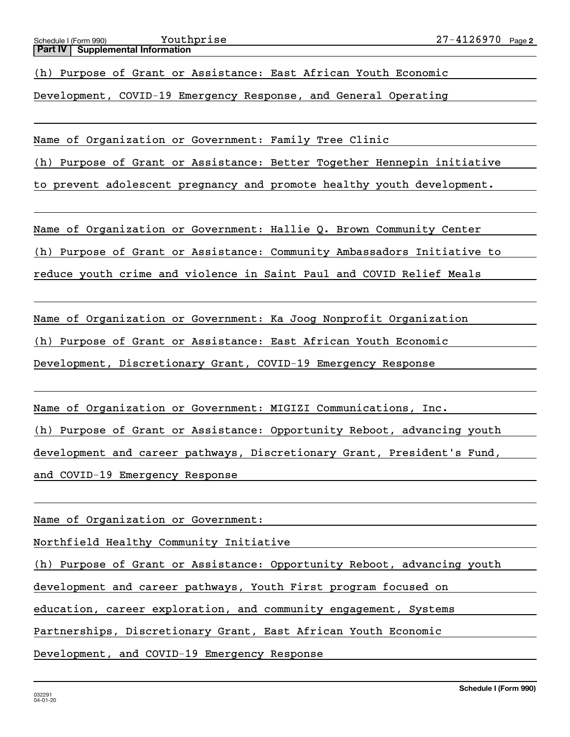(h) Purpose of Grant or Assistance: East African Youth Economic

Development, COVID-19 Emergency Response, and General Operating

Name of Organization or Government: Family Tree Clinic

(h) Purpose of Grant or Assistance: Better Together Hennepin initiative

to prevent adolescent pregnancy and promote healthy youth development.

Name of Organization or Government: Hallie Q. Brown Community Center

(h) Purpose of Grant or Assistance: Community Ambassadors Initiative to

reduce youth crime and violence in Saint Paul and COVID Relief Meals

Name of Organization or Government: Ka Joog Nonprofit Organization

(h) Purpose of Grant or Assistance: East African Youth Economic

Development, Discretionary Grant, COVID-19 Emergency Response

Name of Organization or Government: MIGIZI Communications, Inc.

(h) Purpose of Grant or Assistance: Opportunity Reboot, advancing youth

development and career pathways, Discretionary Grant, President's Fund,

and COVID-19 Emergency Response

Name of Organization or Government:

Northfield Healthy Community Initiative

(h) Purpose of Grant or Assistance: Opportunity Reboot, advancing youth

development and career pathways, Youth First program focused on

education, career exploration, and community engagement, Systems

Partnerships, Discretionary Grant, East African Youth Economic

Development, and COVID-19 Emergency Response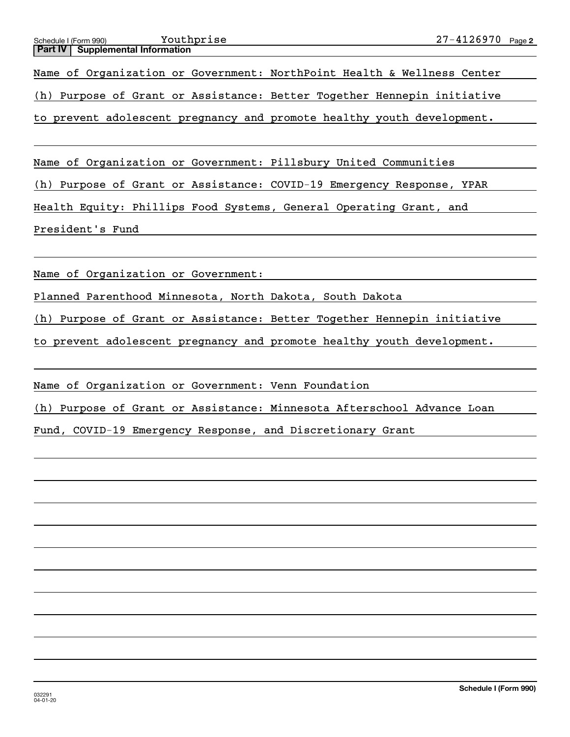Name of Organization or Government: NorthPoint Health & Wellness Center

(h) Purpose of Grant or Assistance: Better Together Hennepin initiative

to prevent adolescent pregnancy and promote healthy youth development.

Name of Organization or Government: Pillsbury United Communities

(h) Purpose of Grant or Assistance: COVID-19 Emergency Response, YPAR

Health Equity: Phillips Food Systems, General Operating Grant, and

President's Fund

Name of Organization or Government:

Planned Parenthood Minnesota, North Dakota, South Dakota

(h) Purpose of Grant or Assistance: Better Together Hennepin initiative

to prevent adolescent pregnancy and promote healthy youth development.

Name of Organization or Government: Venn Foundation

(h) Purpose of Grant or Assistance: Minnesota Afterschool Advance Loan

Fund, COVID-19 Emergency Response, and Discretionary Grant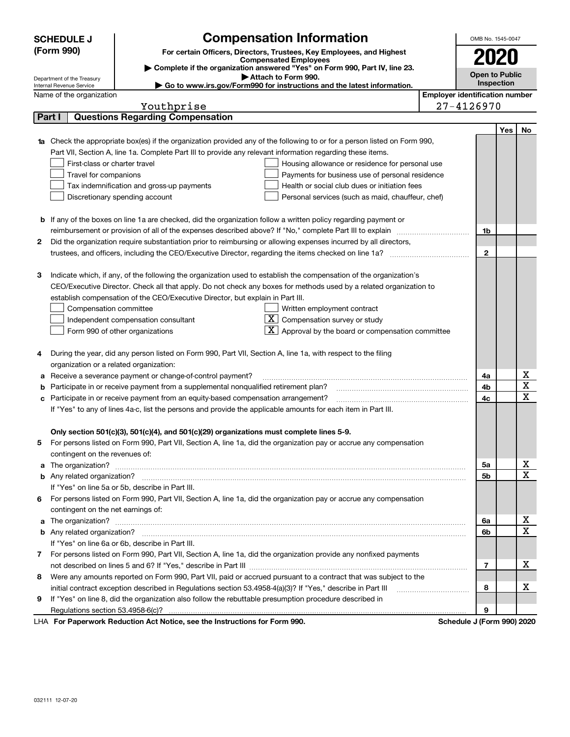|   | <b>SCHEDULE J</b>                                      | <b>Compensation Information</b>                                                                                                                                                                                                      | OMB No. 1545-0047                     |            |                  |
|---|--------------------------------------------------------|--------------------------------------------------------------------------------------------------------------------------------------------------------------------------------------------------------------------------------------|---------------------------------------|------------|------------------|
|   | (Form 990)                                             | For certain Officers, Directors, Trustees, Key Employees, and Highest                                                                                                                                                                |                                       |            |                  |
|   |                                                        | <b>Compensated Employees</b>                                                                                                                                                                                                         |                                       | 2020       |                  |
|   |                                                        | Complete if the organization answered "Yes" on Form 990, Part IV, line 23.<br>Attach to Form 990.                                                                                                                                    | <b>Open to Public</b>                 |            |                  |
|   | Department of the Treasury<br>Internal Revenue Service | ► Go to www.irs.gov/Form990 for instructions and the latest information.                                                                                                                                                             |                                       | Inspection |                  |
|   | Name of the organization                               |                                                                                                                                                                                                                                      | <b>Employer identification number</b> |            |                  |
|   |                                                        | Youthprise                                                                                                                                                                                                                           | 27-4126970                            |            |                  |
|   | Part I                                                 | <b>Questions Regarding Compensation</b>                                                                                                                                                                                              |                                       |            |                  |
|   |                                                        |                                                                                                                                                                                                                                      |                                       | Yes        | No               |
|   |                                                        | Check the appropriate box(es) if the organization provided any of the following to or for a person listed on Form 990,                                                                                                               |                                       |            |                  |
|   |                                                        | Part VII, Section A, line 1a. Complete Part III to provide any relevant information regarding these items.                                                                                                                           |                                       |            |                  |
|   | First-class or charter travel                          | Housing allowance or residence for personal use                                                                                                                                                                                      |                                       |            |                  |
|   | Travel for companions                                  | Payments for business use of personal residence                                                                                                                                                                                      |                                       |            |                  |
|   |                                                        | Health or social club dues or initiation fees<br>Tax indemnification and gross-up payments                                                                                                                                           |                                       |            |                  |
|   |                                                        | Discretionary spending account<br>Personal services (such as maid, chauffeur, chef)                                                                                                                                                  |                                       |            |                  |
|   |                                                        |                                                                                                                                                                                                                                      |                                       |            |                  |
| b |                                                        | If any of the boxes on line 1a are checked, did the organization follow a written policy regarding payment or                                                                                                                        |                                       |            |                  |
|   |                                                        | reimbursement or provision of all of the expenses described above? If "No," complete Part III to explain                                                                                                                             | 1b                                    |            |                  |
| 2 |                                                        | Did the organization require substantiation prior to reimbursing or allowing expenses incurred by all directors,                                                                                                                     |                                       |            |                  |
|   |                                                        |                                                                                                                                                                                                                                      | $\mathbf{2}$                          |            |                  |
|   |                                                        |                                                                                                                                                                                                                                      |                                       |            |                  |
| з |                                                        | Indicate which, if any, of the following the organization used to establish the compensation of the organization's                                                                                                                   |                                       |            |                  |
|   |                                                        | CEO/Executive Director. Check all that apply. Do not check any boxes for methods used by a related organization to                                                                                                                   |                                       |            |                  |
|   |                                                        | establish compensation of the CEO/Executive Director, but explain in Part III.                                                                                                                                                       |                                       |            |                  |
|   | Compensation committee                                 | Written employment contract                                                                                                                                                                                                          |                                       |            |                  |
|   |                                                        | $\overline{X}$ Compensation survey or study<br>Independent compensation consultant                                                                                                                                                   |                                       |            |                  |
|   |                                                        | Approval by the board or compensation committee<br>Form 990 of other organizations                                                                                                                                                   |                                       |            |                  |
|   |                                                        |                                                                                                                                                                                                                                      |                                       |            |                  |
| 4 |                                                        | During the year, did any person listed on Form 990, Part VII, Section A, line 1a, with respect to the filing                                                                                                                         |                                       |            |                  |
|   | organization or a related organization:                |                                                                                                                                                                                                                                      |                                       |            |                  |
| а |                                                        | Receive a severance payment or change-of-control payment?                                                                                                                                                                            | 4a                                    |            | х                |
| b |                                                        | Participate in or receive payment from a supplemental nonqualified retirement plan?                                                                                                                                                  | 4b                                    |            | $\mathbf X$      |
|   |                                                        | Participate in or receive payment from an equity-based compensation arrangement?                                                                                                                                                     | 4с                                    |            | $\mathbf X$      |
|   |                                                        | If "Yes" to any of lines 4a-c, list the persons and provide the applicable amounts for each item in Part III.                                                                                                                        |                                       |            |                  |
|   |                                                        |                                                                                                                                                                                                                                      |                                       |            |                  |
|   |                                                        | Only section 501(c)(3), 501(c)(4), and 501(c)(29) organizations must complete lines 5-9.                                                                                                                                             |                                       |            |                  |
| 5 |                                                        | For persons listed on Form 990, Part VII, Section A, line 1a, did the organization pay or accrue any compensation                                                                                                                    |                                       |            |                  |
|   | contingent on the revenues of:                         |                                                                                                                                                                                                                                      |                                       |            |                  |
| a |                                                        | The organization? <b>With the contract of the contract of the contract of the contract of the contract of the contract of the contract of the contract of the contract of the contract of the contract of the contract of the co</b> | 5a                                    |            | х<br>X           |
|   |                                                        |                                                                                                                                                                                                                                      | 5b                                    |            |                  |
|   |                                                        | If "Yes" on line 5a or 5b, describe in Part III.                                                                                                                                                                                     |                                       |            |                  |
| 6 |                                                        | For persons listed on Form 990, Part VII, Section A, line 1a, did the organization pay or accrue any compensation                                                                                                                    |                                       |            |                  |
|   | contingent on the net earnings of:                     |                                                                                                                                                                                                                                      |                                       |            |                  |
| a |                                                        |                                                                                                                                                                                                                                      | 6a                                    |            | х<br>$\mathbf X$ |
|   |                                                        |                                                                                                                                                                                                                                      | 6b                                    |            |                  |
|   |                                                        | If "Yes" on line 6a or 6b, describe in Part III.                                                                                                                                                                                     |                                       |            |                  |
| 7 |                                                        | For persons listed on Form 990, Part VII, Section A, line 1a, did the organization provide any nonfixed payments                                                                                                                     |                                       |            | х                |
|   |                                                        |                                                                                                                                                                                                                                      | 7                                     |            |                  |
| 8 |                                                        | Were any amounts reported on Form 990, Part VII, paid or accrued pursuant to a contract that was subject to the                                                                                                                      |                                       |            | х                |
|   |                                                        | initial contract exception described in Regulations section 53.4958-4(a)(3)? If "Yes," describe in Part III                                                                                                                          | 8                                     |            |                  |
| 9 |                                                        | If "Yes" on line 8, did the organization also follow the rebuttable presumption procedure described in                                                                                                                               |                                       |            |                  |
|   |                                                        | r Deperwerk Reduction Act Notice, ace the Instructions for Form 000                                                                                                                                                                  | 9<br>Schodule I (Form 000) 2020       |            |                  |

LHA For Paperwork Reduction Act Notice, see the Instructions for Form 990. Schedule J (Form 990) 2020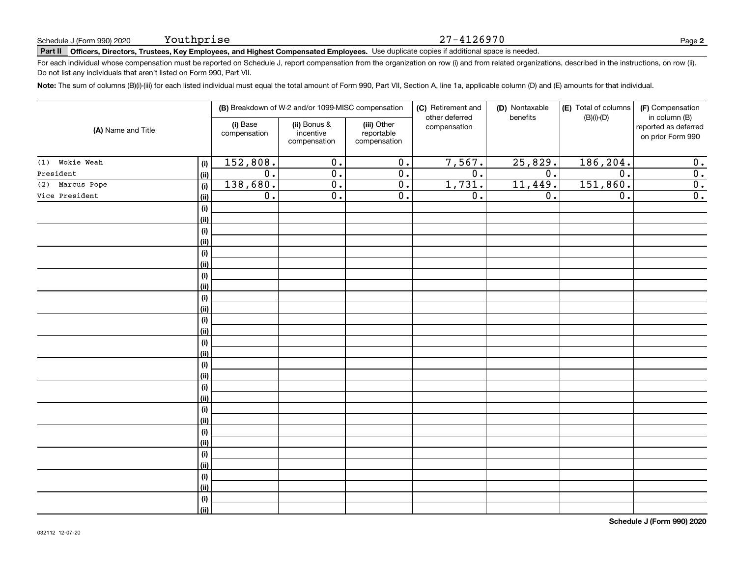# **Part II Officers, Directors, Trustees, Key Employees, and Highest Compensated Employees.**  Schedule J (Form 990) 2020 Page Use duplicate copies if additional space is needed.

For each individual whose compensation must be reported on Schedule J, report compensation from the organization on row (i) and from related organizations, described in the instructions, on row (ii). Do not list any individuals that aren't listed on Form 990, Part VII.

27-4126970

**Note:**  The sum of columns (B)(i)-(iii) for each listed individual must equal the total amount of Form 990, Part VII, Section A, line 1a, applicable column (D) and (E) amounts for that individual.

| (A) Name and Title |                    |                          | (B) Breakdown of W-2 and/or 1099-MISC compensation |                                           | (C) Retirement and<br>other deferred | (D) Nontaxable<br>benefits | (E) Total of columns<br>$(B)(i)-(D)$ | (F) Compensation<br>in column (B)         |
|--------------------|--------------------|--------------------------|----------------------------------------------------|-------------------------------------------|--------------------------------------|----------------------------|--------------------------------------|-------------------------------------------|
|                    |                    | (i) Base<br>compensation | (ii) Bonus &<br>incentive<br>compensation          | (iii) Other<br>reportable<br>compensation | compensation                         |                            |                                      | reported as deferred<br>on prior Form 990 |
| $(1)$ Wokie Weah   | $(\sf{i})$         | 152,808.                 | 0.                                                 | 0.                                        | 7,567.                               | 25,829.                    | 186,204.                             | 0.                                        |
| President          | (ii)               | $\overline{0}$ .         | $\overline{0}$ .                                   | 0.                                        | $\overline{0}$ .                     | 0.                         | $\overline{0}$ .                     | 0.                                        |
| (2) Marcus Pope    | (i)                | 138,680.                 | $\overline{0}$ .                                   | 0.                                        | 1,731.                               | 11,449.                    | 151,860.                             | 0.                                        |
| Vice President     | (ii)               | 0.                       | $\overline{0}$ .                                   | 0.                                        | 0.                                   | 0.                         | $\overline{0}$ .                     | 0.                                        |
|                    | $(\sf{i})$         |                          |                                                    |                                           |                                      |                            |                                      |                                           |
|                    | (ii)               |                          |                                                    |                                           |                                      |                            |                                      |                                           |
|                    | $(\sf{i})$         |                          |                                                    |                                           |                                      |                            |                                      |                                           |
|                    | (ii)               |                          |                                                    |                                           |                                      |                            |                                      |                                           |
|                    | $(\sf{i})$         |                          |                                                    |                                           |                                      |                            |                                      |                                           |
|                    | (ii)               |                          |                                                    |                                           |                                      |                            |                                      |                                           |
|                    | $(\sf{i})$         |                          |                                                    |                                           |                                      |                            |                                      |                                           |
|                    | (ii)               |                          |                                                    |                                           |                                      |                            |                                      |                                           |
|                    | $(\sf{i})$         |                          |                                                    |                                           |                                      |                            |                                      |                                           |
|                    | (ii)               |                          |                                                    |                                           |                                      |                            |                                      |                                           |
|                    | $(\sf{i})$         |                          |                                                    |                                           |                                      |                            |                                      |                                           |
|                    | (ii)               |                          |                                                    |                                           |                                      |                            |                                      |                                           |
|                    | $(\sf{i})$         |                          |                                                    |                                           |                                      |                            |                                      |                                           |
|                    | (ii)               |                          |                                                    |                                           |                                      |                            |                                      |                                           |
|                    | $(\sf{i})$         |                          |                                                    |                                           |                                      |                            |                                      |                                           |
|                    | (ii)               |                          |                                                    |                                           |                                      |                            |                                      |                                           |
|                    | $(\sf{i})$         |                          |                                                    |                                           |                                      |                            |                                      |                                           |
|                    | (ii)               |                          |                                                    |                                           |                                      |                            |                                      |                                           |
|                    | $(\sf{i})$         |                          |                                                    |                                           |                                      |                            |                                      |                                           |
|                    | (ii)               |                          |                                                    |                                           |                                      |                            |                                      |                                           |
|                    | $(\sf{i})$         |                          |                                                    |                                           |                                      |                            |                                      |                                           |
|                    | (ii)               |                          |                                                    |                                           |                                      |                            |                                      |                                           |
|                    | $(\sf{i})$         |                          |                                                    |                                           |                                      |                            |                                      |                                           |
|                    | (ii)               |                          |                                                    |                                           |                                      |                            |                                      |                                           |
|                    | $(\sf{i})$         |                          |                                                    |                                           |                                      |                            |                                      |                                           |
|                    | (ii)               |                          |                                                    |                                           |                                      |                            |                                      |                                           |
|                    | $(\sf{i})$<br>(ii) |                          |                                                    |                                           |                                      |                            |                                      |                                           |
|                    |                    |                          |                                                    |                                           |                                      |                            |                                      |                                           |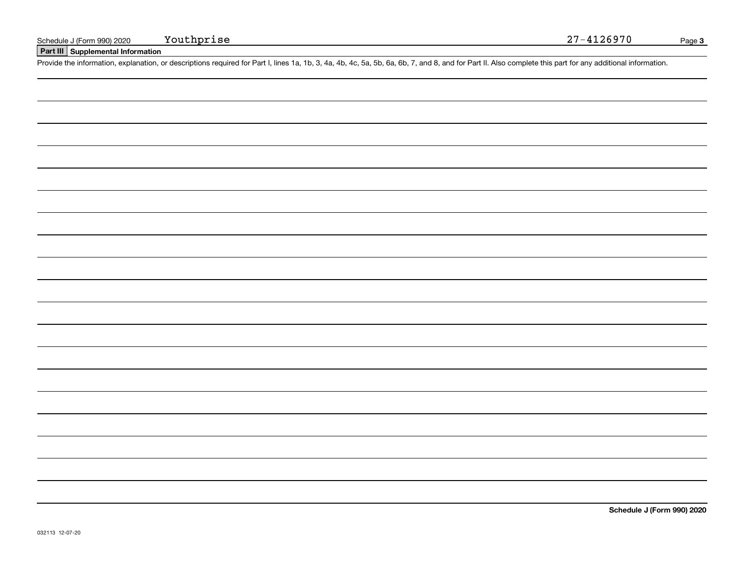# **Part III Supplemental Information**

Schedule J (Form 990) 2020 Youthprise<br>
Part III Supplemental Information<br>
Provide the information, explanation, or descriptions required for Part I, lines 1a, 1b, 3, 4a, 4b, 4c, 5a, 5b, 6a, 6b, 7, and 8, and for Part II. A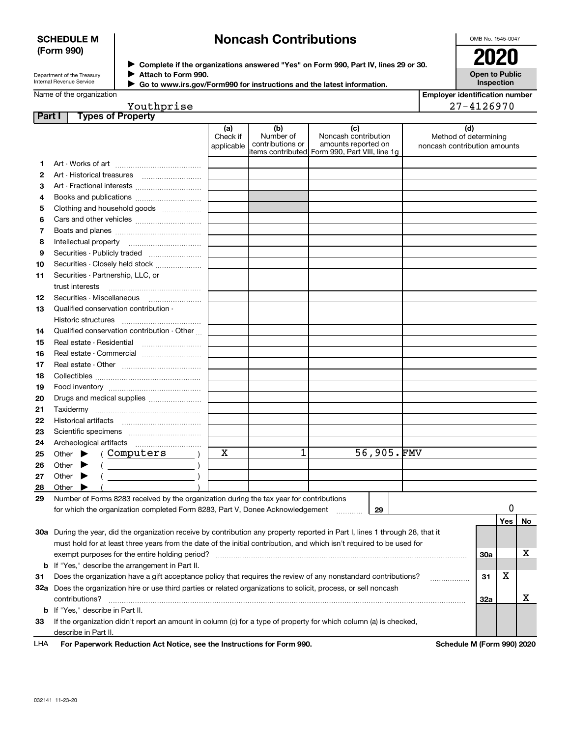## **SCHEDULE M (Form 990)**

# **Noncash Contributions**

OMB No. 1545-0047

| Department of the Treasury      |  |
|---------------------------------|--|
| <b>Internal Revenue Service</b> |  |

**Complete if the organizations answered "Yes" on Form 990, Part IV, lines 29 or 30.** <sup>J</sup>**2020 Attach to Form 990.** J

**Open to Public Inspection**

| Internal Revenue Service | ► Go to www.irs.gov/Form990 for instructions and the latest information. |
|--------------------------|--------------------------------------------------------------------------|
| Name of the organization |                                                                          |

| Employer identification number |
|--------------------------------|
| 27-4126970                     |

| Youthprise |  |
|------------|--|
|            |  |

| Part I | <b>Types of Property</b>                                                                                                       |                               |                                                                                        |                                                    |            |                                                              |     |     |    |
|--------|--------------------------------------------------------------------------------------------------------------------------------|-------------------------------|----------------------------------------------------------------------------------------|----------------------------------------------------|------------|--------------------------------------------------------------|-----|-----|----|
|        |                                                                                                                                | (a)<br>Check if<br>applicable | (b)<br>Number of<br>contributions or<br>items contributed Form 990, Part VIII, line 1g | (c)<br>Noncash contribution<br>amounts reported on |            | (d)<br>Method of determining<br>noncash contribution amounts |     |     |    |
| 1      |                                                                                                                                |                               |                                                                                        |                                                    |            |                                                              |     |     |    |
| 2      |                                                                                                                                |                               |                                                                                        |                                                    |            |                                                              |     |     |    |
| з      |                                                                                                                                |                               |                                                                                        |                                                    |            |                                                              |     |     |    |
| 4      | Books and publications                                                                                                         |                               |                                                                                        |                                                    |            |                                                              |     |     |    |
| 5      | Clothing and household goods                                                                                                   |                               |                                                                                        |                                                    |            |                                                              |     |     |    |
| 6      |                                                                                                                                |                               |                                                                                        |                                                    |            |                                                              |     |     |    |
| 7      |                                                                                                                                |                               |                                                                                        |                                                    |            |                                                              |     |     |    |
| 8      |                                                                                                                                |                               |                                                                                        |                                                    |            |                                                              |     |     |    |
| 9      | Securities - Publicly traded                                                                                                   |                               |                                                                                        |                                                    |            |                                                              |     |     |    |
|        | Securities - Closely held stock                                                                                                |                               |                                                                                        |                                                    |            |                                                              |     |     |    |
| 10     |                                                                                                                                |                               |                                                                                        |                                                    |            |                                                              |     |     |    |
| 11     | Securities - Partnership, LLC, or                                                                                              |                               |                                                                                        |                                                    |            |                                                              |     |     |    |
|        | trust interests                                                                                                                |                               |                                                                                        |                                                    |            |                                                              |     |     |    |
| 12     | Securities - Miscellaneous                                                                                                     |                               |                                                                                        |                                                    |            |                                                              |     |     |    |
| 13     | Qualified conservation contribution -                                                                                          |                               |                                                                                        |                                                    |            |                                                              |     |     |    |
|        | Historic structures                                                                                                            |                               |                                                                                        |                                                    |            |                                                              |     |     |    |
| 14     | Qualified conservation contribution - Other                                                                                    |                               |                                                                                        |                                                    |            |                                                              |     |     |    |
| 15     | Real estate - Residential                                                                                                      |                               |                                                                                        |                                                    |            |                                                              |     |     |    |
| 16     | Real estate - Commercial                                                                                                       |                               |                                                                                        |                                                    |            |                                                              |     |     |    |
| 17     |                                                                                                                                |                               |                                                                                        |                                                    |            |                                                              |     |     |    |
| 18     |                                                                                                                                |                               |                                                                                        |                                                    |            |                                                              |     |     |    |
| 19     |                                                                                                                                |                               |                                                                                        |                                                    |            |                                                              |     |     |    |
| 20     | Drugs and medical supplies                                                                                                     |                               |                                                                                        |                                                    |            |                                                              |     |     |    |
| 21     |                                                                                                                                |                               |                                                                                        |                                                    |            |                                                              |     |     |    |
| 22     |                                                                                                                                |                               |                                                                                        |                                                    |            |                                                              |     |     |    |
| 23     |                                                                                                                                |                               |                                                                                        |                                                    |            |                                                              |     |     |    |
| 24     |                                                                                                                                |                               |                                                                                        |                                                    |            |                                                              |     |     |    |
| 25     | (Computers<br>Other $\blacktriangleright$                                                                                      | х                             | 1                                                                                      |                                                    | 56,905.FMV |                                                              |     |     |    |
| 26     | $($ $)$<br>Other                                                                                                               |                               |                                                                                        |                                                    |            |                                                              |     |     |    |
| 27     | Other<br>▸                                                                                                                     |                               |                                                                                        |                                                    |            |                                                              |     |     |    |
| 28     | Other                                                                                                                          |                               |                                                                                        |                                                    |            |                                                              |     |     |    |
| 29     | Number of Forms 8283 received by the organization during the tax year for contributions                                        |                               |                                                                                        |                                                    |            |                                                              |     |     |    |
|        | for which the organization completed Form 8283, Part V, Donee Acknowledgement                                                  |                               |                                                                                        | .                                                  | 29         |                                                              |     | 0   |    |
|        |                                                                                                                                |                               |                                                                                        |                                                    |            |                                                              |     | Yes | No |
|        | 30a During the year, did the organization receive by contribution any property reported in Part I, lines 1 through 28, that it |                               |                                                                                        |                                                    |            |                                                              |     |     |    |
|        | must hold for at least three years from the date of the initial contribution, and which isn't required to be used for          |                               |                                                                                        |                                                    |            |                                                              |     |     |    |
|        | exempt purposes for the entire holding period?                                                                                 |                               |                                                                                        |                                                    |            |                                                              | 30a |     | х  |
|        | <b>b</b> If "Yes," describe the arrangement in Part II.                                                                        |                               |                                                                                        |                                                    |            |                                                              |     |     |    |
| 31     | Does the organization have a gift acceptance policy that requires the review of any nonstandard contributions?                 |                               |                                                                                        |                                                    |            |                                                              | 31  | х   |    |
|        | 32a Does the organization hire or use third parties or related organizations to solicit, process, or sell noncash              |                               |                                                                                        |                                                    |            |                                                              |     |     |    |
|        | contributions?                                                                                                                 |                               |                                                                                        |                                                    |            |                                                              | 32a |     | х  |
|        | <b>b</b> If "Yes," describe in Part II.                                                                                        |                               |                                                                                        |                                                    |            |                                                              |     |     |    |
| 33     | If the organization didn't report an amount in column (c) for a type of property for which column (a) is checked,              |                               |                                                                                        |                                                    |            |                                                              |     |     |    |
|        | describe in Part II.                                                                                                           |                               |                                                                                        |                                                    |            |                                                              |     |     |    |
| LHA    | For Paperwork Reduction Act Notice, see the Instructions for Form 990.                                                         |                               |                                                                                        |                                                    |            | Schedule M (Form 990) 2020                                   |     |     |    |
|        |                                                                                                                                |                               |                                                                                        |                                                    |            |                                                              |     |     |    |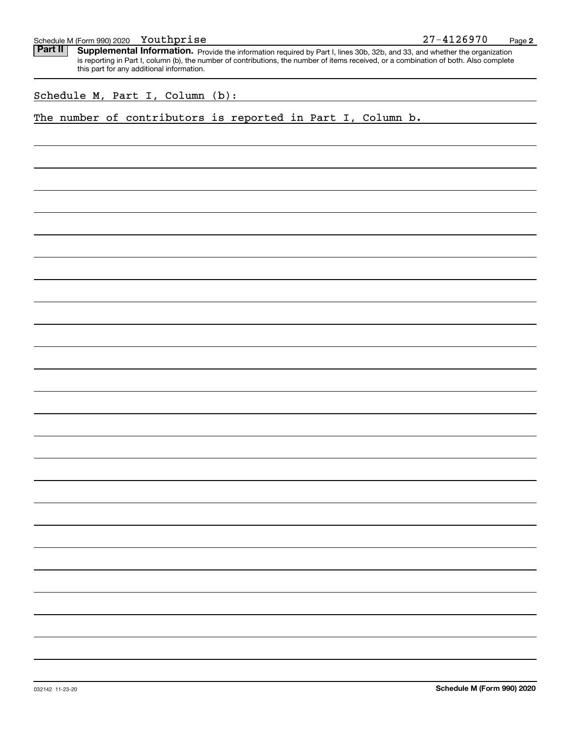Part II | Supplemental Information. Provide the information required by Part I, lines 30b, 32b, and 33, and whether the organization is reporting in Part I, column (b), the number of contributions, the number of items received, or a combination of both. Also complete this part for any additional information.

Schedule M, Part I, Column (b):

The number of contributors is reported in Part I, Column b.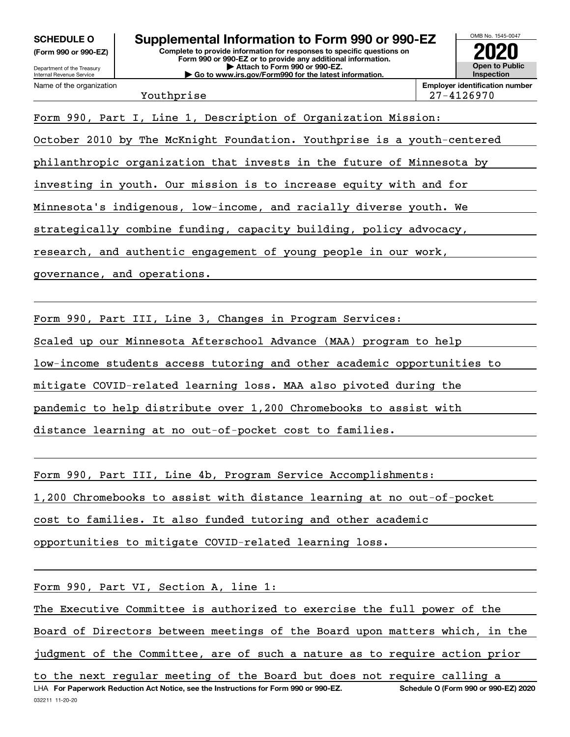**(Form 990 or 990-EZ)**

Department of the Treasury Internal Revenue Service Name of the organization

# **Complete to provide information for responses to specific questions on SCHEDULE O Supplemental Information to Form 990 or 990-EZ**

**Form 990 or 990-EZ or to provide any additional information. | Attach to Form 990 or 990-EZ. | Go to www.irs.gov/Form990 for the latest information.**



Youthprise 27-4126970

Form 990, Part I, Line 1, Description of Organization Mission: October 2010 by The McKnight Foundation. Youthprise is a youth-centered philanthropic organization that invests in the future of Minnesota by investing in youth. Our mission is to increase equity with and for Minnesota's indigenous, low-income, and racially diverse youth. We strategically combine funding, capacity building, policy advocacy, research, and authentic engagement of young people in our work, governance, and operations.

Form 990, Part III, Line 3, Changes in Program Services:

Scaled up our Minnesota Afterschool Advance (MAA) program to help

low-income students access tutoring and other academic opportunities to

mitigate COVID-related learning loss. MAA also pivoted during the

pandemic to help distribute over 1,200 Chromebooks to assist with

distance learning at no out-of-pocket cost to families.

Form 990, Part III, Line 4b, Program Service Accomplishments:

1,200 Chromebooks to assist with distance learning at no out-of-pocket

cost to families. It also funded tutoring and other academic

opportunities to mitigate COVID-related learning loss.

Form 990, Part VI, Section A, line 1:

The Executive Committee is authorized to exercise the full power of the

Board of Directors between meetings of the Board upon matters which, in the

judgment of the Committee, are of such a nature as to require action prior

032211 11-20-20 LHA For Paperwork Reduction Act Notice, see the Instructions for Form 990 or 990-EZ. Schedule O (Form 990 or 990-EZ) 2020 to the next regular meeting of the Board but does not require calling a